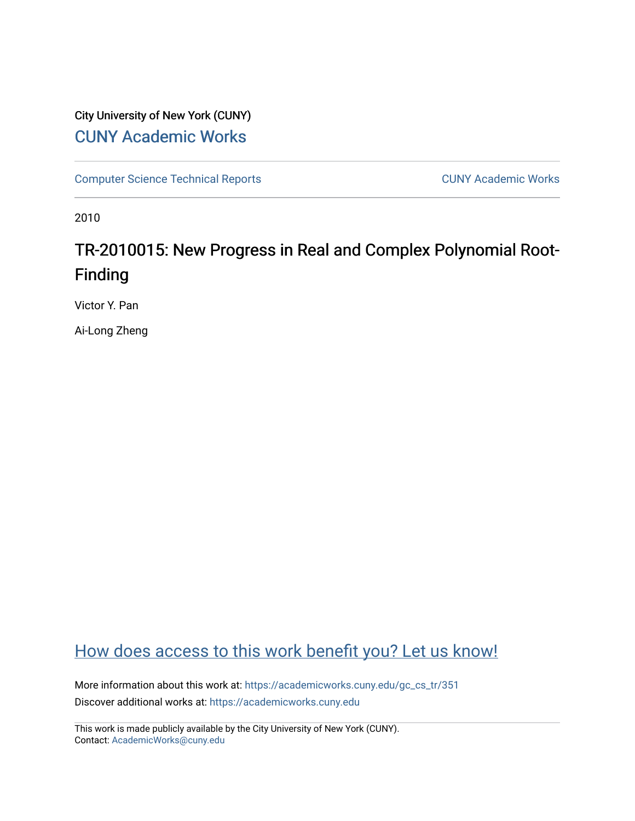# City University of New York (CUNY) [CUNY Academic Works](https://academicworks.cuny.edu/)

[Computer Science Technical Reports](https://academicworks.cuny.edu/gc_cs_tr) **CUNY Academic Works** CUNY Academic Works

2010

# TR-2010015: New Progress in Real and Complex Polynomial Root-Finding

Victor Y. Pan

Ai-Long Zheng

# [How does access to this work benefit you? Let us know!](http://ols.cuny.edu/academicworks/?ref=https://academicworks.cuny.edu/gc_cs_tr/351)

More information about this work at: [https://academicworks.cuny.edu/gc\\_cs\\_tr/351](https://academicworks.cuny.edu/gc_cs_tr/351)  Discover additional works at: [https://academicworks.cuny.edu](https://academicworks.cuny.edu/?)

This work is made publicly available by the City University of New York (CUNY). Contact: [AcademicWorks@cuny.edu](mailto:AcademicWorks@cuny.edu)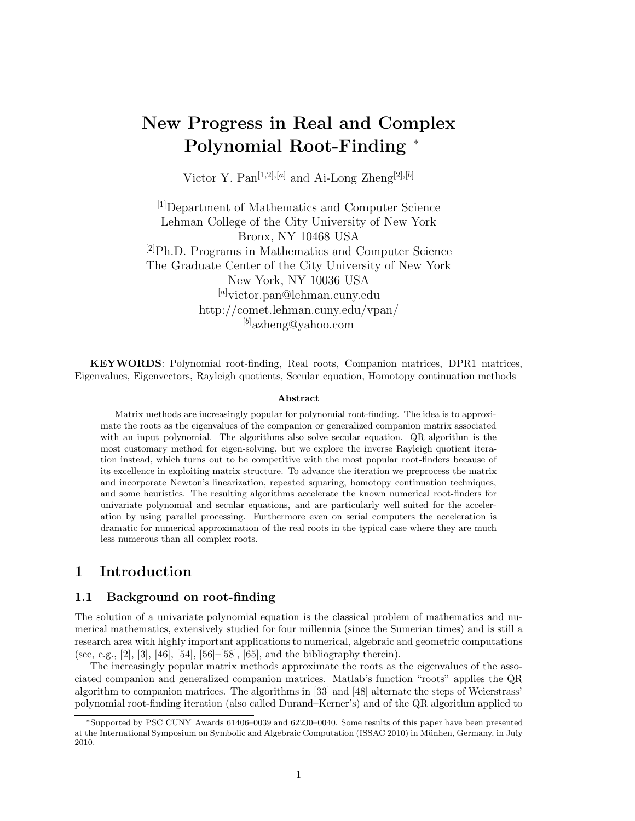# **New Progress in Real and Complex Polynomial Root-Finding** <sup>∗</sup>

Victor Y. Pan[1*,*2]*,*[*a*] and Ai-Long Zheng[2]*,*[*b*]

[1]Department of Mathematics and Computer Science Lehman College of the City University of New York Bronx, NY 10468 USA  $^{[2]}Ph.D.$  Programs in Mathematics and Computer Science The Graduate Center of the City University of New York New York, NY 10036 USA [*a*] victor.pan@lehman.cuny.edu http://comet.lehman.cuny.edu/vpan/ [*b*] azheng@yahoo.com

**KEYWORDS**: Polynomial root-finding, Real roots, Companion matrices, DPR1 matrices, Eigenvalues, Eigenvectors, Rayleigh quotients, Secular equation, Homotopy continuation methods

#### **Abstract**

Matrix methods are increasingly popular for polynomial root-finding. The idea is to approximate the roots as the eigenvalues of the companion or generalized companion matrix associated with an input polynomial. The algorithms also solve secular equation. QR algorithm is the most customary method for eigen-solving, but we explore the inverse Rayleigh quotient iteration instead, which turns out to be competitive with the most popular root-finders because of its excellence in exploiting matrix structure. To advance the iteration we preprocess the matrix and incorporate Newton's linearization, repeated squaring, homotopy continuation techniques, and some heuristics. The resulting algorithms accelerate the known numerical root-finders for univariate polynomial and secular equations, and are particularly well suited for the acceleration by using parallel processing. Furthermore even on serial computers the acceleration is dramatic for numerical approximation of the real roots in the typical case where they are much less numerous than all complex roots.

## **1 Introduction**

#### **1.1 Background on root-finding**

The solution of a univariate polynomial equation is the classical problem of mathematics and numerical mathematics, extensively studied for four millennia (since the Sumerian times) and is still a research area with highly important applications to numerical, algebraic and geometric computations (see, e.g., [2], [3], [46], [54], [56]–[58], [65], and the bibliography therein).

The increasingly popular matrix methods approximate the roots as the eigenvalues of the associated companion and generalized companion matrices. Matlab's function "roots" applies the QR algorithm to companion matrices. The algorithms in [33] and [48] alternate the steps of Weierstrass' polynomial root-finding iteration (also called Durand–Kerner's) and of the QR algorithm applied to

<sup>∗</sup>Supported by PSC CUNY Awards 61406–0039 and 62230–0040. Some results of this paper have been presented at the International Symposium on Symbolic and Algebraic Computation (ISSAC 2010) in Münhen, Germany, in July 2010.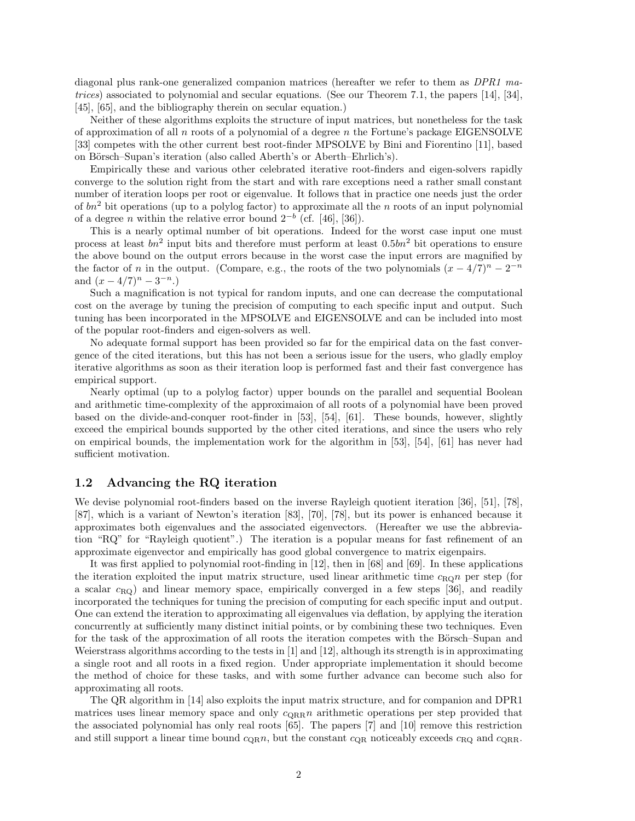diagonal plus rank-one generalized companion matrices (hereafter we refer to them as *DPR1 matrices*) associated to polynomial and secular equations. (See our Theorem 7.1, the papers [14], [34], [45], [65], and the bibliography therein on secular equation.)

Neither of these algorithms exploits the structure of input matrices, but nonetheless for the task of approximation of all *n* roots of a polynomial of a degree *n* the Fortune's package EIGENSOLVE [33] competes with the other current best root-finder MPSOLVE by Bini and Fiorentino [11], based on Börsch–Supan's iteration (also called Aberth's or Aberth–Ehrlich's).

Empirically these and various other celebrated iterative root-finders and eigen-solvers rapidly converge to the solution right from the start and with rare exceptions need a rather small constant number of iteration loops per root or eigenvalue. It follows that in practice one needs just the order of *bn*<sup>2</sup> bit operations (up to a polylog factor) to approximate all the *n* roots of an input polynomial of a degree *n* within the relative error bound  $2^{-b}$  (cf. [46], [36]).

This is a nearly optimal number of bit operations. Indeed for the worst case input one must process at least *bn*<sup>2</sup> input bits and therefore must perform at least 0*.*5*bn*<sup>2</sup> bit operations to ensure the above bound on the output errors because in the worst case the input errors are magnified by the factor of *n* in the output. (Compare, e.g., the roots of the two polynomials  $(x - 4/7)^n - 2^{-n}$ and  $(x-4/7)^n - 3^{-n}$ .

Such a magnification is not typical for random inputs, and one can decrease the computational cost on the average by tuning the precision of computing to each specific input and output. Such tuning has been incorporated in the MPSOLVE and EIGENSOLVE and can be included into most of the popular root-finders and eigen-solvers as well.

No adequate formal support has been provided so far for the empirical data on the fast convergence of the cited iterations, but this has not been a serious issue for the users, who gladly employ iterative algorithms as soon as their iteration loop is performed fast and their fast convergence has empirical support.

Nearly optimal (up to a polylog factor) upper bounds on the parallel and sequential Boolean and arithmetic time-complexity of the approximaion of all roots of a polynomial have been proved based on the divide-and-conquer root-finder in [53], [54], [61]. These bounds, however, slightly exceed the empirical bounds supported by the other cited iterations, and since the users who rely on empirical bounds, the implementation work for the algorithm in [53], [54], [61] has never had sufficient motivation.

#### **1.2 Advancing the RQ iteration**

We devise polynomial root-finders based on the inverse Rayleigh quotient iteration [36], [51], [78], [87], which is a variant of Newton's iteration [83], [70], [78], but its power is enhanced because it approximates both eigenvalues and the associated eigenvectors. (Hereafter we use the abbreviation "RQ" for "Rayleigh quotient".) The iteration is a popular means for fast refinement of an approximate eigenvector and empirically has good global convergence to matrix eigenpairs.

It was first applied to polynomial root-finding in [12], then in [68] and [69]. In these applications the iteration exploited the input matrix structure, used linear arithmetic time  $c_{\text{RO}}n$  per step (for a scalar *c*RQ) and linear memory space, empirically converged in a few steps [36], and readily incorporated the techniques for tuning the precision of computing for each specific input and output. One can extend the iteration to approximating all eigenvalues via deflation, by applying the iteration concurrently at sufficiently many distinct initial points, or by combining these two techniques. Even for the task of the approximation of all roots the iteration competes with the Börsch–Supan and Weierstrass algorithms according to the tests in [1] and [12], although its strength is in approximating a single root and all roots in a fixed region. Under appropriate implementation it should become the method of choice for these tasks, and with some further advance can become such also for approximating all roots.

The QR algorithm in [14] also exploits the input matrix structure, and for companion and DPR1 matrices uses linear memory space and only  $c_{\text{QRR}} n$  arithmetic operations per step provided that the associated polynomial has only real roots [65]. The papers [7] and [10] remove this restriction and still support a linear time bound  $c_{\text{QR}}n$ , but the constant  $c_{\text{QR}}$  noticeably exceeds  $c_{\text{RQ}}$  and  $c_{\text{QRR}}$ .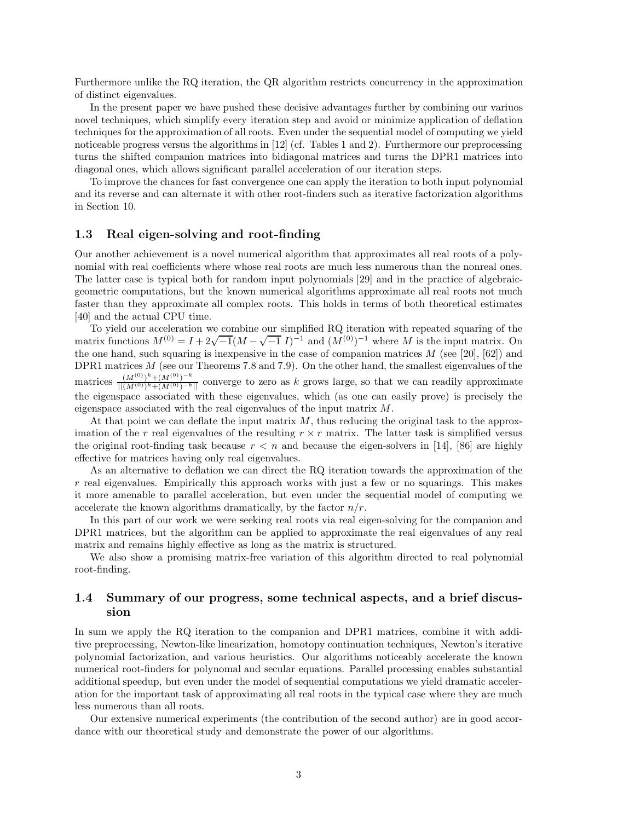Furthermore unlike the RQ iteration, the QR algorithm restricts concurrency in the approximation of distinct eigenvalues.

In the present paper we have pushed these decisive advantages further by combining our variuos novel techniques, which simplify every iteration step and avoid or minimize application of deflation techniques for the approximation of all roots. Even under the sequential model of computing we yield noticeable progress versus the algorithms in [12] (cf. Tables 1 and 2). Furthermore our preprocessing turns the shifted companion matrices into bidiagonal matrices and turns the DPR1 matrices into diagonal ones, which allows significant parallel acceleration of our iteration steps.

To improve the chances for fast convergence one can apply the iteration to both input polynomial and its reverse and can alternate it with other root-finders such as iterative factorization algorithms in Section 10.

#### **1.3 Real eigen-solving and root-finding**

Our another achievement is a novel numerical algorithm that approximates all real roots of a polynomial with real coefficients where whose real roots are much less numerous than the nonreal ones. The latter case is typical both for random input polynomials [29] and in the practice of algebraicgeometric computations, but the known numerical algorithms approximate all real roots not much faster than they approximate all complex roots. This holds in terms of both theoretical estimates [40] and the actual CPU time.

To yield our acceleration we combine our simplified RQ iteration with repeated squaring of the matrix functions  $M^{(0)} = I + 2\sqrt{-1}(M - \sqrt{-1} I)^{-1}$  and  $(M^{(0)})^{-1}$  where M is the input matrix. On the one hand, such squaring is inexpensive in the case of companion matrices *M* (see [20], [62]) and DPR1 matrices *M* (see our Theorems 7.8 and 7.9). On the other hand, the smallest eigenvalues of the  $\frac{(M^{(0)})^k+(M^{(0)})^{-k}}{||(M^{(0)})^k+(M^{(0)})^{-k}||}$  converge to zero as *k* grows large, so that we can readily approximate the eigenspace associated with these eigenvalues, which (as one can easily prove) is precisely the eigenspace associated with the real eigenvalues of the input matrix *M*.

At that point we can deflate the input matrix *M*, thus reducing the original task to the approximation of the *r* real eigenvalues of the resulting  $r \times r$  matrix. The latter task is simplified versus the original root-finding task because  $r < n$  and because the eigen-solvers in [14], [86] are highly effective for matrices having only real eigenvalues.

As an alternative to deflation we can direct the RQ iteration towards the approximation of the *r* real eigenvalues. Empirically this approach works with just a few or no squarings. This makes it more amenable to parallel acceleration, but even under the sequential model of computing we accelerate the known algorithms dramatically, by the factor *n/r*.

In this part of our work we were seeking real roots via real eigen-solving for the companion and DPR1 matrices, but the algorithm can be applied to approximate the real eigenvalues of any real matrix and remains highly effective as long as the matrix is structured.

We also show a promising matrix-free variation of this algorithm directed to real polynomial root-finding.

### **1.4 Summary of our progress, some technical aspects, and a brief discussion**

In sum we apply the RQ iteration to the companion and DPR1 matrices, combine it with additive preprocessing, Newton-like linearization, homotopy continuation techniques, Newton's iterative polynomial factorization, and various heuristics. Our algorithms noticeably accelerate the known numerical root-finders for polynomal and secular equations. Parallel processing enables substantial additional speedup, but even under the model of sequential computations we yield dramatic acceleration for the important task of approximating all real roots in the typical case where they are much less numerous than all roots.

Our extensive numerical experiments (the contribution of the second author) are in good accordance with our theoretical study and demonstrate the power of our algorithms.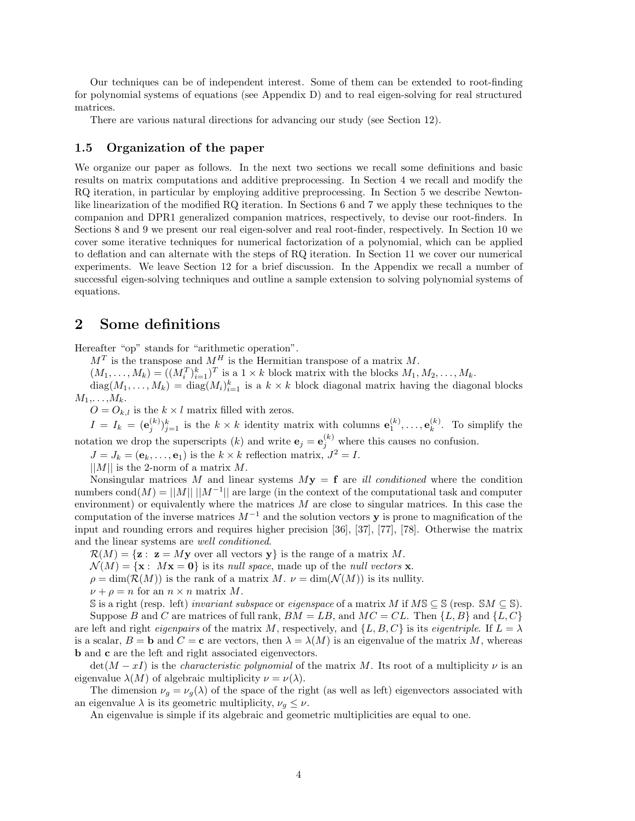Our techniques can be of independent interest. Some of them can be extended to root-finding for polynomial systems of equations (see Appendix D) and to real eigen-solving for real structured matrices.

There are various natural directions for advancing our study (see Section 12).

#### **1.5 Organization of the paper**

We organize our paper as follows. In the next two sections we recall some definitions and basic results on matrix computations and additive preprocessing. In Section 4 we recall and modify the RQ iteration, in particular by employing additive preprocessing. In Section 5 we describe Newtonlike linearization of the modified RQ iteration. In Sections 6 and 7 we apply these techniques to the companion and DPR1 generalized companion matrices, respectively, to devise our root-finders. In Sections 8 and 9 we present our real eigen-solver and real root-finder, respectively. In Section 10 we cover some iterative techniques for numerical factorization of a polynomial, which can be applied to deflation and can alternate with the steps of RQ iteration. In Section 11 we cover our numerical experiments. We leave Section 12 for a brief discussion. In the Appendix we recall a number of successful eigen-solving techniques and outline a sample extension to solving polynomial systems of equations.

## **2 Some definitions**

Hereafter "op" stands for "arithmetic operation".

 $M<sup>T</sup>$  is the transpose and  $M<sup>H</sup>$  is the Hermitian transpose of a matrix *M*.

 $(M_1, \ldots, M_k) = ((M_i^T)_{i=1}^k)^T$  is a  $1 \times k$  block matrix with the blocks  $M_1, M_2, \ldots, M_k$ .  $diag(M_1, \ldots, M_k) = diag(M_i)_{i=1}^k$  is a  $k \times k$  block diagonal matrix having the diagonal blocks  $M_1, \ldots, M_k$ .

 $O = O_{k,l}$  is the  $k \times l$  matrix filled with zeros.

 $I = I_k = (\mathbf{e}_j^{(k)})_{j=1}^k$  is the  $k \times k$  identity matrix with columns  $\mathbf{e}_1^{(k)}, \ldots, \mathbf{e}_k^{(k)}$ . To simplify the notation we drop the superscripts  $(k)$  and write  $\mathbf{e}_j = \mathbf{e}_j^{(k)}$  where this causes no confusion.

 $J = J_k = (\mathbf{e}_k, \dots, \mathbf{e}_1)$  is the  $k \times k$  reflection matrix,  $J^2 = I$ .

||*M*|| is the 2-norm of a matrix *M*.

Nonsingular matrices M and linear systems  $My = \mathbf{f}$  are *ill conditioned* where the condition numbers cond $(M) = ||M|| \, ||M^{-1}||$  are large (in the context of the computational task and computer environment) or equivalently where the matrices *M* are close to singular matrices. In this case the computation of the inverse matrices  $M^{-1}$  and the solution vectors **y** is prone to magnification of the input and rounding errors and requires higher precision [36], [37], [77], [78]. Otherwise the matrix and the linear systems are *well conditioned*.

 $\mathcal{R}(M) = {\mathbf{z} : \mathbf{z} = M\mathbf{y}$  over all vectors  $\mathbf{y}$  is the range of a matrix M.

 $\mathcal{N}(M) = {\mathbf{x} : M\mathbf{x} = \mathbf{0}}$  is its *null space*, made up of the *null vectors* **x**.

 $\rho = \dim(\mathcal{R}(M))$  is the rank of a matrix *M*.  $\nu = \dim(\mathcal{N}(M))$  is its nullity.

 $\nu + \rho = n$  for an  $n \times n$  matrix *M*.

S is a right (resp. left) *invariant subspace* or *eigenspace* of a matrix *M* if  $MS \subseteq S$  (resp.  $SM \subseteq S$ ). Suppose *B* and *C* are matrices of full rank,  $BM = LB$ , and  $MC = CL$ . Then  $\{L, B\}$  and  $\{L, C\}$ are left and right *eigenpairs* of the matrix *M*, respectively, and  $\{L, B, C\}$  is its *eigentriple*. If  $L = \lambda$ is a scalar,  $B = \mathbf{b}$  and  $C = \mathbf{c}$  are vectors, then  $\lambda = \lambda(M)$  is an eigenvalue of the matrix *M*, whereas **b** and **c** are the left and right associated eigenvectors.

 $\det(M - xI)$  is the *characteristic polynomial* of the matrix *M*. Its root of a multiplicity *v* is an eigenvalue  $\lambda(M)$  of algebraic multiplicity  $\nu = \nu(\lambda)$ .

The dimension  $\nu_q = \nu_q(\lambda)$  of the space of the right (as well as left) eigenvectors associated with an eigenvalue  $\lambda$  is its geometric multiplicity,  $\nu_q \leq \nu$ .

An eigenvalue is simple if its algebraic and geometric multiplicities are equal to one.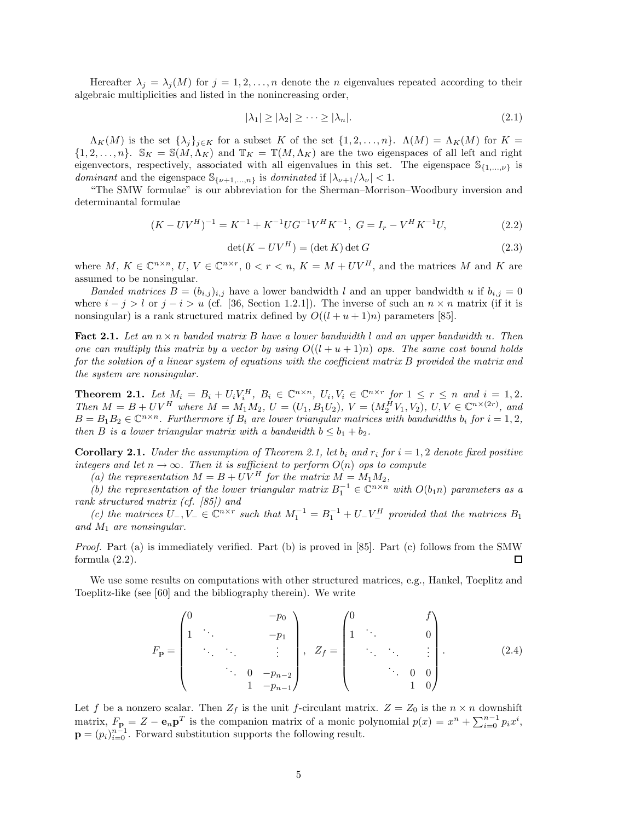Hereafter  $\lambda_j = \lambda_j(M)$  for  $j = 1, 2, ..., n$  denote the *n* eigenvalues repeated according to their algebraic multiplicities and listed in the nonincreasing order,

$$
|\lambda_1| \ge |\lambda_2| \ge \dots \ge |\lambda_n|.\tag{2.1}
$$

 $\Lambda_K(M)$  is the set  $\{\lambda_j\}_{j\in K}$  for a subset K of the set  $\{1, 2, ..., n\}$ .  $\Lambda(M) = \Lambda_K(M)$  for  $K =$  $\{1, 2, \ldots, n\}$ .  $\mathbb{S}_K = \mathbb{S}(M, \Lambda_K)$  and  $\mathbb{T}_K = \mathbb{T}(M, \Lambda_K)$  are the two eigenspaces of all left and right eigenvectors, respectively, associated with all eigenvalues in this set. The eigenspace  $\mathbb{S}_{\{1,\ldots,\nu\}}$  is *dominant* and the eigenspace  $\mathcal{S}_{\{\nu+1,\dots,n\}}$  is *dominated* if  $|\lambda_{\nu+1}/\lambda_{\nu}| < 1$ .

"The SMW formulae" is our abbreviation for the Sherman–Morrison–Woodbury inversion and determinantal formulae

$$
(K - UV^H)^{-1} = K^{-1} + K^{-1} U G^{-1} V^H K^{-1}, \ G = I_r - V^H K^{-1} U,
$$
\n(2.2)

$$
\det(K - UV^H) = (\det K) \det G \tag{2.3}
$$

where *M*,  $K \in \mathbb{C}^{n \times n}$ ,  $U, V \in \mathbb{C}^{n \times r}$ ,  $0 < r < n$ ,  $K = M + UV^H$ , and the matrices *M* and *K* are assumed to be nonsingular.

*Banded matrices*  $B = (b_{i,j})_{i,j}$  have a lower bandwidth *l* and an upper bandwidth *u* if  $b_{i,j} = 0$ where  $i - j > l$  or  $j - i > u$  (cf. [36, Section 1.2.1]). The inverse of such an  $n \times n$  matrix (if it is nonsingular) is a rank structured matrix defined by  $O((l + u + 1)n)$  parameters [85].

**Fact 2.1.** *Let an n* × *n banded matrix B have a lower bandwidth l and an upper bandwidth u. Then one can multiply this matrix by a vector by using*  $O((l + u + 1)n)$  *ops. The same cost bound holds for the solution of a linear system of equations with the coefficient matrix B provided the matrix and the system are nonsingular.*

**Theorem 2.1.** Let  $M_i = B_i + U_i V_i^H$ ,  $B_i \in \mathbb{C}^{n \times n}$ ,  $U_i, V_i \in \mathbb{C}^{n \times r}$  for  $1 \leq r \leq n$  and  $i = 1, 2$ . Then  $M = B + UV^H$  where  $M = M_1 M_2$ ,  $U = (U_1, B_1 U_2)$ ,  $V = (M_2^H V_1, V_2)$ ,  $U, V \in \mathbb{C}^{n \times (2r)}$ , and  $B = B_1 B_2 \in \mathbb{C}^{n \times n}$ . Furthermore if  $B_i$  are lower triangular matrices with bandwidths  $b_i$  for  $i = 1, 2,$ *then B is a lower triangular matrix with a bandwidth*  $b \leq b_1 + b_2$ .

**Corollary 2.1.** *Under the assumption of Theorem 2.1, let*  $b_i$  and  $r_i$  for  $i = 1, 2$  *denote fixed positive integers and let*  $n \to \infty$ *. Then it is sufficient to perform*  $O(n)$  *ops to compute* 

(a) the representation  $M = B + UV^H$  for the matrix  $M = M_1 M_2$ ,

*(b)* the representation of the lower triangular matrix  $B_1^{-1}$  ∈  $\mathbb{C}^{n \times n}$  *with*  $O(b_1 n)$  *parameters as a rank structured matrix (cf. [85]) and*

*(c)* the matrices  $U_-, V_− \in \mathbb{C}^{n \times r}$  such that  $M_1^{-1} = B_1^{-1} + U_- V_-^H$  provided that the matrices  $B_1$ *and M*<sup>1</sup> *are nonsingular.*

*Proof.* Part (a) is immediately verified. Part (b) is proved in [85]. Part (c) follows from the SMW formula  $(2.2)$ . 口

We use some results on computations with other structured matrices, e.g., Hankel, Toeplitz and Toeplitz-like (see [60] and the bibliography therein). We write

$$
F_{\mathbf{p}} = \begin{pmatrix} 0 & & & & -p_0 \\ 1 & \ddots & & & & \\ & \ddots & & & & \vdots \\ & & \ddots & & & \vdots \\ & & & 0 & -p_{n-2} \\ & & & & 1 & -p_{n-1} \end{pmatrix}, \quad Z_f = \begin{pmatrix} 0 & & & & f \\ 1 & \ddots & & & 0 \\ & \ddots & & & \vdots \\ & & \ddots & & \vdots \\ & & & 0 & 0 \\ & & & & 1 & 0 \end{pmatrix} .
$$
 (2.4)

Let *f* be a nonzero scalar. Then  $Z_f$  is the unit *f*-circulant matrix.  $Z = Z_0$  is the  $n \times n$  downshift matrix,  $F_{\mathbf{p}_i} = Z - \mathbf{e}_n \mathbf{p}^T$  is the companion matrix of a monic polynomial  $p(x) = x^n + \sum_{i=0}^{n-1} p_i x^i$ ,  $\mathbf{p} = (p_i)_{i=0}^{n-1}$ . Forward substitution supports the following result.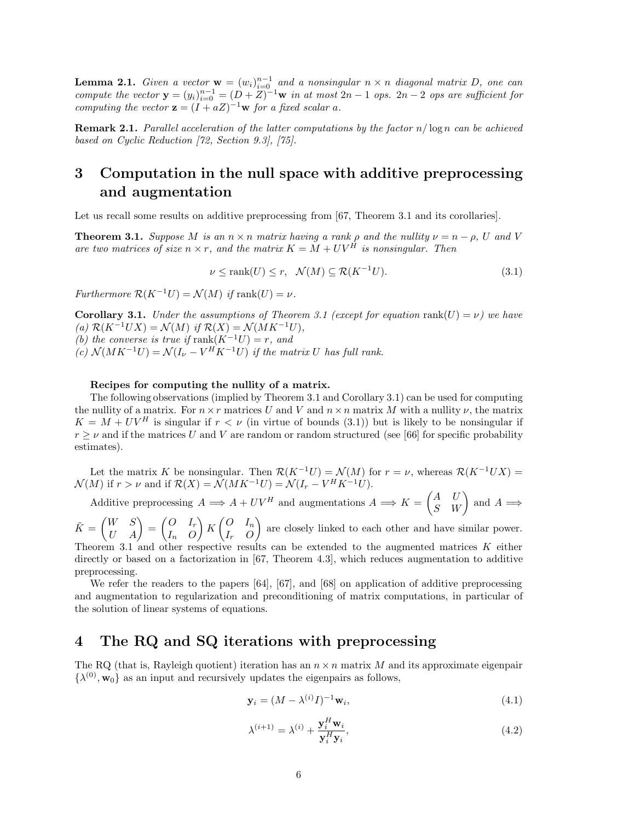**Lemma 2.1.** *Given a vector*  $\mathbf{w} = (w_i)_{i=0}^{n-1}$  *and a nonsingular*  $n \times n$  *diagonal matrix D, one can compute the vector*  $\mathbf{y} = (y_i)_{i=0}^{n-1} = (D + Z)^{-1}\mathbf{w}$  *in at most*  $2n - 1$  *ops.*  $2n - 2$  *ops are sufficient for computing the vector*  $\mathbf{z} = (I + aZ)^{-1}\mathbf{w}$  *for a fixed scalar a.* 

**Remark 2.1.** *Parallel acceleration of the latter computations by the factor*  $n/\log n$  *can be achieved based on Cyclic Reduction [72, Section 9.3], [75].*

## **3 Computation in the null space with additive preprocessing and augmentation**

Let us recall some results on additive preprocessing from [67, Theorem 3.1 and its corollaries].

**Theorem 3.1.** *Suppose M is an*  $n \times n$  *matrix having a rank*  $\rho$  *and the nullity*  $\nu = n - \rho$ *, U and V are two matrices of size*  $n \times r$ *, and the matrix*  $K = M + UV^H$  *is nonsingular. Then* 

$$
\nu \le \text{rank}(U) \le r, \quad \mathcal{N}(M) \subseteq \mathcal{R}(K^{-1}U). \tag{3.1}
$$

*Furthermore*  $\mathcal{R}(K^{-1}U) = \mathcal{N}(M)$  *if* rank $(U) = \nu$ *.* 

**Corollary 3.1.** *Under the assumptions of Theorem 3.1 (except for equation* rank $(U) = \nu$ ) we have  $(a)$   $\mathcal{R}(K^{-1}UX) = \mathcal{N}(M)$  *if*  $\mathcal{R}(X) = \mathcal{N}(MK^{-1}U)$ *, (b)* the converse is true if rank $(K^{-1}U) = r$ , and  $f(c)$   $\mathcal{N}(MK^{-1}U) = \mathcal{N}(I_{\nu} - V^H K^{-1} U)$  *if the matrix U has full rank.* 

#### **Recipes for computing the nullity of a matrix.**

The following observations (implied by Theorem 3.1 and Corollary 3.1) can be used for computing the nullity of a matrix. For  $n \times r$  matrices *U* and *V* and  $n \times n$  matrix *M* with a nullity  $\nu$ , the matrix  $K = M + UV^H$  is singular if  $r < \nu$  (in virtue of bounds (3.1)) but is likely to be nonsingular if  $r \geq \nu$  and if the matrices *U* and *V* are random or random structured (see [66] for specific probability estimates).

Let the matrix *K* be nonsingular. Then  $\mathcal{R}(K^{-1}U) = \mathcal{N}(M)$  for  $r = \nu$ , whereas  $\mathcal{R}(K^{-1}UX) =$  $\mathcal{N}(M)$  if  $r > \nu$  and if  $\mathcal{R}(X) = \mathcal{N}(MK^{-1}U) = \mathcal{N}(I_r - V^H K^{-1}U).$ 

Additive preprocessing  $A \implies A + UV^H$  and augmentations  $A \implies K = \begin{pmatrix} A & U \\ S & W \end{pmatrix}$  and  $A \implies$ 

 $\tilde{K} = \begin{pmatrix} W & S \ U & A \end{pmatrix} = \begin{pmatrix} O & I_r \ I_n & O \end{pmatrix}$ *I<sup>n</sup> O*  $\bigg\} K \begin{pmatrix} 0 & I_n \\ I_n & O \end{pmatrix}$ *I<sup>r</sup> O* are closely linked to each other and have similar power. Theorem 3.1 and other respective results can be extended to the augmented matrices *K* either directly or based on a factorization in [67, Theorem 4.3], which reduces augmentation to additive preprocessing.

We refer the readers to the papers [64], [67], and [68] on application of additive preprocessing and augmentation to regularization and preconditioning of matrix computations, in particular of the solution of linear systems of equations.

## **4 The RQ and SQ iterations with preprocessing**

The RQ (that is, Rayleigh quotient) iteration has an  $n \times n$  matrix M and its approximate eigenpair  $\{\lambda^{(0)}, \mathbf{w}_0\}$  as an input and recursively updates the eigenpairs as follows,

$$
\mathbf{y}_i = (M - \lambda^{(i)} I)^{-1} \mathbf{w}_i,\tag{4.1}
$$

$$
\lambda^{(i+1)} = \lambda^{(i)} + \frac{\mathbf{y}_i^H \mathbf{w}_i}{\mathbf{y}_i^H \mathbf{y}_i},\tag{4.2}
$$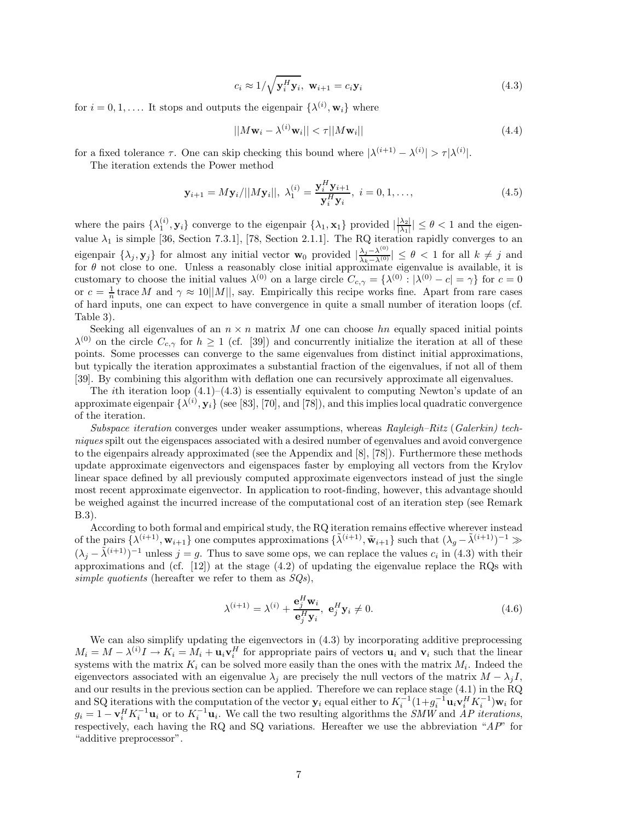$$
c_i \approx 1/\sqrt{\mathbf{y}_i^H \mathbf{y}_i}, \ \mathbf{w}_{i+1} = c_i \mathbf{y}_i
$$
\n(4.3)

for  $i = 0, 1, \ldots$  It stops and outputs the eigenpair  $\{\lambda^{(i)}, \mathbf{w}_i\}$  where

$$
||M\mathbf{w}_i - \lambda^{(i)}\mathbf{w}_i|| < \tau ||M\mathbf{w}_i|| \tag{4.4}
$$

for a fixed tolerance  $\tau$ . One can skip checking this bound where  $|\lambda^{(i+1)} - \lambda^{(i)}| > \tau |\lambda^{(i)}|$ .

The iteration extends the Power method

$$
\mathbf{y}_{i+1} = M\mathbf{y}_i/||M\mathbf{y}_i||, \ \lambda_1^{(i)} = \frac{\mathbf{y}_i^H \mathbf{y}_{i+1}}{\mathbf{y}_i^H \mathbf{y}_i}, \ i = 0, 1, \dots,
$$
\n(4.5)

where the pairs  $\{\lambda_1^{(i)}, \mathbf{y}_i\}$  converge to the eigenpair  $\{\lambda_1, \mathbf{x}_1\}$  provided  $\left|\frac{\lambda_2}{\lambda_1}\right| \leq \theta < 1$  and the eigenvalue  $\lambda_1$  is simple [36, Section 7.3.1], [78, Section 2.1.1]. The RQ iteration rapidly converges to an eigenpair  $\{\lambda_j, \mathbf{y}_j\}$  for almost any initial vector  $\mathbf{w}_0$  provided  $|\frac{\lambda_j - \lambda^{(0)}}{\lambda_k - \lambda^{(0)}}| \leq \theta < 1$  for all  $k \neq j$  and for  $\theta$  not close to one. Unless a reasonably close initial approximate eigenvalue is avai customary to choose the initial values  $\lambda^{(0)}$  on a large circle  $C_{c,\gamma} = {\lambda^{(0)} : |\lambda^{(0)} - c| = \gamma}$  for  $c = 0$ or  $c = \frac{1}{n}$  trace *M* and  $\gamma \approx 10||M||$ , say. Empirically this recipe works fine. Apart from rare cases of hard inputs, one can expect to have convergence in quite a small number of iteration loops (cf. Table 3).

Seeking all eigenvalues of an  $n \times n$  matrix *M* one can choose *hn* equally spaced initial points  $\lambda^{(0)}$  on the circle  $C_{c,\gamma}$  for  $h \geq 1$  (cf. [39]) and concurrently initialize the iteration at all of these points. Some processes can converge to the same eigenvalues from distinct initial approximations, but typically the iteration approximates a substantial fraction of the eigenvalues, if not all of them [39]. By combining this algorithm with deflation one can recursively approximate all eigenvalues.

The *i*th iteration loop (4.1)–(4.3) is essentially equivalent to computing Newton's update of an approximate eigenpair  $\{\lambda^{(i)}, \mathbf{y}_i\}$  (see [83], [70], and [78]), and this implies local quadratic convergence of the iteration.

*Subspace iteration* converges under weaker assumptions, whereas *Rayleigh–Ritz* (*Galerkin) techniques* spilt out the eigenspaces associated with a desired number of egenvalues and avoid convergence to the eigenpairs already approximated (see the Appendix and [8], [78]). Furthermore these methods update approximate eigenvectors and eigenspaces faster by employing all vectors from the Krylov linear space defined by all previously computed approximate eigenvectors instead of just the single most recent approximate eigenvector. In application to root-finding, however, this advantage should be weighed against the incurred increase of the computational cost of an iteration step (see Remark B.3).

According to both formal and empirical study, the RQ iteration remains effective wherever instead of the pairs  $\{\lambda^{(i+1)}, \mathbf{w}_{i+1}\}$  one computes approximations  $\{\lambda^{(i+1)}, \mathbf{\tilde{w}}_{i+1}\}$  such that  $(\lambda_g - \lambda^{(i+1)})^{-1} \gg$  $(\lambda_i - \tilde{\lambda}^{(i+1)})^{-1}$  unless  $j = g$ . Thus to save some ops, we can replace the values  $c_i$  in (4.3) with their approximations and (cf.  $[12]$ ) at the stage  $(4.2)$  of updating the eigenvalue replace the RQs with *simple quotients* (hereafter we refer to them as *SQs*),

$$
\lambda^{(i+1)} = \lambda^{(i)} + \frac{\mathbf{e}_j^H \mathbf{w}_i}{\mathbf{e}_j^H \mathbf{y}_i}, \ \mathbf{e}_j^H \mathbf{y}_i \neq 0. \tag{4.6}
$$

We can also simplify updating the eigenvectors in  $(4.3)$  by incorporating additive preprocessing  $M_i = M - \lambda^{(i)}I \rightarrow K_i = M_i + \mathbf{u}_i \mathbf{v}_i^H$  for appropriate pairs of vectors  $\mathbf{u}_i$  and  $\mathbf{v}_i$  such that the linear systems with the matrix  $K_i$  can be solved more easily than the ones with the matrix  $M_i$ . Indeed the eigenvectors associated with an eigenvalue  $\lambda_j$  are precisely the null vectors of the matrix  $M - \lambda_j I$ , and our results in the previous section can be applied. Therefore we can replace stage (4.1) in the RQ and SQ iterations with the computation of the vector  $y_i$  equal either to  $K_i^{-1}(1+g_i^{-1}\mathbf{u}_i\mathbf{v}_i^H K_i^{-1})\mathbf{w}_i$  for  $g_i = 1 - \mathbf{v}_i^H K_i^{-1} \mathbf{u}_i$  or to  $K_i^{-1} \mathbf{u}_i$ . We call the two resulting algorithms the *SMW* and *AP iterations*, respectively, each having the RQ and SQ variations. Hereafter we use the abbreviation "*AP*" for "additive preprocessor".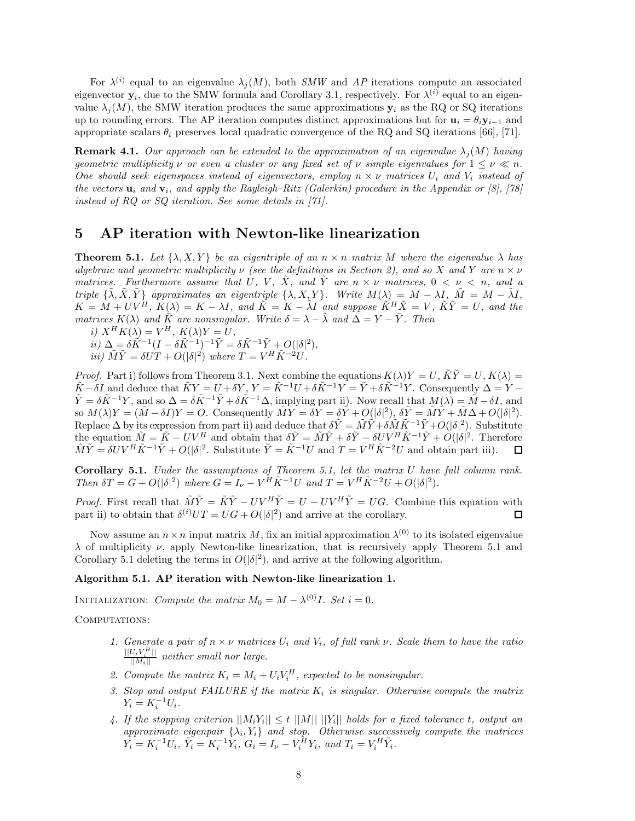For  $\lambda^{(i)}$  equal to an eigenvalue  $\lambda_j(M)$ , both *SMW* and *AP* iterations compute an associated eigenvector  $\mathbf{y}_i$ , due to the SMW formula and Corollary 3.1, respectively. For  $\lambda^{(i)}$  equal to an eigenvalue  $\lambda_i(M)$ , the SMW iteration produces the same approximations  $y_i$  as the RQ or SQ iterations up to rounding errors. The AP iteration computes distinct approximations but for  $\mathbf{u}_i = \theta_i \mathbf{y}_{i-1}$  and appropriate scalars  $\theta_i$  preserves local quadratic convergence of the RQ and SQ iterations [66], [71].

**Remark 4.1.** *Our approach can be extended to the approximation of an eigenvalue*  $\lambda_i(M)$  *having geometric multiplicity*  $\nu$  *or even a cluster or any fixed set of*  $\nu$  *simple eigenvalues for*  $1 \leq \nu \leq n$ *. One should seek eigenspaces instead of eigenvectors, employ*  $n \times \nu$  *matrices*  $U_i$  *and*  $V_i$  *instead of the vectors* **u***<sup>i</sup> and* **v***i, and apply the Rayleigh–Ritz (Galerkin) procedure in the Appendix or [8], [78] instead of RQ or SQ iteration. See some details in [71].*

## **5 AP iteration with Newton-like linearization**

**Theorem 5.1.** *Let*  $\{\lambda, X, Y\}$  *be an eigentriple of an*  $n \times n$  *matrix M where the eigenvalue*  $\lambda$  *has algebraic and geometric multiplicity ν (see the definitions in Section 2), and so X and Y are n* × *ν matrices.* Furthermore assume that U, V, X, and Y are  $n \times \nu$  matrices,  $0 \leq \nu \leq n$ , and a *triple*  $\{\tilde{\lambda}, \tilde{X}, \tilde{Y}\}\$  *approximates an eigentriple*  $\{\lambda, X, Y\}\$ *. Write*  $M(\lambda) = M - \lambda I$ ,  $\tilde{M} = M - \tilde{\lambda}I$ ,  $K = \tilde{M} + UV^H$ ,  $K(\lambda) = K - \lambda I$ , and  $\tilde{K} = K - \tilde{\lambda}I$  and suppose  $\tilde{K}^H \tilde{X} = V$ ,  $\tilde{K}\tilde{Y} = U$ , and the *matrices*  $K(\lambda)$  *and*  $\tilde{K}$  *are nonsingular. Write*  $\delta = \lambda - \tilde{\lambda}$  *and*  $\Delta = Y - \tilde{Y}$ *. Then* 

 $i)$   $X^H K(\lambda) = V^H$ ,  $K(\lambda) Y = U$ ,

 $\tilde{i}i) \Delta = \delta \tilde{K}^{-1} (I - \delta \tilde{K}^{-1})^{-1} \tilde{Y} = \delta \tilde{K}^{-1} \tilde{Y} + O(|\delta|^2),$ *iii*)  $\tilde{M}\tilde{Y} = \delta U T + O(|\delta|^2)$  *where*  $T = V^H \tilde{K}^{-2} U$ .

*Proof.* Part i) follows from Theorem 3.1. Next combine the equations  $K(\lambda)Y = U$ ,  $\tilde{K}\tilde{Y} = U$ ,  $K(\lambda) =$  $\tilde{K}-\delta I$  and deduce that  $\tilde{K}Y=U+\delta Y$ ,  $Y=\tilde{K}^{-1}U+\delta \tilde{K}^{-1}Y=\tilde{Y}+\delta \tilde{K}^{-1}Y$ . Consequently  $\Delta=Y \tilde{Y} = \delta \tilde{K}^{-1}Y$ , and so  $\Delta = \delta \tilde{K}^{-1} \tilde{Y} + \delta \tilde{K}^{-1} \Delta$ , implying part ii). Now recall that  $M(\lambda) = \tilde{M} - \delta I$ , and so  $M(\lambda)Y = (\tilde{M} - \delta I)Y = O$ . Consequently  $\tilde{M}Y = \delta Y = \delta \tilde{Y} + O(|\delta|^2)$ ,  $\delta \tilde{Y} = \tilde{M}\tilde{Y} + \tilde{M}\Delta + O(|\delta|^2)$ .  $\text{Replace } \Delta \text{ by its expression from part ii) and deduce that } \delta \tilde{Y} = \tilde{M}\tilde{Y} + \delta \tilde{M}\tilde{K}^{-1}\tilde{Y} + O(|\delta|^2).$  Substitute the equation  $\tilde{M} = \tilde{K} - UV^H$  and obtain that  $\delta \tilde{Y} = \tilde{M}\tilde{Y} + \delta \tilde{Y} - \delta UV^H \tilde{K}^{-1} \tilde{Y} + O(|\delta|^2)$ . Therefore  $\tilde{M}\tilde{Y} = \delta UV^H \tilde{K}^{-1} \tilde{Y} + O(|\delta|^2)$ . Substitute  $\tilde{Y} = \tilde{K}^{-1} U$  and  $T = V^H \tilde{K}^{-2} U$  and obtain part iii).

**Corollary 5.1.** *Under the assumptions of Theorem 5.1, let the matrix U have full column rank.* Then  $\delta T = G + O(|\delta|^2)$  where  $G = I_{\nu} - V^{\tilde{H}} \tilde{K}^{-1} U$  and  $T = V^{\tilde{H}} \tilde{K}^{-2} U + O(|\delta|^2)$ .

*Proof.* First recall that  $\tilde{M}\tilde{Y} = \tilde{K}\tilde{Y} - UV^H\tilde{Y} = U - UV^H\tilde{Y} = UG$ . Combine this equation with part ii) to obtain that  $\delta^{(i)}UT = UG + O(|\delta|^2)$  and arrive at the corollary.

Now assume an  $n \times n$  input matrix *M*, fix an initial approximation  $\lambda^{(0)}$  to its isolated eigenvalue *λ* of multiplicity *ν*, apply Newton-like linearization, that is recursively apply Theorem 5.1 and Corollary 5.1 deleting the terms in  $O(|\delta|^2)$ , and arrive at the following algorithm.

#### **Algorithm 5.1. AP iteration with Newton-like linearization 1.**

INITIALIZATION: *Compute the matrix*  $M_0 = M - \lambda^{(0)}I$ *. Set*  $i = 0$ *.* 

COMPUTATIONS:

- *1. Generate a pair of*  $n \times \nu$  *matrices*  $U_i$  *and*  $V_i$ *, of full rank*  $\nu$ *. Scale them to have the ratio*  $\frac{||U_i V_i^H||}{||M_i||}$  *neither small nor large.*
- 2. Compute the matrix  $K_i = M_i + U_i V_i^H$ , expected to be nonsingular.
- *3. Stop and output FAILURE if the matrix K<sup>i</sup> is singular. Otherwise compute the matrix*  $Y_i = K_i^{-1} U_i$ .
- 4. If the stopping criterion  $||M_iY_i|| \le t ||M|| ||Y_i||$  holds for a fixed tolerance *t*, output an *approximate eigenpair*  $\{\lambda_i, Y_i\}$  *and stop. Otherwise successively compute the matrices*  $Y_i = K_i^{-1} U_i, \ \tilde{Y}_i = K_i^{-1} Y_i, \ G_i = I_{\nu} - V_i^H Y_i, \ and \ T_i = V_i^H \tilde{Y}_i.$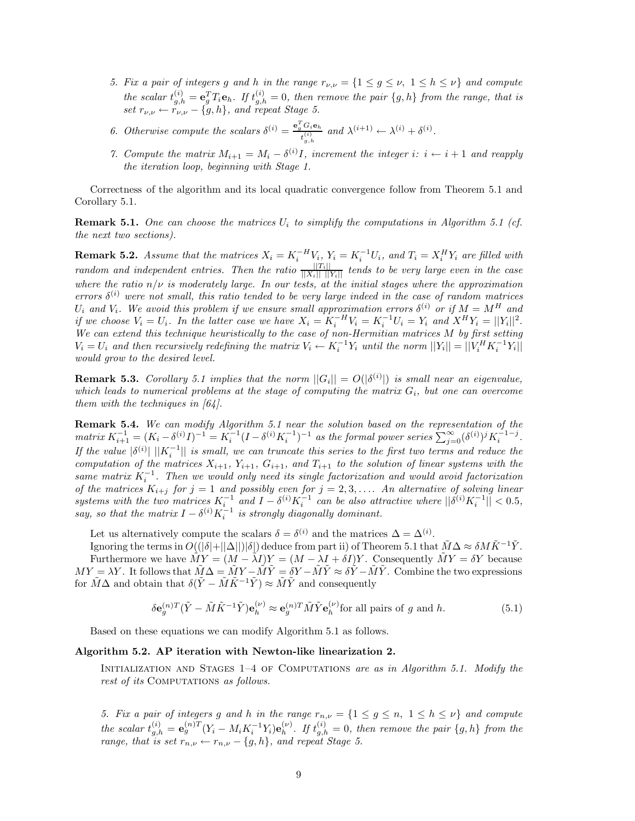- *5. Fix a pair of integers g and h in the range*  $r_{\nu,\nu} = \{1 \leq g \leq \nu, 1 \leq h \leq \nu\}$  *and compute* the scalar  $t_{g,h}^{(i)} = \mathbf{e}_g^T T_i \mathbf{e}_h$ . If  $t_{g,h}^{(i)} = 0$ , then remove the pair  $\{g,h\}$  from the range, that is *set*  $r_{\nu,\nu} \leftarrow r_{\nu,\nu} - \{g,h\}$ *, and repeat Stage 5.*
- *6. Otherwise compute the scalars*  $\delta^{(i)} = \frac{e_g^T G_i e_h}{t_{g,h}^{(i)}}$  $and \lambda^{(i+1)} \leftarrow \lambda^{(i)} + \delta^{(i)}$ .
- *7. Compute the matrix*  $M_{i+1} = M_i \delta^{(i)}I$ , increment the integer *i*:  $i \leftarrow i+1$  and reapply *the iteration loop, beginning with Stage 1.*

Correctness of the algorithm and its local quadratic convergence follow from Theorem 5.1 and Corollary 5.1.

**Remark 5.1.** One can choose the matrices  $U_i$  to simplify the computations in Algorithm 5.1 (cf. *the next two sections).*

**Remark 5.2.** Assume that the matrices  $X_i = K_i^{-H}V_i$ ,  $Y_i = K_i^{-1}U_i$ , and  $T_i = X_i^H Y_i$  are filled with *random and independent entries. Then the ratio*  $\frac{||T_i||}{||X_i|| \cdot ||Y_i||}$  *tends to be very large even in the case where the ratio n/ν is moderately large. In our tests, at the initial stages where the approximation errors*  $\delta^{(i)}$  *were not small, this ratio tended to be very large indeed in the case of random matrices*  $U_i$  *and*  $V_i$ *. We avoid this problem if we ensure small approximation errors*  $\delta^{(i)}$  *or if*  $M = M^H$  *and* if we choose  $V_i = U_i$ . In the latter case we have  $X_i = K_i^{-H}V_i = K_i^{-1}U_i = Y_i$  and  $X^H Y_i = ||Y_i||^2$ . *We can extend this technique heuristically to the case of non-Hermitian matrices M by first setting*  $V_i = U_i$  and then recursively redefining the matrix  $V_i \leftarrow K_i^{-1} Y_i$  until the norm  $||Y_i|| = ||V_i^H K_i^{-1} Y_i||$ *would grow to the desired level.*

**Remark 5.3.** *Corollary 5.1 implies that the norm*  $||G_i|| = O(|\delta^{(i)}|)$  *is small near an eigenvalue, which leads to numerical problems at the stage of computing the matrix Gi, but one can overcome them with the techniques in [64].*

**Remark 5.4.** *We can modify Algorithm 5.1 near the solution based on the representation of the*  $matrix K_{i+1}^{-1} = (K_i - \delta^{(i)}I)^{-1} = K_i^{-1}(I - \delta^{(i)}K_i^{-1})^{-1}$  as the formal power series  $\sum_{j=0}^{\infty} (\delta^{(i)})^j K_i^{-1-j}$ . *If the value*  $|\delta^{(i)}| ||K_i^{-1}||$  *is small, we can truncate this series to the first two terms and reduce the computation of the matrices*  $X_{i+1}$ ,  $Y_{i+1}$ ,  $G_{i+1}$ , and  $T_{i+1}$  to the solution of linear systems with the *same matrix*  $K_i^{-1}$ . Then we would only need its single factorization and would avoid factorization *of the matrices*  $K_{i+j}$  *for*  $j = 1$  *and possibly even for*  $j = 2, 3, \ldots$ *. An alternative of solving linear* systems with the two matrices  $K_i^{-1}$  and  $I - \delta^{(i)} K_i^{-1}$  can be also attractive where  $||\delta^{(i)} K_i^{-1}|| < 0.5$ , *say, so that the matrix*  $I - \delta^{(i)} K_i^{-1}$  *is strongly diagonally dominant.* 

Let us alternatively compute the scalars  $\delta = \delta^{(i)}$  and the matrices  $\Delta = \Delta^{(i)}$ .

Ignoring the terms in  $O((|\delta|+||\Delta||)|\delta|)$  deduce from part ii) of Theorem 5.1 that  $\tilde{M}\Delta \approx \delta M\tilde{K}^{-1}\tilde{Y}$ . Furthermore we have  $\tilde{M}Y = (M - \tilde{\lambda}I)Y = (M - \lambda I + \delta I)Y$ . Consequently  $\tilde{M}Y = \delta Y$  because  $MY = \lambda Y$ . It follows that  $\tilde{M}\Delta = \tilde{M}Y - \tilde{M}\tilde{Y} = \delta Y - \tilde{M}\tilde{Y} \approx \delta \tilde{Y} - \tilde{M}\tilde{Y}$ . Combine the two expressions for  $\tilde{M}\Delta$  and obtain that  $\delta(\tilde{Y}-\tilde{M}\tilde{K}^{-1}\tilde{Y})\approx \tilde{M}\tilde{Y}$  and consequently

$$
\delta \mathbf{e}_g^{(n)T} (\tilde{Y} - \tilde{M}\tilde{K}^{-1}\tilde{Y}) \mathbf{e}_h^{(\nu)} \approx \mathbf{e}_g^{(n)T} \tilde{M}\tilde{Y} \mathbf{e}_h^{(\nu)} \text{for all pairs of } g \text{ and } h. \tag{5.1}
$$

Based on these equations we can modify Algorithm 5.1 as follows.

#### **Algorithm 5.2. AP iteration with Newton-like linearization 2.**

Initialization and Stages 1–4 of Computations *are as in Algorithm 5.1. Modify the rest of its* COMPUTATIONS *as follows.* 

*5. Fix a pair of integers g* and *h* in the range  $r_{n,\nu} = \{1 \leq g \leq n, 1 \leq h \leq \nu\}$  and compute the scalar  $t_{g,h}^{(i)} = \mathbf{e}_g^{(n)T} (Y_i - M_i K_i^{-1} Y_i) \mathbf{e}_h^{(\nu)}$ . If  $t_{g,h}^{(i)} = 0$ , then remove the pair  $\{g,h\}$  from the *range, that is set*  $r_{n,\nu} \leftarrow r_{n,\nu} - \{g, h\}$ *, and repeat Stage 5.*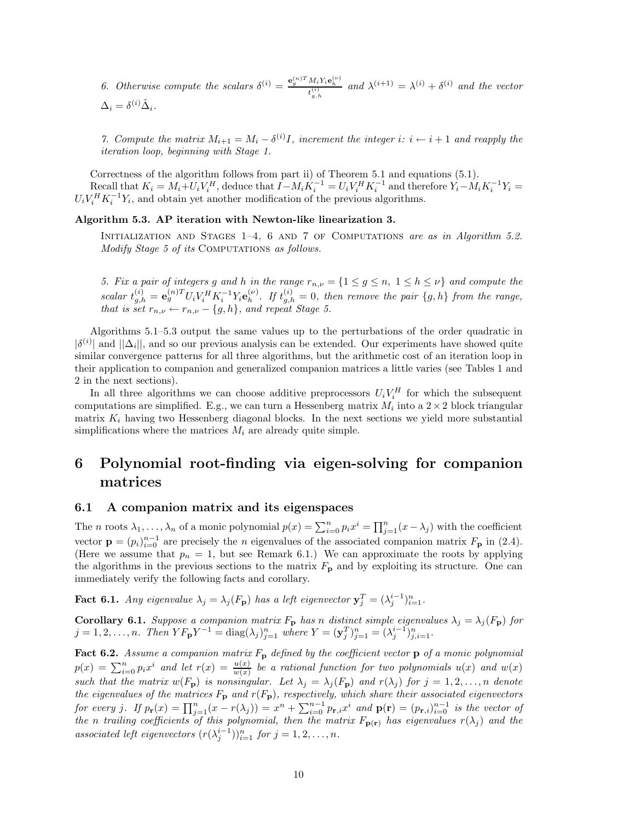*6. Otherwise compute the scalars*  $\delta^{(i)} = \frac{e_g^{(n)T} M_i Y_i e_h^{(i)}}{t_g^{(i)} h}$  and  $\lambda^{(i+1)} = \lambda^{(i)} + \delta^{(i)}$  and the vector  $\frac{1}{2}$  $\Delta_i = \delta^{(i)} \tilde{\Delta}_i.$ 

*7. Compute the matrix*  $M_{i+1} = M_i - \delta^{(i)}I$ , increment the integer  $i: i \leftarrow i+1$  and reapply the *iteration loop, beginning with Stage 1.*

Correctness of the algorithm follows from part ii) of Theorem 5.1 and equations (5.1). Recall that  $K_i = M_i + U_i V_i^H$ , deduce that  $I - M_i K_i^{-1} = U_i V_i^H K_i^{-1}$  and therefore  $Y_i - M_i K_i^{-1} Y_i =$  $U_i V_i^H K_i^{-1} Y_i$ , and obtain yet another modification of the previous algorithms.

#### **Algorithm 5.3. AP iteration with Newton-like linearization 3.**

INITIALIZATION AND STAGES 1-4, 6 AND 7 OF COMPUTATIONS *are as in Algorithm 5.2. Modify Stage 5 of its* COMPUTATIONS *as follows.* 

*5. Fix a pair of integers g* and *h* in the range  $r_{n,\nu} = \{1 \leq g \leq n, 1 \leq h \leq \nu\}$  and compute the scalar  $t_{g,h}^{(i)} = \mathbf{e}_g^{(n)T} U_i V_i^H K_i^{-1} Y_i \mathbf{e}_h^{(\nu)}$ . If  $t_{g,h}^{(i)} = 0$ , then remove the pair  $\{g,h\}$  from the range, *that is set*  $r_{n,\nu} \leftarrow r_{n,\nu} - \{g, h\}$ *, and repeat Stage 5.* 

Algorithms 5.1–5.3 output the same values up to the perturbations of the order quadratic in  $|\delta^{(i)}|$  and  $||\Delta_i||$ , and so our previous analysis can be extended. Our experiments have showed quite similar convergence patterns for all three algorithms, but the arithmetic cost of an iteration loop in their application to companion and generalized companion matrices a little varies (see Tables 1 and 2 in the next sections).

In all three algorithms we can choose additive preprocessors  $U_i V_i^H$  for which the subsequent computations are simplified. E.g., we can turn a Hessenberg matrix  $M_i$  into a  $2 \times 2$  block triangular matrix  $K_i$  having two Hessenberg diagonal blocks. In the next sections we yield more substantial simplifications where the matrices  $M_i$  are already quite simple.

## **6 Polynomial root-finding via eigen-solving for companion matrices**

#### **6.1 A companion matrix and its eigenspaces**

The *n* roots  $\lambda_1, \ldots, \lambda_n$  of a monic polynomial  $p(x) = \sum_{i=0}^n p_i x^i = \prod_{j=1}^n (x - \lambda_j)$  with the coefficient vector  $\mathbf{p} = (p_i)_{i=0}^{n-1}$  are precisely the *n* eigenvalues of the associated companion matrix  $F_{\mathbf{p}}$  in (2.4). (Here we assume that  $p_n = 1$ , but see Remark 6.1.) We can approximate the roots by applying the algorithms in the previous sections to the matrix *F***<sup>p</sup>** and by exploiting its structure. One can immediately verify the following facts and corollary.

**Fact 6.1.** *Any eigenvalue*  $\lambda_j = \lambda_j(F_p)$  *has a left eigenvector*  $\mathbf{y}_j^T = (\lambda_j^{i-1})_{i=1}^n$ .

**Corollary 6.1.** *Suppose a companion matrix*  $F_{\bf p}$  *has n distinct simple eigenvalues*  $\lambda_j = \lambda_j(F_{\bf p})$  *for*  $j = 1, 2, ..., n$ . Then  $Y F_{\mathbf{p}} Y^{-1} = \text{diag}(\lambda_j)_{j=1}^n$  where  $Y = (\mathbf{y}_j^T)_{j=1}^n = (\lambda_j^{i-1})_{j,i=1}^n$ .

**Fact 6.2.** *Assume a companion matrix F***<sup>p</sup>** *defined by the coefficient vector* **p** *of a monic polynomial*  $p(x) = \sum_{i=0}^{n} p_i x^i$  and let  $r(x) = \frac{u(x)}{w(x)}$  be a rational function for two polynomials  $u(x)$  and  $w(x)$ such that the matrix  $w(F_p)$  is nonsingular. Let  $\lambda_j = \lambda_j(F_p)$  and  $r(\lambda_j)$  for  $j = 1, 2, ..., n$  denote *the eigenvalues of the matrices F***<sup>p</sup>** *and r*(*F***p**)*, respectively, which share their associated eigenvectors* for every j. If  $p_{\mathbf{r}}(x) = \prod_{j=1}^{n} (x - r(\lambda_j)) = x^n + \sum_{i=0}^{n-1} p_{\mathbf{r},i} x^i$  and  $\mathbf{p}(\mathbf{r}) = (p_{\mathbf{r},i})_{i=0}^{n-1}$  is the vector of *the n trailing coefficients of this polynomial, then the matrix*  $F_{p(r)}$  *has eigenvalues*  $r(\lambda_j)$  *and the associated left eigenvectors*  $(r(\lambda_j^{i-1}))_{i=1}^n$  *for*  $j = 1, 2, ..., n$ *.*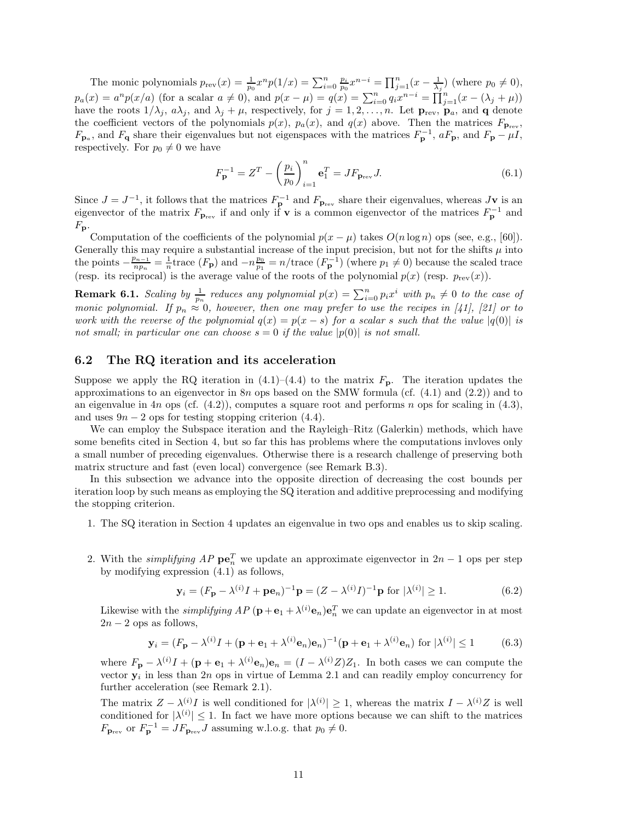The monic polynomials  $p_{rev}(x) = \frac{1}{p_0} x^n p(1/x) = \sum_{i=0}^n \frac{p_i}{p_0} x^{n-i} = \prod_{j=1}^n (x - \frac{1}{\lambda_j})$  (where  $p_0 \neq 0$ ),  $p_a(x) = a^n p(x/a)$  (for a scalar  $a \neq 0$ ), and  $p(x - \mu) = q(x) = \sum_{i=0}^n q_i x^{n-i} = \prod_{j=1}^n (x - (\lambda_j + \mu))$ have the roots  $1/\lambda_j$ ,  $a\lambda_j$ , and  $\lambda_j + \mu$ , respectively, for  $j = 1, 2, ..., n$ . Let  $\mathbf{p}_{rev}$ ,  $\mathbf{p}_a$ , and **q** denote the coefficient vectors of the polynomials  $p(x)$ ,  $p_a(x)$ , and  $q(x)$  above. Then the matrices  $F_{\textbf{p}_{rev}}$ , *F*<sub>**p**<sub>a</sub></sub>, and *F*<sub>**q**</sub> share their eigenvalues but not eigenspaces with the matrices  $F_{\bf p}^{-1}$ ,  $aF_{\bf p}$ , and  $F_{\bf p} - \mu I$ , respectively. For  $p_0 \neq 0$  we have

$$
F_{\mathbf{p}}^{-1} = Z^{T} - \left(\frac{p_{i}}{p_{0}}\right)_{i=1}^{n} \mathbf{e}_{1}^{T} = J F_{\mathbf{p}_{\text{rev}}} J. \tag{6.1}
$$

Since  $J = J^{-1}$ , it follows that the matrices  $F_{\mathbf{p}}^{-1}$  and  $F_{\mathbf{p}_{rev}}$  share their eigenvalues, whereas  $J\mathbf{v}$  is an eigenvector of the matrix  $F_{\mathbf{p}_{rev}}$  if and only if **v** is a common eigenvector of the matrices  $F_{\mathbf{p}}^{-1}$  and  $F_{\bf p}$ .

Computation of the coefficients of the polynomial  $p(x - \mu)$  takes  $O(n \log n)$  ops (see, e.g., [60]). Generally this may require a substantial increase of the input precision, but not for the shifts  $\mu$  into the points  $-\frac{p_{n-1}}{np_n} = \frac{1}{n}$  trace  $(F_p)$  and  $-n\frac{p_0}{p_1} = n/\text{trace}(F_p^{-1})$  (where  $p_1 \neq 0$ ) because the scaled trace (resp. its reciprocal) is the average value of the roots of the polynomial  $p(x)$  (resp.  $p_{rev}(x)$ ).

**Remark 6.1.** *Scaling by*  $\frac{1}{p_n}$  *reduces any polynomial*  $p(x) = \sum_{i=0}^n p_i x^i$  *with*  $p_n \neq 0$  *to the case of monic polynomial. If*  $p_n \approx 0$ *, however, then one may prefer to use the recipes in [41], [21] or to work with the reverse of the polynomial*  $q(x) = p(x - s)$  *for a scalar s such that the value*  $|q(0)|$  *is not small; in particular one can choose*  $s = 0$  *if the value*  $|p(0)|$  *is not small.* 

#### **6.2 The RQ iteration and its acceleration**

Suppose we apply the RQ iteration in  $(4.1)$ – $(4.4)$  to the matrix  $F_{p}$ . The iteration updates the approximations to an eigenvector in 8*n* ops based on the SMW formula (cf. (4.1) and (2.2)) and to an eigenvalue in 4*n* ops (cf. (4.2)), computes a square root and performs *n* ops for scaling in (4.3), and uses  $9n - 2$  ops for testing stopping criterion (4.4).

We can employ the Subspace iteration and the Rayleigh–Ritz (Galerkin) methods, which have some benefits cited in Section 4, but so far this has problems where the computations invloves only a small number of preceding eigenvalues. Otherwise there is a research challenge of preserving both matrix structure and fast (even local) convergence (see Remark B.3).

In this subsection we advance into the opposite direction of decreasing the cost bounds per iteration loop by such means as employing the SQ iteration and additive preprocessing and modifying the stopping criterion.

- 1. The SQ iteration in Section 4 updates an eigenvalue in two ops and enables us to skip scaling.
- 2. With the *simplifying AP*  $\mathbf{pe}_n^T$  we update an approximate eigenvector in  $2n 1$  ops per step by modifying expression (4.1) as follows,

$$
\mathbf{y}_i = (F_{\mathbf{p}} - \lambda^{(i)}I + \mathbf{p}\mathbf{e}_n)^{-1}\mathbf{p} = (Z - \lambda^{(i)}I)^{-1}\mathbf{p} \text{ for } |\lambda^{(i)}| \ge 1.
$$
 (6.2)

Likewise with the *simplifying*  $AP(\mathbf{p}+\mathbf{e}_1+\lambda^{(i)}\mathbf{e}_n)\mathbf{e}_n^T$  we can update an eigenvector in at most  $2n - 2$  ops as follows,

$$
\mathbf{y}_i = (F_\mathbf{p} - \lambda^{(i)}I + (\mathbf{p} + \mathbf{e}_1 + \lambda^{(i)}\mathbf{e}_n)\mathbf{e}_n)^{-1}(\mathbf{p} + \mathbf{e}_1 + \lambda^{(i)}\mathbf{e}_n) \text{ for } |\lambda^{(i)}| \le 1 \quad (6.3)
$$

where  $F_{\bf p} - \lambda^{(i)}I + (\bf p + e_1 + \lambda^{(i)}e_n)e_n = (I - \lambda^{(i)}Z)Z_1$ . In both cases we can compute the vector  $\mathbf{y}_i$  in less than 2*n* ops in virtue of Lemma 2.1 and can readily employ concurrency for further acceleration (see Remark 2.1).

The matrix  $Z - \lambda^{(i)}I$  is well conditioned for  $|\lambda^{(i)}| \geq 1$ , whereas the matrix  $I - \lambda^{(i)}Z$  is well conditioned for  $|\lambda^{(i)}| \leq 1$ . In fact we have more options because we can shift to the matrices  $F_{\mathbf{p}_{rev}}$  or  $F_{\mathbf{p}}^{-1} = JF_{\mathbf{p}_{rev}}J$  assuming w.l.o.g. that  $p_0 \neq 0$ .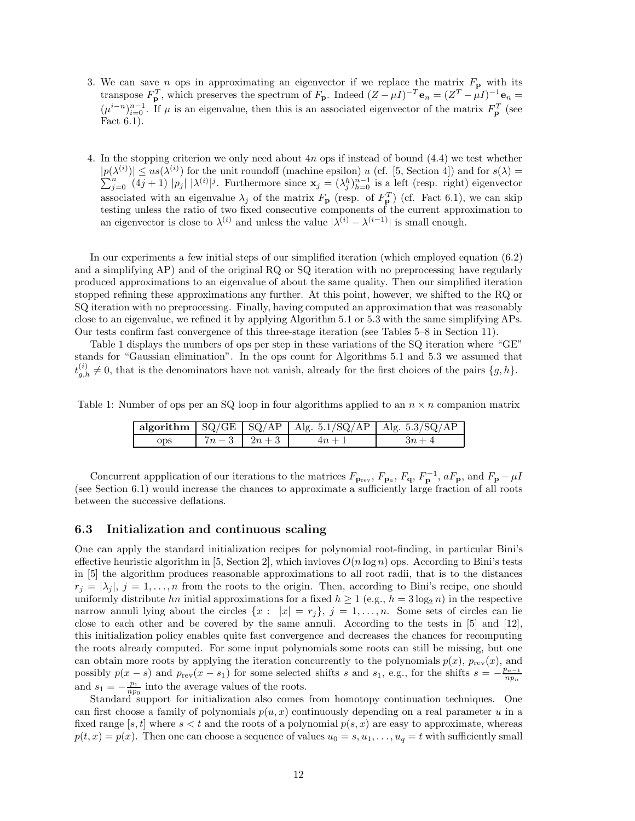- 3. We can save *n* ops in approximating an eigenvector if we replace the matrix *F***<sup>p</sup>** with its transpose  $F_{\bf p}^T$ , which preserves the spectrum of  $F_{\bf p}$ . Indeed  $(Z - \mu I)^{-T}$ **e**<sub>*n*</sub> =  $(Z^T - \mu I)^{-1}$ **e**<sub>*n*</sub> =  $(\mu^{i-n})_{i=0}^{n-1}$ . If  $\mu$  is an eigenvalue, then this is an associated eigenvector of the matrix  $F_{\mathbf{p}}^T$  (see Fact 6.1).
- 4. In the stopping criterion we only need about 4*n* ops if instead of bound (4.4) we test whether  $|p(\lambda^{(i)})| \leq u s(\lambda^{(i)})$  $|p(\lambda^{(i)})| \leq us(\lambda^{(i)})$  for the unit roundoff (machine epsilon) *u* (cf. [5, Section 4]) and for  $s(\lambda) = \sum_{i=0}^{n} (4i+1) |p_i| |\lambda^{(i)}|^j$ . Furthermore since  $\mathbf{x}_i = (\lambda_i^h)_{h=0}^{n-1}$  is a left (resp. right) eigenvector  $j=0$   $(4j+1)$   $|p_j|$   $|\lambda^{(i)}|^j$ . Furthermore since  $\mathbf{x}_j = (\lambda_j^h)_{h=0}^{n-1}$  is a left (resp. right) eigenvector associated with an eigenvalue  $\lambda_j$  of the matrix  $F_{\mathbf{p}}$  (resp. of  $F_{\mathbf{p}}^T$ ) (cf. Fact 6.1), we can skip testing unless the ratio of two fixed consecutive components of the current approximation to an eigenvector is close to  $\lambda^{(i)}$  and unless the value  $|\lambda^{(i)} - \lambda^{(i-1)}|$  is small enough.

In our experiments a few initial steps of our simplified iteration (which employed equation (6.2) and a simplifying AP) and of the original RQ or SQ iteration with no preprocessing have regularly produced approximations to an eigenvalue of about the same quality. Then our simplified iteration stopped refining these approximations any further. At this point, however, we shifted to the RQ or SQ iteration with no preprocessing. Finally, having computed an approximation that was reasonably close to an eigenvalue, we refined it by applying Algorithm 5.1 or 5.3 with the same simplifying APs. Our tests confirm fast convergence of this three-stage iteration (see Tables 5–8 in Section 11).

Table 1 displays the numbers of ops per step in these variations of the SQ iteration where "GE" stands for "Gaussian elimination". In the ops count for Algorithms 5.1 and 5.3 we assumed that  $t_{g,h}^{(i)} \neq 0$ , that is the denominators have not vanish, already for the first choices of the pairs  $\{g,h\}$ .

Table 1: Number of ops per an SQ loop in four algorithms applied to an  $n \times n$  companion matrix

|     |                 | algorithm $\left[\frac{\text{SQ}}{\text{GE}}\right]\left[\frac{\text{SQ}}{\text{AP}}\right]\left[\frac{\text{Alg. 5.1}}{\text{SQ}}\right]\left[\frac{\text{Alg. 5.3}}{\text{Alg. 5.3}}\right]\left[\frac{\text{AQ}}{\text{AP}}\right]$ |        |
|-----|-----------------|----------------------------------------------------------------------------------------------------------------------------------------------------------------------------------------------------------------------------------------|--------|
| ops | $7n-3$   $2n+3$ | $4n+1$                                                                                                                                                                                                                                 | $3n+4$ |

Concurrent appplication of our iterations to the matrices  $F_{\mathbf{p}_{rev}}$ ,  $F_{\mathbf{p}_a}$ ,  $F_{\mathbf{q}}$ ,  $F_{\mathbf{p}}^{\text{-1}}$ ,  $aF_{\mathbf{p}}$ , and  $F_{\mathbf{p}} - \mu I$ <br>(see Section 6.1) would increase the chances to approximate a sufficientl between the successive deflations.

#### **6.3 Initialization and continuous scaling**

One can apply the standard initialization recipes for polynomial root-finding, in particular Bini's effective heuristic algorithm in [5, Section 2], which invloves  $O(n \log n)$  ops. According to Bini's tests in [5] the algorithm produces reasonable approximations to all root radii, that is to the distances  $r_j = |\lambda_j|, j = 1, \ldots, n$  from the roots to the origin. Then, according to Bini's recipe, one should uniformly distribute *hn* initial approximations for a fixed  $h \ge 1$  (e.g.,  $h = 3 \log_2 n$ ) in the respective narrow annuli lying about the circles  $\{x : |x| = r_i\}$ ,  $j = 1, \ldots, n$ . Some sets of circles can lie close to each other and be covered by the same annuli. According to the tests in [5] and [12], this initialization policy enables quite fast convergence and decreases the chances for recomputing the roots already computed. For some input polynomials some roots can still be missing, but one can obtain more roots by applying the iteration concurrently to the polynomials  $p(x)$ ,  $p_{rev}(x)$ , and possibly  $p(x - s)$  and  $p_{rev}(x - s_1)$  for some selected shifts *s* and  $s_1$ , e.g., for the shifts  $s = -\frac{p_{n-1}}{np_n}$ and  $s_1 = -\frac{p_1}{np_0}$  into the average values of the roots.

Standard support for initialization also comes from homotopy continuation techniques. One can first choose a family of polynomials  $p(u, x)$  continuously depending on a real parameter  $u$  in a fixed range [ $s, t$ ] where  $s < t$  and the roots of a polynomial  $p(s, x)$  are easy to approximate, whereas  $p(t, x) = p(x)$ . Then one can choose a sequence of values  $u_0 = s, u_1, \ldots, u_q = t$  with sufficiently small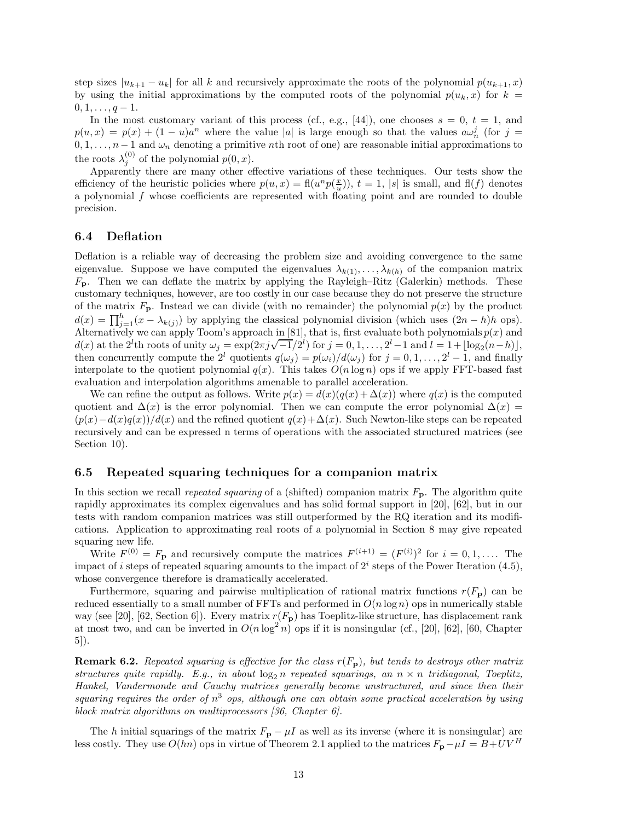step sizes  $|u_{k+1} - u_k|$  for all *k* and recursively approximate the roots of the polynomial  $p(u_{k+1}, x)$ by using the initial approximations by the computed roots of the polynomial  $p(u_k, x)$  for  $k =$  $0, 1, \ldots, q-1.$ 

In the most customary variant of this process (cf., e.g., [44]), one chooses  $s = 0, t = 1$ , and  $p(u,x) = p(x) + (1-u)a^n$  where the value |*a*| is large enough so that the values  $a\omega_n^j$  (for  $j =$  $0, 1, \ldots, n-1$  and  $\omega_n$  denoting a primitive *n*th root of one) are reasonable initial approximations to the roots  $\lambda_j^{(0)}$  of the polynomial  $p(0, x)$ .

Apparently there are many other effective variations of these techniques. Our tests show the efficiency of the heuristic policies where  $p(u, x) = fl(u^n p(\frac{x}{u}))$ ,  $t = 1$ ,  $|s|$  is small, and  $fl(f)$  denotes a polynomial *f* whose coefficients are represented with floating point and are rounded to double precision.

#### **6.4 Deflation**

Deflation is a reliable way of decreasing the problem size and avoiding convergence to the same eigenvalue. Suppose we have computed the eigenvalues  $\lambda_{k(1)}, \ldots, \lambda_{k(h)}$  of the companion matrix  $F_{\rm p}$ . Then we can deflate the matrix by applying the Rayleigh–Ritz (Galerkin) methods. These customary techniques, however, are too costly in our case because they do not preserve the structure of the matrix  $F_{\bf p}$ . Instead we can divide (with no remainder) the polynomial  $p(x)$  by the product  $d(x) = \prod_{j=1}^{h} (x - \lambda_{k(j)})$  by applying the classical polynomial division (which uses  $(2n - h)h$  ops). Alternatively we can apply Toom's approach in [81], that is, first evaluate both polynomials *p*(*x*) and *d*(*x*) at the 2<sup>*l*</sup>th roots of unity  $\omega_j = \exp(2\pi j \sqrt{-1}/2^l)$  for  $j = 0, 1, ..., 2^l - 1$  and  $l = 1 + \lfloor \log_2(n - h) \rfloor$ , then concurrently compute the  $2^l$  quotients  $q(\omega_i) = p(\omega_i)/d(\omega_i)$  for  $j = 0, 1, \ldots, 2^l - 1$ , and finally interpolate to the quotient polynomial  $q(x)$ . This takes  $O(n \log n)$  ops if we apply FFT-based fast evaluation and interpolation algorithms amenable to parallel acceleration.

We can refine the output as follows. Write  $p(x) = d(x)(q(x) + \Delta(x))$  where  $q(x)$  is the computed quotient and  $\Delta(x)$  is the error polynomial. Then we can compute the error polynomial  $\Delta(x)$  $\frac{p(x) - d(x)q(x)}{d(x)}$  and the refined quotient  $q(x) + \Delta(x)$ . Such Newton-like steps can be repeated recursively and can be expressed n terms of operations with the associated structured matrices (see Section 10).

#### **6.5 Repeated squaring techniques for a companion matrix**

In this section we recall *repeated squaring* of a (shifted) companion matrix  $F_{\textbf{p}}$ . The algorithm quite rapidly approximates its complex eigenvalues and has solid formal support in [20], [62], but in our tests with random companion matrices was still outperformed by the RQ iteration and its modifications. Application to approximating real roots of a polynomial in Section 8 may give repeated squaring new life.

Write  $F^{(0)} = F_{\mathbf{p}}$  and recursively compute the matrices  $F^{(i+1)} = (F^{(i)})^2$  for  $i = 0, 1, \ldots$  The impact of *i* steps of repeated squaring amounts to the impact of  $2<sup>i</sup>$  steps of the Power Iteration (4.5), whose convergence therefore is dramatically accelerated.

Furthermore, squaring and pairwise multiplication of rational matrix functions  $r(F_{\rm p})$  can be reduced essentially to a small number of FFTs and performed in  $O(n \log n)$  ops in numerically stable way (see [20], [62, Section 6]). Every matrix  $r(F_{\rm p})$  has Toeplitz-like structure, has displacement rank at most two, and can be inverted in  $O(n \log^2 n)$  ops if it is nonsingular (cf., [20], [62], [60, Chapter 5]).

**Remark 6.2.** *Repeated squaring is effective for the class r*(*F***p**)*, but tends to destroys other matrix structures quite rapidly. E.g., in about*  $\log_2 n$  *repeated squarings, an*  $n \times n$  *tridiagonal, Toeplitz, Hankel, Vandermonde and Cauchy matrices generally become unstructured, and since then their squaring requires the order of n*<sup>3</sup> *ops, although one can obtain some practical acceleration by using block matrix algorithms on multiprocessors [36, Chapter 6].*

The *h* initial squarings of the matrix  $F_p - \mu I$  as well as its inverse (where it is nonsingular) are less costly. They use  $O(hn)$  ops in virtue of Theorem 2.1 applied to the matrices  $F_p - \mu I = B + UV^H$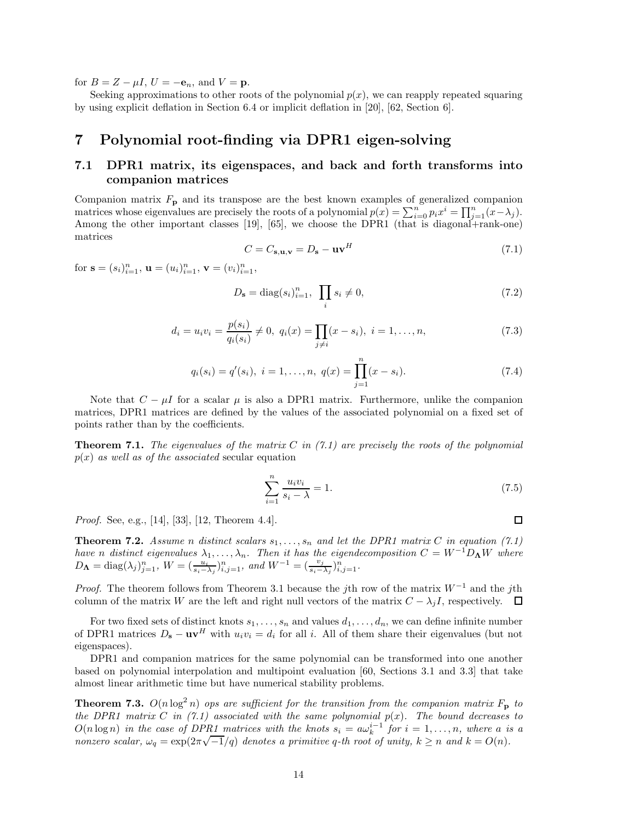for  $B = Z - \mu I$ ,  $U = -\mathbf{e}_n$ , and  $V = \mathbf{p}$ .

Seeking approximations to other roots of the polynomial  $p(x)$ , we can reapply repeated squaring by using explicit deflation in Section 6.4 or implicit deflation in [20], [62, Section 6].

## **7 Polynomial root-finding via DPR1 eigen-solving**

## **7.1 DPR1 matrix, its eigenspaces, and back and forth transforms into companion matrices**

Companion matrix  $F_{\mathbf{p}}$  and its transpose are the best known examples of generalized companion matrices whose eigenvalues are precisely the roots of a polynomial  $p(x) = \sum_{i=0}^{n} p_i x^i = \prod_{j=1}^{n} (x - \lambda_j)$ . Among the other important classes [19], [65], we choose the DPR1 (that is diagonal+rank-one) matrices

$$
C = C_{\mathbf{s}, \mathbf{u}, \mathbf{v}} = D_{\mathbf{s}} - \mathbf{u}\mathbf{v}^H
$$
\n(7.1)

for  $\mathbf{s} = (s_i)_{i=1}^n$ ,  $\mathbf{u} = (u_i)_{i=1}^n$ ,  $\mathbf{v} = (v_i)_{i=1}^n$ ,

$$
D_{\mathbf{s}} = \text{diag}(s_i)_{i=1}^n, \ \prod_i s_i \neq 0,
$$
\n(7.2)

$$
d_i = u_i v_i = \frac{p(s_i)}{q_i(s_i)} \neq 0, \ q_i(x) = \prod_{j \neq i} (x - s_i), \ i = 1, \dots, n,
$$
\n
$$
(7.3)
$$

$$
q_i(s_i) = q'(s_i), \ i = 1, \dots, n, \ q(x) = \prod_{j=1}^n (x - s_i).
$$
 (7.4)

Note that  $C - \mu I$  for a scalar  $\mu$  is also a DPR1 matrix. Furthermore, unlike the companion matrices, DPR1 matrices are defined by the values of the associated polynomial on a fixed set of points rather than by the coefficients.

**Theorem 7.1.** *The eigenvalues of the matrix C in (7.1) are precisely the roots of the polynomial*  $p(x)$  *as well as of the associated* secular equation

$$
\sum_{i=1}^{n} \frac{u_i v_i}{s_i - \lambda} = 1.
$$
\n(7.5)

*Proof.* See, e.g., [14], [33], [12, Theorem 4.4].

**Theorem 7.2.** *Assume n distinct scalars*  $s_1, \ldots, s_n$  *and let the DPR1 matrix C in equation* (7.1) *have n distinct eigenvalues*  $\lambda_1, \ldots, \lambda_n$ *. Then it has the eigendecomposition*  $C = W^{-1}D_{\mathbf{\Lambda}}W$  *where*  $D_{\mathbf{\Lambda}} = \text{diag}(\lambda_j)_{j=1}^n$ ,  $W = (\frac{u_i}{s_i - \lambda_j})_{i,j=1}^n$ , and  $W^{-1} = (\frac{v_j}{s_i - \lambda_j})_{i,j=1}^n$ .

*Proof.* The theorem follows from Theorem 3.1 because the *j*th row of the matrix *W*<sup>−</sup><sup>1</sup> and the *j*th column of the matrix *W* are the left and right null vectors of the matrix  $C - \lambda_j I$ , respectively.  $\Box$ 

For two fixed sets of distinct knots  $s_1, \ldots, s_n$  and values  $d_1, \ldots, d_n$ , we can define infinite number of DPR1 matrices  $D_s - uv^H$  with  $u_i v_i = d_i$  for all *i*. All of them share their eigenvalues (but not eigenspaces).

DPR1 and companion matrices for the same polynomial can be transformed into one another based on polynomial interpolation and multipoint evaluation [60, Sections 3.1 and 3.3] that take almost linear arithmetic time but have numerical stability problems.

**Theorem 7.3.**  $O(n \log^2 n)$  *ops are sufficient for the transition from the companion matrix*  $F_p$  *to the DPR1 matrix*  $C$  *in* (7.1) associated with the same polynomial  $p(x)$ . The bound decreases to  $O(n \log n)$  *in the case of DPR1 matrices with the knots*  $s_i = a\omega_k^{i-1}$  *for*  $i = 1, \ldots, n$ *, where a is a*  $O(n \log n)$  in the case of DPR1 matrices with the knots  $s_i = a\omega_k$  for  $i = 1, ..., n$ , where *a u nonzero scalar*,  $\omega_q = \exp(2\pi\sqrt{-1}/q)$  denotes a primitive *q*-th root of unity,  $k \ge n$  and  $k = O(n)$ .

 $\Box$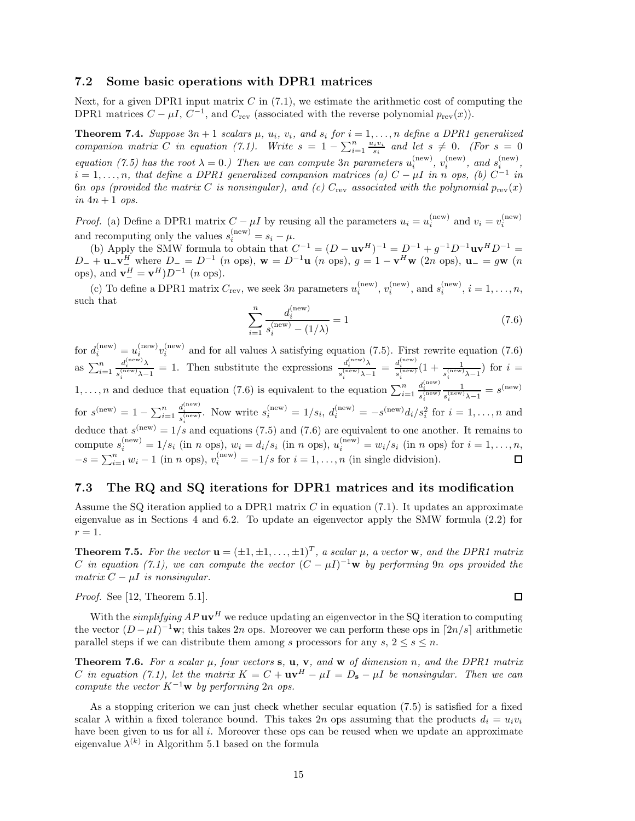#### **7.2 Some basic operations with DPR1 matrices**

Next, for a given DPR1 input matrix *C* in (7.1), we estimate the arithmetic cost of computing the DPR1 matrices  $C - \mu I$ ,  $C^{-1}$ , and  $C_{rev}$  (associated with the reverse polynomial  $p_{rev}(x)$ ).

**Theorem 7.4.** Suppose  $3n + 1$  scalars  $\mu$ ,  $u_i$ ,  $v_i$ , and  $s_i$  for  $i = 1, \ldots, n$  define a DPR1 generalized *companion matrix C in equation (7.1). Write*  $s = 1 - \sum_{i=1}^{n} \frac{u_i v_i}{s_i}$  *and let*  $s \neq 0$ . (For  $s = 0$ *equation (7.5) has the root*  $\lambda = 0$ .) Then we can compute 3*n* parameters  $u_i^{(\text{new})}$ ,  $v_i^{(\text{new})}$ , and  $s_i^{(\text{new})}$ ,  $i = 1, \ldots, n$ *, that define a DPR1 generalized companion matrices (a)*  $C - \mu I$  *in n ops, (b)*  $C^{-1}$  *in* 6*n ops* (provided the matrix C is nonsingular), and (c)  $C_{\text{rev}}$  associated with the polynomial  $p_{\text{rev}}(x)$  $in$  4*n* + 1 *ops.* 

*Proof.* (a) Define a DPR1 matrix  $C - \mu I$  by reusing all the parameters  $u_i = u_i^{\text{(new)}}$  and  $v_i = v_i^{\text{(new)}}$ *i* and recomputing only the values  $s_i^{\text{(new)}} = s_i - \mu$ .

(b) Apply the SMW formula to obtain that  $C^{-1} = (D - \mathbf{u}\mathbf{v}^H)^{-1} = D^{-1} + g^{-1}D^{-1}\mathbf{u}\mathbf{v}^H D^{-1} =$  $D_- + \mathbf{u}_-\mathbf{v}_-^H$  where  $D_- = D^{-1}$  (*n* ops),  $\mathbf{w} = D^{-1}\mathbf{u}$  (*n* ops),  $g = 1 - \mathbf{v}^H\mathbf{w}$  (2*n* ops),  $\mathbf{u}_- = g\mathbf{w}$  (*n* ops), and  $\mathbf{v}^H_ - = \mathbf{v}^H D^{-1}$  (*n* ops).

(c) To define a DPR1 matrix  $C_{\text{rev}}$ , we seek 3*n* parameters  $u_i^{(\text{new})}$ ,  $v_i^{(\text{new})}$ , and  $s_i^{(\text{new})}$ ,  $i = 1, ..., n$ , such that

$$
\sum_{i=1}^{n} \frac{d_i^{(\text{new})}}{s_i^{(\text{new})} - (1/\lambda)} = 1
$$
\n(7.6)

for  $d_i^{(\text{new})} = u_i^{(\text{new})} v_i^{(\text{new})}$  and for all values  $\lambda$  satisfying equation (7.5). First rewrite equation (7.6) as  $\sum_{i=1}^n$  $d_i^{(\text{new})}\lambda \over s_i^{(\text{new})}\lambda - 1} = 1$ . Then substitute the expressions  $d_i^{(\text{new})}\lambda \over s_i^{(\text{new})}\lambda - 1} = d_i^{(\text{new})}\over s_i^{(\text{new})}\lambda - 1}$  $\frac{d_i^{(new)}}{s_i^{(new)}}(1+\frac{1}{s_i^{(new)}\lambda-1})$  for  $i=$  $1, \ldots, n$  and deduce that equation (7.6) is equivalent to the equation  $\sum_{i=1}^{n}$  $\frac{d_i^{\text{(new)}}}{s_i^{\text{(new)}} \frac{1}{s_i^{\text{(new)}} \lambda - 1}} = s^{\text{(new)}}$ for  $s^{(\text{new})} = 1 - \sum_{i=1}^{n} \frac{d_i^{(\text{new})}}{s_i^{(\text{new})}}$ . Now write  $s_i^{(\text{new})} = 1/s_i$ ,  $d_i^{(\text{new})} = -s^{(\text{new})} d_i/s_i^{(\text{new})}$  $d_i^{\text{(new)}}$ . Now write  $s_i^{\text{(new)}} = 1/s_i$ ,  $d_i^{\text{(new)}} = -s^{\text{(new)}} d_i/s_i^2$  for  $i = 1, \ldots, n$  and deduce that  $s^{(new)} = 1/s$  and equations (7.5) and (7.6) are equivalent to one another. It remains to compute  $s_i^{(\text{new})} = 1/s_i$  (in *n* ops),  $w_i = d_i/s_i$  (in *n* ops),  $u_i^{(\text{new})} = w_i/s_i$  (in *n* ops) for  $i = 1, ..., n$ ,  $-s = \sum_{i=1}^{n} w_i - 1$  (in *n* ops),  $v_i^{(\text{new})} = -1/s$  for  $i = 1, ..., n$  (in single didvision).

#### **7.3 The RQ and SQ iterations for DPR1 matrices and its modification**

Assume the SQ iteration applied to a DPR1 matrix *C* in equation (7.1). It updates an approximate eigenvalue as in Sections 4 and 6.2. To update an eigenvector apply the SMW formula (2.2) for  $r=1$ .

**Theorem 7.5.** For the vector  $\mathbf{u} = (\pm 1, \pm 1, \ldots, \pm 1)^T$ , a scalar  $\mu$ , a vector **w**, and the DPR1 matrix *C* in equation (7.1), we can compute the vector  $(C - \mu I)^{-1}$ **w** by performing 9*n* ops provided the *matrix*  $C - \mu I$  *is nonsingular.* 

*Proof.* See [12, Theorem 5.1].

With the *simplifying AP* **uv**<sup>*H*</sup> we reduce updating an eigenvector in the SQ iteration to computing the vector  $(D - \mu I)^{-1}$ **w**; this takes 2*n* ops. Moreover we can perform these ops in [2*n/s*] arithmetic parallel steps if we can distribute them among *s* processors for any  $s, 2 \leq s \leq n$ .

**Theorem 7.6.** *For a scalar µ, four vectors* **s***,* **u***,* **v***, and* **w** *of dimension n, and the DPR1 matrix C* in equation (7.1), let the matrix  $K = C + \mathbf{u}\mathbf{v}^H - \mu I = D_s - \mu I$  be nonsingular. Then we can *compute the vector*  $K^{-1}$ **w** *by performing* 2*n ops.* 

As a stopping criterion we can just check whether secular equation (7.5) is satisfied for a fixed scalar  $\lambda$  within a fixed tolerance bound. This takes 2*n* ops assuming that the products  $d_i = u_i v_i$ have been given to us for all *i*. Moreover these ops can be reused when we update an approximate eigenvalue  $\lambda^{(k)}$  in Algorithm 5.1 based on the formula

 $\Box$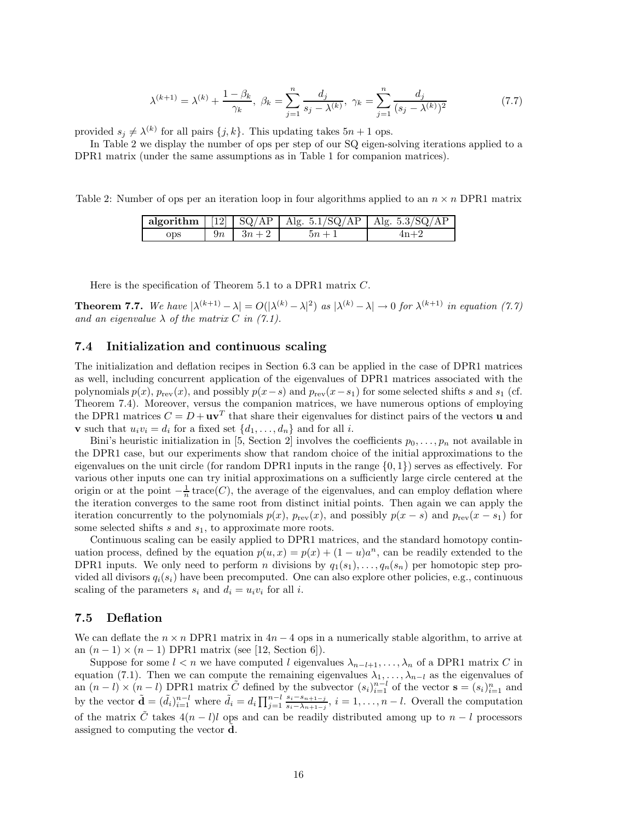$$
\lambda^{(k+1)} = \lambda^{(k)} + \frac{1 - \beta_k}{\gamma_k}, \ \beta_k = \sum_{j=1}^n \frac{d_j}{s_j - \lambda^{(k)}}, \ \gamma_k = \sum_{j=1}^n \frac{d_j}{(s_j - \lambda^{(k)})^2}
$$
(7.7)

provided  $s_j \neq \lambda^{(k)}$  for all pairs  $\{j,k\}$ . This updating takes  $5n + 1$  ops.

In Table 2 we display the number of ops per step of our SQ eigen-solving iterations applied to a DPR1 matrix (under the same assumptions as in Table 1 for companion matrices).

Table 2: Number of ops per an iteration loop in four algorithms applied to an  $n \times n$  DPR1 matrix

|     |               | algorithm $\vert$ [12] $\vert$ SQ/AP $\vert$ Alg. 5.1/SQ/AP $\vert$ Alg. 5.3/SQ/AP |       |
|-----|---------------|------------------------------------------------------------------------------------|-------|
| ops | $9n \ 3n + 2$ | $5n + 1$                                                                           | $4n+$ |

Here is the specification of Theorem 5.1 to a DPR1 matrix *C*.

**Theorem 7.7.** We have  $|\lambda^{(k+1)} - \lambda| = O(|\lambda^{(k)} - \lambda|^2)$  as  $|\lambda^{(k)} - \lambda| \to 0$  for  $\lambda^{(k+1)}$  in equation (7.7) *and an eigenvalue*  $\lambda$  *of the matrix*  $C$  *in (7.1).* 

#### **7.4 Initialization and continuous scaling**

The initialization and deflation recipes in Section 6.3 can be applied in the case of DPR1 matrices as well, including concurrent application of the eigenvalues of DPR1 matrices associated with the polynomials  $p(x)$ ,  $p_{rev}(x)$ , and possibly  $p(x-s)$  and  $p_{rev}(x-s_1)$  for some selected shifts *s* and  $s_1$  (cf. Theorem 7.4). Moreover, versus the companion matrices, we have numerous options of employing the DPR1 matrices  $C = D + \mathbf{u}\mathbf{v}^T$  that share their eigenvalues for distinct pairs of the vectors **u** and **v** such that  $u_i v_i = d_i$  for a fixed set  $\{d_1, \ldots, d_n\}$  and for all *i*.

Bini's heuristic initialization in [5, Section 2] involves the coefficients  $p_0, \ldots, p_n$  not available in the DPR1 case, but our experiments show that random choice of the initial approximations to the eigenvalues on the unit circle (for random DPR1 inputs in the range  $\{0, 1\}$ ) serves as effectively. For various other inputs one can try initial approximations on a sufficiently large circle centered at the origin or at the point  $-\frac{1}{n}$  trace(*C*), the average of the eigenvalues, and can employ deflation where the iteration converges to the same root from distinct initial points. Then again we can apply the iteration concurrently to the polynomials  $p(x)$ ,  $p_{rev}(x)$ , and possibly  $p(x - s)$  and  $p_{rev}(x - s_1)$  for some selected shifts *s* and *s*1, to approximate more roots.

Continuous scaling can be easily applied to DPR1 matrices, and the standard homotopy continuation process, defined by the equation  $p(u, x) = p(x) + (1 - u)a^n$ , can be readily extended to the DPR1 inputs. We only need to perform *n* divisions by  $q_1(s_1), \ldots, q_n(s_n)$  per homotopic step provided all divisors  $q_i(s_i)$  have been precomputed. One can also explore other policies, e.g., continuous scaling of the parameters  $s_i$  and  $d_i = u_i v_i$  for all *i*.

#### **7.5 Deflation**

We can deflate the  $n \times n$  DPR1 matrix in  $4n - 4$  ops in a numerically stable algorithm, to arrive at an  $(n-1) \times (n-1)$  DPR1 matrix (see [12, Section 6]).

Suppose for some  $l < n$  we have computed *l* eigenvalues  $\lambda_{n-l+1}, \ldots, \lambda_n$  of a DPR1 matrix *C* in equation (7.1). Then we can compute the remaining eigenvalues  $\lambda_1, \ldots, \lambda_{n-1}$  as the eigenvalues of an  $(n - l) \times (n - l)$  DPR1 matrix  $\tilde{C}$  defined by the subvector  $(s_i)_{i=1}^{n-l}$  of the vector  $\mathbf{s} = (s_i)_{i=1}^n$  and by the vector  $\tilde{\mathbf{d}} = (\tilde{d}_i)_{i=1}^{n-l}$  where  $\tilde{d}_i = d_i \prod_{j=1}^{n-l} \frac{s_i - s_{n+1-j}}{s_i - \lambda_{n+1-j}}$ ,  $i = 1, ..., n-l$ . Overall the computation of the matrix  $\tilde{C}$  takes  $4(n - l)l$  ops and can be readily distributed among up to  $n - l$  processors assigned to computing the vector **d**.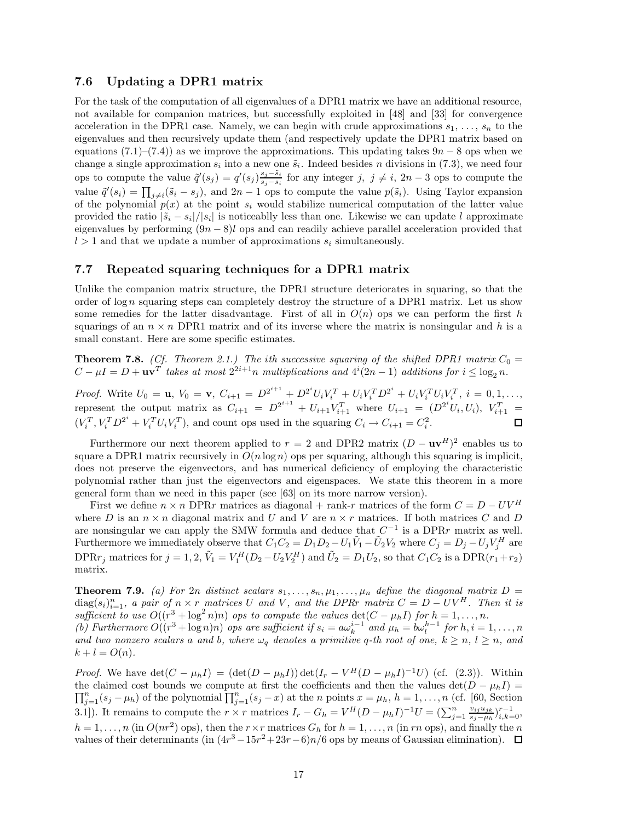#### **7.6 Updating a DPR1 matrix**

For the task of the computation of all eigenvalues of a DPR1 matrix we have an additional resource, not available for companion matrices, but successfully exploited in [48] and [33] for convergence acceleration in the DPR1 case. Namely, we can begin with crude approximations  $s_1, \ldots, s_n$  to the eigenvalues and then recursively update them (and respectively update the DPR1 matrix based on equations  $(7.1)$ – $(7.4)$ ) as we improve the approximations. This updating takes  $9n - 8$  ops when we change a single approximation  $s_i$  into a new one  $\tilde{s}_i$ . Indeed besides *n* divisions in (7.3), we need four ops to compute the value  $\tilde{q}'(s_j) = q'(s_j) \frac{s_j - \tilde{s}_i}{s_j - s_i}$  for any integer *j, j* ≠ *i*, 2*n* − 3 ops to compute the value  $\tilde{q}'(s_i) = \prod_{j \neq i} (\tilde{s}_i - s_j)$ , and  $2n - 1$  ops to compute the value  $p(\tilde{s}_i)$ . Using Taylor expansion of the polynomial  $p(x)$  at the point  $s_i$  would stabilize numerical computation of the latter value provided the ratio  $|\tilde{s}_i - s_i|/|s_i|$  is noticeablly less than one. Likewise we can update *l* approximate eigenvalues by performing (9*n* − 8)*l* ops and can readily achieve parallel acceleration provided that  $l > 1$  and that we update a number of approximations  $s_i$  simultaneously.

#### **7.7 Repeated squaring techniques for a DPR1 matrix**

Unlike the companion matrix structure, the DPR1 structure deteriorates in squaring, so that the order of  $\log n$  squaring steps can completely destroy the structure of a DPR1 matrix. Let us show some remedies for the latter disadvantage. First of all in  $O(n)$  ops we can perform the first *h* squarings of an  $n \times n$  DPR1 matrix and of its inverse where the matrix is nonsingular and h is a small constant. Here are some specific estimates.

**Theorem 7.8.** *(Cf. Theorem 2.1.) The ith successive squaring of the shifted DPR1 matrix*  $C_0 =$  $C - \mu I = D + \mathbf{u}\mathbf{v}^T$  *takes at most*  $2^{2i+1}n$  *multiplications and*  $4^i(2n-1)$  *additions for*  $i \le \log_2 n$ *.* 

*Proof.* Write  $U_0 = \mathbf{u}$ ,  $V_0 = \mathbf{v}$ ,  $C_{i+1} = D^{2^{i+1}} + D^{2^i} U_i V_i^T + U_i V_i^T D^{2^i} + U_i V_i^T U_i V_i^T$ ,  $i = 0, 1, ...,$ represent the output matrix as  $C_{i+1} = D^{2^{i+1}} + U_{i+1}V_{i+1}^T$  where  $U_{i+1} = (D^{2^i}U_i, U_i), V_{i+1}^T =$  $(V_i^T, V_i^T D^{2^i} + V_i^T U_i V_i^T)$ , and count ops used in the squaring  $C_i \rightarrow C_{i+1} = C_i^2$ .

Furthermore our next theorem applied to  $r = 2$  and DPR2 matrix  $(D - uv^H)^2$  enables us to square a DPR1 matrix recursively in  $O(n \log n)$  ops per squaring, although this squaring is implicit, does not preserve the eigenvectors, and has numerical deficiency of employing the characteristic polynomial rather than just the eigenvectors and eigenspaces. We state this theorem in a more general form than we need in this paper (see [63] on its more narrow version).

First we define  $n \times n$  DPR*r* matrices as diagonal + rank-*r* matrices of the form  $C = D - UV^H$ where *D* is an  $n \times n$  diagonal matrix and *U* and *V* are  $n \times r$  matrices. If both matrices *C* and *D* are nonsingular we can apply the SMW formula and deduce that  $C^{-1}$  is a DPR*r* matrix as well. Furthermore we immediately observe that  $C_1C_2 = D_1D_2 - U_1\tilde{V}_1 - \tilde{U}_2V_2$  where  $C_j = D_j - U_jV_j^H$  are DPR $r_j$  matrices for  $j = 1, 2, \tilde{V}_1 = V_1^H (D_2 - U_2 V_2^H)$  and  $\tilde{U}_2 = D_1 U_2$ , so that  $C_1 C_2$  is a DPR $(r_1 + r_2)$ matrix.

**Theorem 7.9.** (a) For 2*n* distinct scalars  $s_1, \ldots, s_n, \mu_1, \ldots, \mu_n$  define the diagonal matrix  $D =$  $diag(s_i)_{i=1}^n$ , a pair of  $n \times r$  matrices U and V, and the DPRr matrix  $C = D - UV^H$ . Then it is *sufficient to use*  $O((r^3 + \log^2 n)n)$  *ops to compute the values*  $\det(C - \mu_h I)$  *for*  $h = 1, \ldots, n$ *.* (b) Furthermore  $O((r^3 + \log n)n)$  ops are sufficient if  $s_i = a\omega_k^{i-1}$  and  $\mu_h = b\omega_l^{h-1}$  for  $h, i = 1, ..., n$ *and two nonzero scalars a and b,* where  $\omega_q$  *denotes a primitive q*-th root of one,  $k \geq n, l \geq n$ *, and*  $k + l = O(n)$ .

*Proof.* We have det $(C - \mu_h I) = (\det(D - \mu_h I)) \det(I_r - V^H(D - \mu_h I)^{-1}U)$  (cf. (2.3)). Within the claimed cost bounds we compute at first the coefficients and then the values det $(D - \mu_h I) =$ the claimed cost bounds we compute at first the coefficients and then the values det( $D - \mu_h I$ ) =  $\prod_{i=1}^n (s_i - \mu_h)$  of the polynomial  $\prod_{i=1}^n (s_i - x)$  at the *n* points  $x = \mu_h$ ,  $h = 1, ..., n$  (cf. [60, Section  $\prod_{j=1}^{n} (s_j - \mu_h)$  of the polynomial  $\prod_{j=1}^{n} (s_j - x)$  at the *n* points  $x = \mu_h$ ,  $h = 1, \ldots, n$  (cf. [60, Section 3.1). It remains to compute the  $r \times r$  matrices  $I_r - G_h = V^H (D - \mu_h I)^{-1} U = \left(\sum_{j=1}^n \frac{v_{ij} u_{jk}}{s_j - \mu_h} \right)_{i,k=0}^{r-1}$  $h = 1, \ldots, n$  (in  $O(nr^2)$  ops), then the  $r \times r$  matrices  $G_h$  for  $h = 1, \ldots, n$  (in *rn* ops), and finally the *n* values of their determinants (in  $(4r^3 - 15r^2 + 23r - 6)n/6$  ops by means of Gaussian elimination).  $\Box$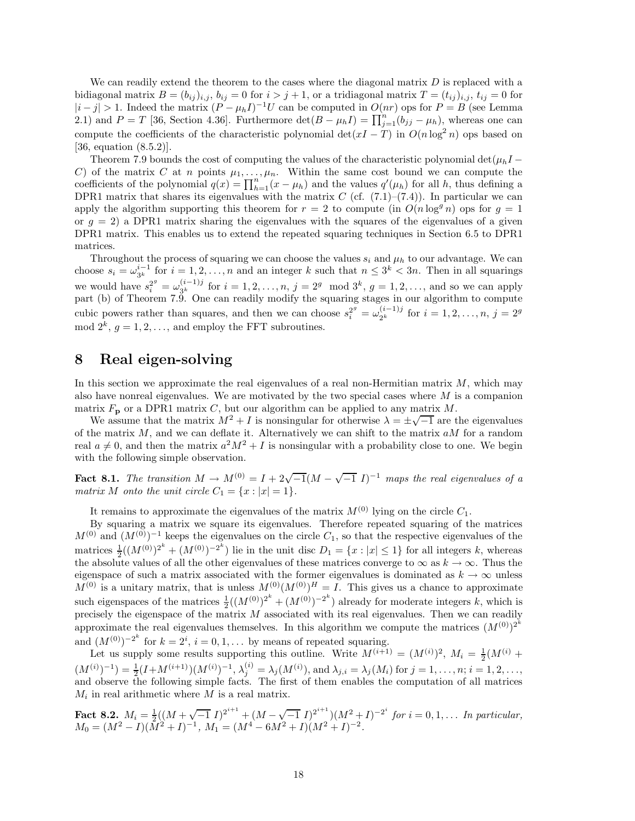We can readily extend the theorem to the cases where the diagonal matrix *D* is replaced with a bidiagonal matrix  $B = (b_{ij})_{i,j}$ ,  $b_{ij} = 0$  for  $i > j + 1$ , or a tridiagonal matrix  $T = (t_{ij})_{i,j}$ ,  $t_{ij} = 0$  for  $|i-j|>1$ . Indeed the matrix  $(P - \mu_h I)^{-1}U$  can be computed in  $O(nr)$  ops for  $P = B$  (see Lemma 2.1) and  $P = T$  [36, Section 4.36]. Furthermore det $(B - \mu_h I) = \prod_{j=1}^n (b_{jj} - \mu_h)$ , whereas one can compute the coefficients of the characteristic polynomial  $\det(xI - T)$  in  $O(n \log^2 n)$  ops based on [36, equation (8.5.2)].

Theorem 7.9 bounds the cost of computing the values of the characteristic polynomial det $(\mu_h I -$ *C*) of the matrix *C* at *n* points  $\mu_1, \ldots, \mu_n$ . Within the same cost bound we can compute the coefficients of the polynomial  $q(x) = \prod_{h=1}^{n} (x - \mu_h)$  and the values  $q'(\mu_h)$  for all *h*, thus defining a DPR1 matrix that shares its eigenvalues with the matrix  $C$  (cf.  $(7.1)$ – $(7.4)$ ). In particular we can apply the algorithm supporting this theorem for  $r = 2$  to compute (in  $O(n \log^q n)$ ) ops for  $g = 1$ or  $g = 2$ ) a DPR1 matrix sharing the eigenvalues with the squares of the eigenvalues of a given DPR1 matrix. This enables us to extend the repeated squaring techniques in Section 6.5 to DPR1 matrices.

Throughout the process of squaring we can choose the values  $s_i$  and  $\mu_h$  to our advantage. We can choose  $s_i = \omega_{3^k}^{i-1}$  for  $i = 1, 2, ..., n$  and an integer *k* such that  $n \leq 3^k < 3n$ . Then in all squarings we would have  $s_i^{2^g} = \omega_{3^k}^{(i-1)j}$  for  $i = 1, 2, ..., n$ ,  $j = 2^g \mod 3^k$ ,  $g = 1, 2, ...,$  and so we can apply part (b) of Theorem 7.9. One can readily modify the squaring stages in our algorithm to compute cubic powers rather than squares, and then we can choose  $s_i^{2^g} = \omega_{2^k}^{(i-1)j}$  for  $i = 1, 2, ..., n$ ,  $j = 2^g$ mod  $2^k$ ,  $g = 1, 2, \ldots$ , and employ the FFT subroutines.

## **8 Real eigen-solving**

In this section we approximate the real eigenvalues of a real non-Hermitian matrix *M*, which may also have nonreal eigenvalues. We are motivated by the two special cases where *M* is a companion matrix  $F_{\bf p}$  or a DPR1 matrix *C*, but our algorithm can be applied to any matrix *M*.

We assume that the matrix  $M^2 + I$  is nonsingular for otherwise  $\lambda = \pm \sqrt{-1}$  are the eigenvalues of the matrix *M*, and we can deflate it. Alternatively we can shift to the matrix *aM* for a random real  $a \neq 0$ , and then the matrix  $a^2M^2 + I$  is nonsingular with a probability close to one. We begin with the following simple observation.

**Fact 8.1.** *The transition*  $M \to M^{(0)} = I + 2\sqrt{-1}(M - \sqrt{-1}I)^{-1}$  *maps the real eigenvalues of a matrix M onto the unit circle*  $C_1 = \{x : |x| = 1\}$ *.* 

It remains to approximate the eigenvalues of the matrix  $M^{(0)}$  lying on the circle  $C_1$ .

By squaring a matrix we square its eigenvalues. Therefore repeated squaring of the matrices  $M^{(0)}$  and  $(M^{(0)})^{-1}$  keeps the eigenvalues on the circle  $C_1$ , so that the respective eigenvalues of the matrices  $\frac{1}{2}((M^{(0)})^{2^k} + (M^{(0)})^{-2^k})$  lie in the unit disc  $D_1 = \{x : |x| \le 1\}$  for all integers *k*, whereas the absolute values of all the other eigenvalues of these matrices converge to  $\infty$  as  $k \to \infty$ . Thus the eigenspace of such a matrix associated with the former eigenvalues is dominated as  $k \to \infty$  unless  $M^{(0)}$  is a unitary matrix, that is unless  $M^{(0)}(M^{(0)})^H = I$ . This gives us a chance to approximate such eigenspaces of the matrices  $\frac{1}{2}((M^{(0)})^{2^k} + (M^{(0)})^{-2^k})$  already for moderate integers *k*, which is precisely the eigenspace of the matrix *M* associated with its real eigenvalues. Then we can readily approximate the real eigenvalues themselves. In this algorithm we compute the matrices  $(M^{(0)})^{2^k}$ and  $(M^{(0)})^{-2^k}$  for  $k = 2^i$ ,  $i = 0, 1, \ldots$  by means of repeated squaring.

Let us supply some results supporting this outline. Write  $M^{(i+1)} = (M^{(i)})^2$ ,  $M_i = \frac{1}{2}(M^{(i)} +$  $(M^{(i)})^{-1}$ ) =  $\frac{1}{2}(I + M^{(i+1)})(M^{(i)})^{-1}, \lambda_j^{(i)} = \lambda_j(M^{(i)}),$  and  $\lambda_{j,i} = \lambda_j(M_i)$  for  $j = 1, \ldots, n; i = 1, 2, \ldots,$ and observe the following simple facts. The first of them enables the computation of all matrices *M<sup>i</sup>* in real arithmetic where *M* is a real matrix.

**Fact 8.2.**  $M_i = \frac{1}{2}((M + \sqrt{-1} I)^{2^{i+1}} + (M - \sqrt{-1} I)^{2^{i+1}})(M^2 + I)^{-2^i}$  *for*  $i = 0, 1, \ldots$  *In particular,*  $M_0 = (M^2 - I)(\overline{M}^2 + I)^{-1}, M_1 = (M^4 - 6M^2 + I)(M^2 + I)^{-2}.$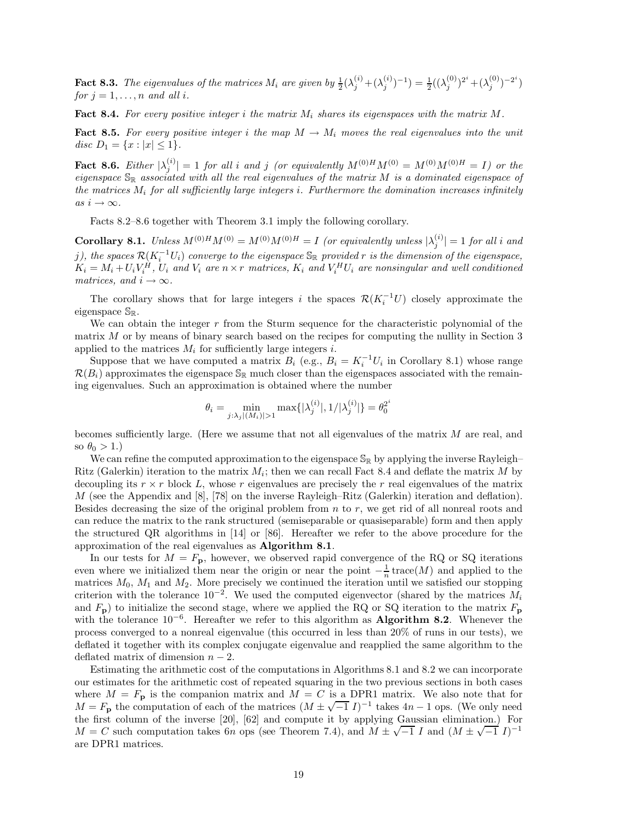**Fact 8.3.** *The eigenvalues of the matrices*  $M_i$  are given by  $\frac{1}{2}(\lambda_j^{(i)} + (\lambda_j^{(i)})^{-1}) = \frac{1}{2}((\lambda_j^{(0)})^{2^i} + (\lambda_j^{(0)})^{-2^i})$ *for*  $j = 1, \ldots, n$  *and all i.* 

**Fact 8.4.** *For every positive integer i the matrix M<sup>i</sup> shares its eigenspaces with the matrix M.*

**Fact 8.5.** For every positive integer *i* the map  $M \to M_i$  moves the real eigenvalues into the unit *disc*  $D_1 = \{x : |x| \leq 1\}.$ 

**Fact 8.6.** Either  $|\lambda_j^{(i)}| = 1$  *for all i and j* (*or equivalently*  $M^{(0)H}M^{(0)} = M^{(0)}M^{(0)H} = I$ ) *or the eigenspace* S<sup>R</sup> *associated with all the real eigenvalues of the matrix M is a dominated eigenspace of the matrices M<sup>i</sup> for all sufficiently large integers i. Furthermore the domination increases infinitely*  $as i \rightarrow \infty$ .

Facts 8.2–8.6 together with Theorem 3.1 imply the following corollary.

**Corollary 8.1.** *Unless*  $M^{(0)H}M^{(0)} = M^{(0)}M^{(0)H} = I$  (or equivalently unless  $|\lambda_j^{(i)}| = 1$  for all *i* and *j*), the spaces  $\mathcal{R}(K_i^{-1}U_i)$  converge to the eigenspace  $\mathbb{S}_\mathbb{R}$  provided  $r$  is the dimension of the eigenspace,  $K_i = M_i + U_i V_i^H$ ,  $U_i$  and  $V_i$  are  $n \times r$  matrices,  $K_i$  and  $V_i^H U_i$  are nonsingular and well conditioned *matrices, and*  $i \rightarrow \infty$ *.* 

The corollary shows that for large integers *i* the spaces  $\mathcal{R}(K_i^{-1}U)$  closely approximate the eigenspace  $\mathbb{S}_{\mathbb{R}}$ .

We can obtain the integer r from the Sturm sequence for the characteristic polynomial of the matrix *M* or by means of binary search based on the recipes for computing the nullity in Section 3 applied to the matrices  $M_i$  for sufficiently large integers *i*.

Suppose that we have computed a matrix  $B_i$  (e.g.,  $B_i = K_i^{-1} U_i$  in Corollary 8.1) whose range  $\mathcal{R}(B_i)$  approximates the eigenspace  $\mathbb{S}_{\mathbb{R}}$  much closer than the eigenspaces associated with the remaining eigenvalues. Such an approximation is obtained where the number

$$
\theta_i = \min_{j:\lambda_j|(M_i)|>1} \max\{|\lambda_j^{(i)}|, 1/|\lambda_j^{(i)}|\} = \theta_0^{2^i}
$$

becomes sufficiently large. (Here we assume that not all eigenvalues of the matrix *M* are real, and so  $\theta_0 > 1$ .)

We can refine the computed approximation to the eigenspace  $\mathbb{S}_{\mathbb{R}}$  by applying the inverse Rayleigh– Ritz (Galerkin) iteration to the matrix  $M_i$ ; then we can recall Fact 8.4 and deflate the matrix  $M$  by decoupling its  $r \times r$  block L, whose r eigenvalues are precisely the r real eigenvalues of the matrix *M* (see the Appendix and [8], [78] on the inverse Rayleigh–Ritz (Galerkin) iteration and deflation). Besides decreasing the size of the original problem from *n* to *r*, we get rid of all nonreal roots and can reduce the matrix to the rank structured (semiseparable or quasiseparable) form and then apply the structured QR algorithms in [14] or [86]. Hereafter we refer to the above procedure for the approximation of the real eigenvalues as **Algorithm 8.1**.

In our tests for  $M = F_{\mathbf{p}}$ , however, we observed rapid convergence of the RQ or SQ iterations even where we initialized them near the origin or near the point  $-\frac{1}{n}$  trace(*M*) and applied to the matrices *M*0, *M*<sup>1</sup> and *M*2. More precisely we continued the iteration until we satisfied our stopping criterion with the tolerance  $10^{-2}$ . We used the computed eigenvector (shared by the matrices  $M_i$ and  $F_{\mathbf{p}}$ ) to initialize the second stage, where we applied the RQ or SQ iteration to the matrix  $F_{\mathbf{p}}$ with the tolerance 10<sup>−</sup><sup>6</sup>. Hereafter we refer to this algorithm as **Algorithm 8.2**. Whenever the process converged to a nonreal eigenvalue (this occurred in less than 20% of runs in our tests), we deflated it together with its complex conjugate eigenvalue and reapplied the same algorithm to the deflated matrix of dimension *n* − 2.

Estimating the arithmetic cost of the computations in Algorithms 8.1 and 8.2 we can incorporate our estimates for the arithmetic cost of repeated squaring in the two previous sections in both cases where  $M = F_{\mathbf{p}}$  is the companion matrix and  $M = C$  is a DPR1 matrix. We also note that for  $M = F_{\mathbf{p}}$  the computation of each of the matrices  $(M \pm \sqrt{-1} I)^{-1}$  takes  $4n - 1$  ops. (We only need the first column of the inverse [20], [62] and compute it by applying Gaussian elimination.) For  $M = C$  such computation takes 6*n* ops (see Theorem 7.4), and  $M \pm \sqrt{-1} I$  and  $(M \pm \sqrt{-1} I)^{-1}$ are DPR1 matrices.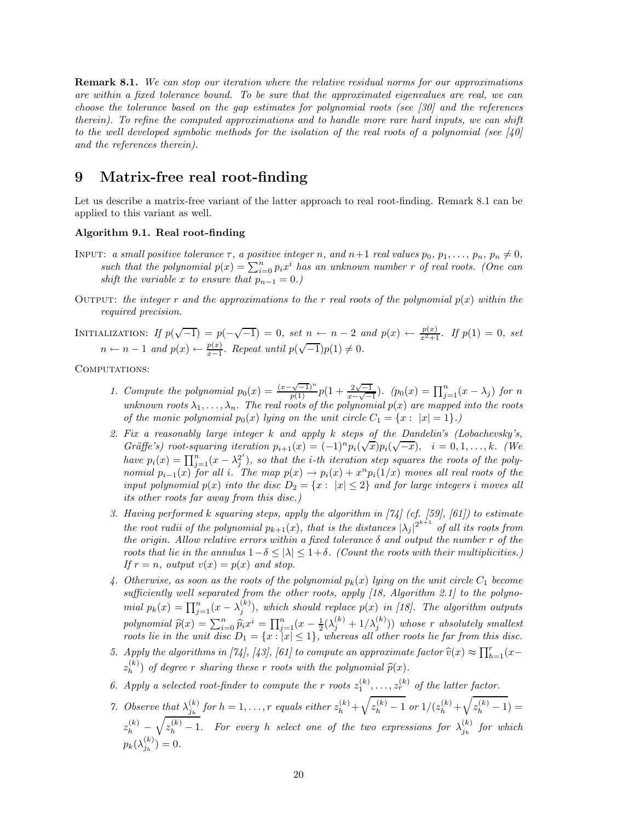**Remark 8.1.** *We can stop our iteration where the relative residual norms for our approximations are within a fixed tolerance bound. To be sure that the approximated eigenvalues are real, we can choose the tolerance based on the gap estimates for polynomial roots (see [30] and the references therein). To refine the computed approximations and to handle more rare hard inputs, we can shift to the well developed symbolic methods for the isolation of the real roots of a polynomial (see [40] and the references therein).*

## **9 Matrix-free real root-finding**

Let us describe a matrix-free variant of the latter approach to real root-finding. Remark 8.1 can be applied to this variant as well.

#### **Algorithm 9.1. Real root-finding**

- INPUT: a small positive tolerance  $\tau$ , a positive integer n, and  $n+1$  real values  $p_0, p_1, \ldots, p_n, p_n \neq 0$ , *such that the polynomial*  $p(x) = \sum_{i=0}^{n} p_i x^i$  *has an unknown number r of real roots. (One can shift the variable x to ensure that*  $p_{n-1} = 0$ *.*)
- OUTPUT: *the integer*  $r$  *and the approximations to the*  $r$  *real roots of the polynomial*  $p(x)$  *within the required precision.*

INITIALIZATION: *If*  $p(\sqrt{-1}) = p(-\sqrt{-1}) = 0$ , set  $n \leftarrow n-2$  and  $p(x) \leftarrow \frac{p(x)}{x^2+1}$ . *If*  $p(1) = 0$ , set  $n \leftarrow n-1$  *and*  $p(x) \leftarrow \frac{p(x)}{x-1}$ . Repeat until  $p(\sqrt{-1})p(1) \neq 0$ .

COMPUTATIONS:

- *1. Compute the polynomial*  $p_0(x) = \frac{(x-\sqrt{-1})^n}{p(1)} p(1+\frac{2\sqrt{-1}}{x-\sqrt{-1}})$ *.*  $(p_0(x) = \prod_{j=1}^n (x-\lambda_j)$  for *n unknown roots*  $\lambda_1, \ldots, \lambda_n$ *. The real roots of the polynomial*  $p(x)$  *are mapped into the roots of the monic polynomial*  $p_0(x)$  *lying on the unit circle*  $C_1 = \{x : |x| = 1\}$ *.*)
- *2. Fix a reasonably large integer k and apply k steps of the Dandelin's (Lobachevsky's, Gräffe's)* root-squaring iteration  $p_{i+1}(x) = (-1)^n p_i(\sqrt{x}) p_i(\sqrt{-x}), \quad i = 0, 1, \ldots, k$ . (We *have*  $p_i(x) = \prod_{j=1}^n (x - \lambda_j^{2^i})$ , so that the *i*-th iteration step squares the roots of the poly*nomial*  $p_{i-1}(x)$  *for all i*. The map  $p(x) \rightarrow p_i(x) + x^n p_i(1/x)$  moves all real roots of the *input polynomial*  $p(x)$  *into the disc*  $D_2 = \{x : |x| \leq 2\}$  *and for large integers i moves all its other roots far away from this disc.)*
- *3. Having performed k squaring steps, apply the algorithm in [74] (cf. [59], [61]) to estimate the root radii of the polynomial*  $p_{k+1}(x)$ *, that is the distances*  $|\lambda_j|^{2^{k+1}}$  *of all its roots from the origin. Allow relative errors within a fixed tolerance*  $\delta$  *and output the number*  $r$  *of the roots that lie in the annulus*  $1-\delta \leq |\lambda| \leq 1+\delta$ *. (Count the roots with their multiplicities.) If*  $r = n$ *, output*  $v(x) = p(x)$  *and stop.*
- 4. Otherwise, as soon as the roots of the polynomial  $p_k(x)$  lying on the unit circle  $C_1$  become *sufficiently well separated from the other roots, apply [18, Algorithm 2.1] to the polynomial*  $p_k(x) = \prod_{j=1}^n (x - \lambda_j^{(k)})$ , which should replace  $p(x)$  in [18]. The algorithm outputs polynomial  $\hat{p}(x) = \sum_{i=0}^{n} \hat{p}_i x^i = \prod_{j=1}^{n} (x - \frac{1}{2}(\lambda_j^{(k)} + 1/\lambda_j^{(k)}))$  whose r absolutely smallest<br>roots lie in the unit disc  $D_t = \int x \cdot |x| < 1$  whereas all other roots lie for from this disc *roots lie in the unit disc*  $D_1 = \{x : |x| \leq 1\}$ , whereas all other roots lie far from this disc.
- *5. Apply the algorithms in [74], [43], [61] to compute an approximate factor*  $\hat{v}(x) \approx \prod_{h=1}^{r}(x-(k))$  $z_h^{(k)}$  of degree *r* sharing these *r* roots with the polynomial  $\widehat{p}(x)$ .
- 6. Apply a selected root-finder to compute the r roots  $z_1^{(k)}$ , ...,  $z_r^{(k)}$  of the latter factor.
- 7. Observe that  $\lambda_{j_h}^{(k)}$  for  $h = 1, ..., r$  equals either  $z_h^{(k)} + \sqrt{z_h^{(k)} 1}$  or  $1/(z_h^{(k)} + \sqrt{z_h^{(k)} 1}) =$  $z_h^{(k)} - \sqrt{z_h^{(k)} - 1}$ . For every *h* select one of the two expressions for  $\lambda_{j_h}^{(k)}$  for which  $p_k(\lambda_{j_h}^{(k)}) = 0.$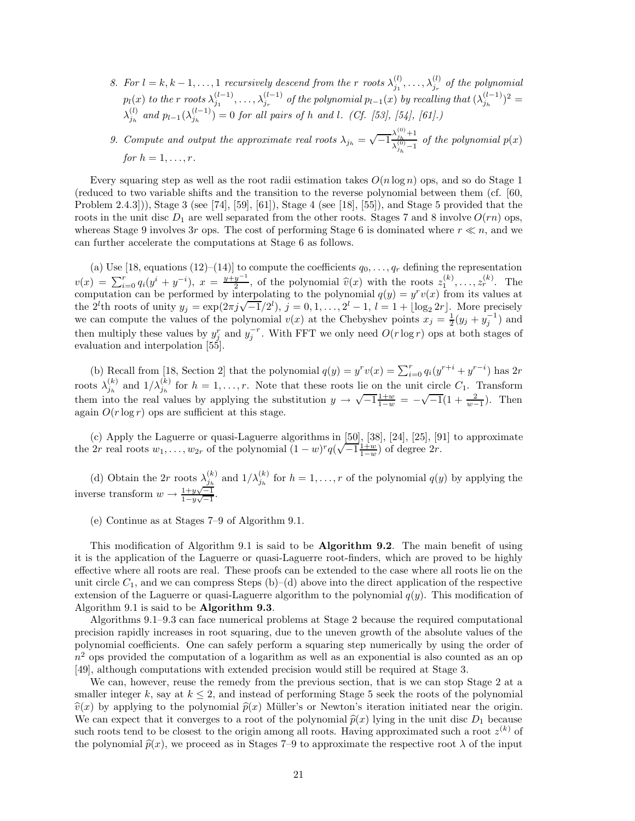*8. For*  $l = k, k - 1, \ldots, 1$  *recursively descend from the r roots*  $\lambda_{j_1}^{(l)}, \ldots, \lambda_{j_r}^{(l)}$  *of the polynomial*  $p_l(x)$  to the r roots  $\lambda_{j_1}^{(l-1)}, \ldots, \lambda_{j_r}^{(l-1)}$  of the polynomial  $p_{l-1}(x)$  by recalling that  $(\lambda_{j_h}^{(l-1)})^2 =$  $\lambda_{j_h}^{(l)}$  *and*  $p_{l-1}(\lambda_{j_h}^{(l-1)}) = 0$  *for all pairs of h and l. (Cf. [53], [54], [61].)* 

*9. Compute and output the approximate real roots*  $\lambda_{j_h} = \sqrt{-1} \frac{\lambda_{j_h}^{(0)} + 1}{\lambda_{j_h}^{(0)} - 1}$  *of the polynomial*  $p(x)$ *for*  $h = 1, ..., r$ .

Every squaring step as well as the root radii estimation takes  $O(n \log n)$  ops, and so do Stage 1 (reduced to two variable shifts and the transition to the reverse polynomial between them (cf. [60, Problem 2.4.3])), Stage 3 (see [74], [59], [61]), Stage 4 (see [18], [55]), and Stage 5 provided that the roots in the unit disc  $D_1$  are well separated from the other roots. Stages 7 and 8 involve  $O(rn)$  ops, whereas Stage 9 involves 3*r* ops. The cost of performing Stage 6 is dominated where  $r \ll n$ , and we can further accelerate the computations at Stage 6 as follows.

(a) Use [18, equations (12)–(14)] to compute the coefficients  $q_0, \ldots, q_r$  defining the representation  $v(x) = \sum_{i=0}^{r} q_i(y^i + y^{-i}), x = \frac{y+y^{-1}}{2}$ , of the polynomial  $\hat{v}(x)$  with the roots  $z_1^{(k)}, \ldots, z_r^{(k)}$ . The computation can be performed by interpolating to the polynomial  $g(y) = v^r v(x)$  from its values at computation can be performed by interpolating to the polynomial  $q(y) = y<sup>r</sup>v(x)$  from its values at the 2<sup>*l*</sup>th roots of unity  $y_j = \exp(2\pi j \sqrt{-1}/2^l)$ ,  $j = 0, 1, \ldots, 2^l - 1$ ,  $l = 1 + \lfloor \log_2 2r \rfloor$ . More precisely we can compute the values of the polynomial  $v(x)$  at the Chebyshev points  $x_j = \frac{1}{2}(y_j + y_j^{-1})$  and then multiply these values by  $y_j^r$  and  $y_j^{-r}$ . With FFT we only need  $O(r \log r)$  ops at both stages of evaluation and interpolation [55].

(b) Recall from [18, Section 2] that the polynomial  $q(y) = y^r v(x) = \sum_{i=0}^r q_i (y^{r+i} + y^{r-i})$  has 2*r* roots  $\lambda_{j_h}^{(k)}$  and  $1/\lambda_{j_h}^{(k)}$  for  $h = 1, ..., r$ . Note that these roots lie on the unit circle  $C_1$ . Transform them into the real values by applying the substitution  $y \to \sqrt{-1} \frac{1+w}{1-w} = -\sqrt{-1}(1+\frac{2}{w-1})$ . Then again  $O(r \log r)$  ops are sufficient at this stage.

(c) Apply the Laguerre or quasi-Laguerre algorithms in  $[50]$ ,  $[38]$ ,  $[24]$ ,  $[25]$ ,  $[91]$  to approximate (c) Apply the Laguerre or quasi-Laguerre algorithms in [50], [58], [24], [25], [9<br>the 2*r* real roots  $w_1, \ldots, w_{2r}$  of the polynomial  $(1 - w)^r q(\sqrt{-1} \frac{1+w}{1-w})$  of degree 2*r*.

(d) Obtain the 2*r* roots  $\lambda_{j_h}^{(k)}$  and  $1/\lambda_{j_h}^{(k)}$  for  $h = 1, \ldots, r$  of the polynomial  $q(y)$  by applying the inverse transform  $w \rightarrow \frac{1+y\sqrt{-1}}{1-w\sqrt{-1}}$  $\frac{1+y\sqrt{-1}}{1-y\sqrt{-1}}$ .

(e) Continue as at Stages 7–9 of Algorithm 9.1.

This modification of Algorithm 9.1 is said to be **Algorithm 9.2**. The main benefit of using it is the application of the Laguerre or quasi-Laguerre root-finders, which are proved to be highly effective where all roots are real. These proofs can be extended to the case where all roots lie on the unit circle  $C_1$ , and we can compress Steps (b)–(d) above into the direct application of the respective extension of the Laguerre or quasi-Laguerre algorithm to the polynomial  $q(y)$ . This modification of Algorithm 9.1 is said to be **Algorithm 9.3**.

Algorithms 9.1–9.3 can face numerical problems at Stage 2 because the required computational precision rapidly increases in root squaring, due to the uneven growth of the absolute values of the polynomial coefficients. One can safely perform a squaring step numerically by using the order of  $n<sup>2</sup>$  ops provided the computation of a logarithm as well as an exponential is also counted as an op [49], although computations with extended precision would still be required at Stage 3.

We can, however, reuse the remedy from the previous section, that is we can stop Stage 2 at a smaller integer  $k$ , say at  $k \leq 2$ , and instead of performing Stage 5 seek the roots of the polynomial  $\hat{v}(x)$  by applying to the polynomial  $\hat{p}(x)$  Müller's or Newton's iteration initiated near the origin. We can expect that it converges to a root of the polynomial  $\hat{p}(x)$  lying in the unit disc  $D_1$  because such roots tend to be closest to the origin among all roots. Having approximated such a root  $z^{(k)}$  of the polynomial  $\hat{p}(x)$ , we proceed as in Stages 7–9 to approximate the respective root  $\lambda$  of the input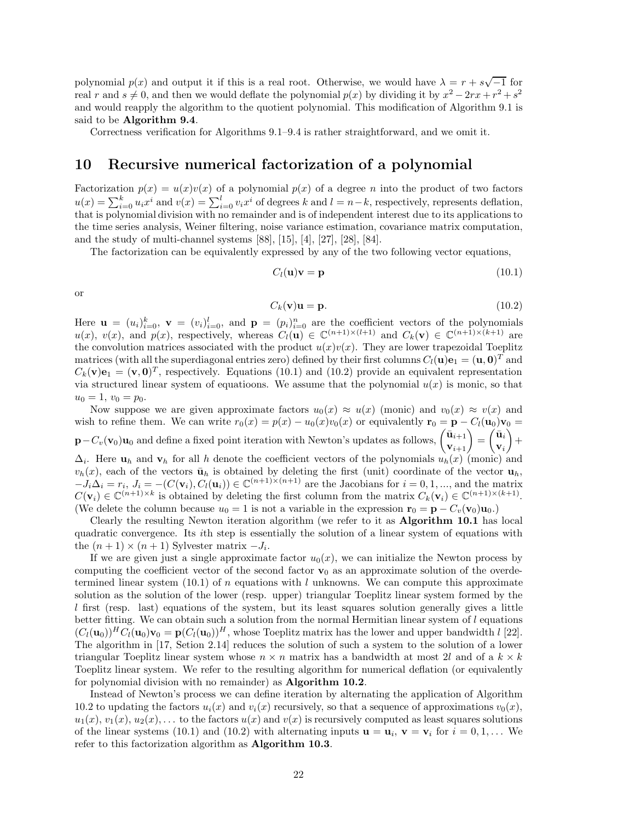polynomial  $p(x)$  and output it if this is a real root. Otherwise, we would have  $\lambda = r + s\sqrt{-1}$  for real *r* and  $s \neq 0$ , and then we would deflate the polynomial  $p(x)$  by dividing it by  $x^2 - 2rx + r^2 + s^2$ and would reapply the algorithm to the quotient polynomial. This modification of Algorithm 9.1 is said to be **Algorithm 9.4**.

Correctness verification for Algorithms 9.1–9.4 is rather straightforward, and we omit it.

## **10 Recursive numerical factorization of a polynomial**

Factorization  $p(x) = u(x)v(x)$  of a polynomial  $p(x)$  of a degree *n* into the product of two factors  $u(x) = \sum_{i=0}^{k} u_i x^i$  and  $v(x) = \sum_{i=0}^{l} v_i x^i$  of degrees k and  $l = n-k$ , respectively, represents deflation, that is polynomial division with no remainder and is of independent interest due to its applications to the time series analysis, Weiner filtering, noise variance estimation, covariance matrix computation, and the study of multi-channel systems [88], [15], [4], [27], [28], [84].

The factorization can be equivalently expressed by any of the two following vector equations,

$$
C_l(\mathbf{u})\mathbf{v} = \mathbf{p} \tag{10.1}
$$

or

$$
C_k(\mathbf{v})\mathbf{u} = \mathbf{p}.\tag{10.2}
$$

Here  $\mathbf{u} = (u_i)_{i=0}^k$ ,  $\mathbf{v} = (v_i)_{i=0}^l$ , and  $\mathbf{p} = (p_i)_{i=0}^n$  are the coefficient vectors of the polynomials  $u(x)$ ,  $v(x)$ , and  $p(x)$ , respectively, whereas  $C_l(\mathbf{u}) \in \mathbb{C}^{(n+1)\times (l+1)}$  and  $C_k(\mathbf{v}) \in \mathbb{C}^{(n+1)\times (k+1)}$  are the convolution matrices associated with the product  $u(x)v(x)$ . They are lower trapezoidal Toeplitz matrices (with all the superdiagonal entries zero) defined by their first columns  $C_l(\mathbf{u})\mathbf{e}_1 = (\mathbf{u}, \mathbf{0})^T$  and  $C_k(\mathbf{v})\mathbf{e}_1 = (\mathbf{v}, \mathbf{0})^T$ , respectively. Equations (10.1) and (10.2) provide an equivalent representation via structured linear system of equatioons. We assume that the polynomial  $u(x)$  is monic, so that  $u_0 = 1, v_0 = p_0.$ 

Now suppose we are given approximate factors  $u_0(x) \approx u(x)$  (monic) and  $v_0(x) \approx v(x)$  and wish to refine them. We can write  $r_0(x) = p(x) - u_0(x)v_0(x)$  or equivalently  $\mathbf{r}_0 = \mathbf{p} - C_l(\mathbf{u}_0)\mathbf{v}_0$  $\mathbf{p} - C_v(\mathbf{v}_0) \mathbf{u}_0$  and define a fixed point iteration with Newton's updates as follows,  $\begin{pmatrix} \bar{\mathbf{u}}_{i+1} \\ \mathbf{v}_{i+1} \end{pmatrix} = \begin{pmatrix} \bar{\mathbf{u}}_i \\ \mathbf{v}_i \end{pmatrix}$ **v***i*  $+$  $\Delta_i$ . Here  $\mathbf{u}_h$  and  $\mathbf{v}_h$  for all *h* denote the coefficient vectors of the polynomials  $u_h(x)$  (monic) and  $v_h(x)$ , each of the vectors  $\bar{u}_h$  is obtained by deleting the first (unit) coordinate of the vector  $u_h$ ,  $-J_i\Delta_i = r_i, J_i = -(C(\mathbf{v}_i), C_l(\mathbf{u}_i)) \in \mathbb{C}^{(n+1)\times(n+1)}$  are the Jacobians for  $i = 0, 1, ...,$  and the matrix  $C(\mathbf{v}_i) \in \mathbb{C}^{(n+1)\times k}$  is obtained by deleting the first column from the matrix  $C_k(\mathbf{v}_i) \in \mathbb{C}^{(n+1)\times (k+1)}$ . (We delete the column because  $u_0 = 1$  is not a variable in the expression  $\mathbf{r}_0 = \mathbf{p} - C_v(\mathbf{v}_0)\mathbf{u}_0$ .)

Clearly the resulting Newton iteration algorithm (we refer to it as **Algorithm 10.1** has local quadratic convergence. Its *i*th step is essentially the solution of a linear system of equations with the  $(n + 1) \times (n + 1)$  Sylvester matrix  $-J_i$ .

If we are given just a single approximate factor  $u_0(x)$ , we can initialize the Newton process by computing the coefficient vector of the second factor  $\mathbf{v}_0$  as an approximate solution of the overdetermined linear system  $(10.1)$  of *n* equations with *l* unknowns. We can compute this approximate solution as the solution of the lower (resp. upper) triangular Toeplitz linear system formed by the *l* first (resp. last) equations of the system, but its least squares solution generally gives a little better fitting. We can obtain such a solution from the normal Hermitian linear system of *l* equations  $(C_l(\mathbf{u}_0))^H C_l(\mathbf{u}_0) \mathbf{v}_0 = \mathbf{p}(C_l(\mathbf{u}_0))^H$ , whose Toeplitz matrix has the lower and upper bandwidth *l* [22]. The algorithm in [17, Setion 2.14] reduces the solution of such a system to the solution of a lower triangular Toeplitz linear system whose  $n \times n$  matrix has a bandwidth at most 2*l* and of a  $k \times k$ Toeplitz linear system. We refer to the resulting algorithm for numerical deflation (or equivalently for polynomial division with no remainder) as **Algorithm 10.2**.

Instead of Newton's process we can define iteration by alternating the application of Algorithm 10.2 to updating the factors  $u_i(x)$  and  $v_i(x)$  recursively, so that a sequence of approximations  $v_0(x)$ ,  $u_1(x), v_1(x), u_2(x), \ldots$  to the factors  $u(x)$  and  $v(x)$  is recursively computed as least squares solutions of the linear systems (10.1) and (10.2) with alternating inputs  $\mathbf{u} = \mathbf{u}_i$ ,  $\mathbf{v} = \mathbf{v}_i$  for  $i = 0, 1, \ldots$  We refer to this factorization algorithm as **Algorithm 10.3**.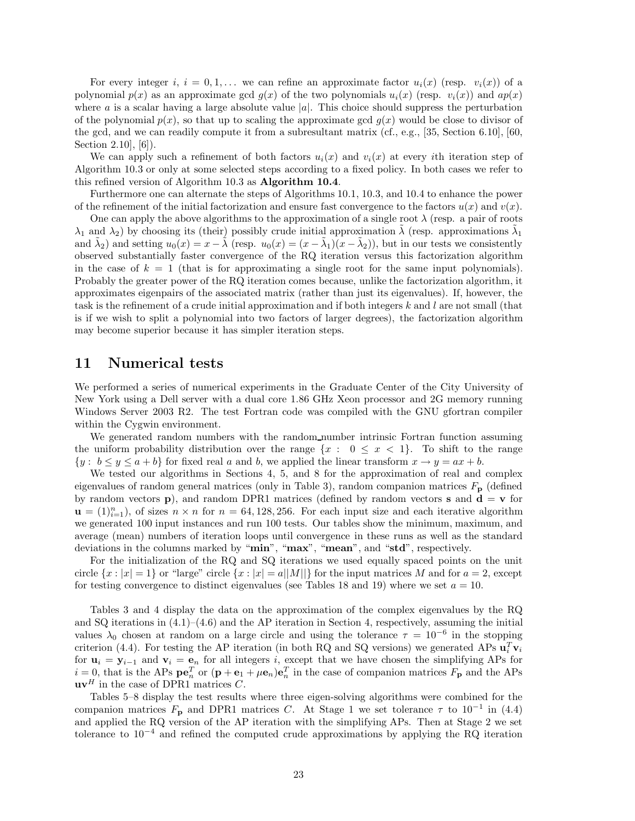For every integer *i*,  $i = 0, 1, \ldots$  we can refine an approximate factor  $u_i(x)$  (resp.  $v_i(x)$ ) of a polynomial  $p(x)$  as an approximate gcd  $q(x)$  of the two polynomials  $u_i(x)$  (resp.  $v_i(x)$ ) and  $ap(x)$ where *a* is a scalar having a large absolute value  $|a|$ . This choice should suppress the perturbation of the polynomial  $p(x)$ , so that up to scaling the approximate gcd  $q(x)$  would be close to divisor of the gcd, and we can readily compute it from a subresultant matrix (cf., e.g., [35, Section 6.10], [60, Section 2.10], [6]).

We can apply such a refinement of both factors  $u_i(x)$  and  $v_i(x)$  at every *i*th iteration step of Algorithm 10.3 or only at some selected steps according to a fixed policy. In both cases we refer to this refined version of Algorithm 10.3 as **Algorithm 10.4**.

Furthermore one can alternate the steps of Algorithms 10.1, 10.3, and 10.4 to enhance the power of the refinement of the initial factorization and ensure fast convergence to the factors  $u(x)$  and  $v(x)$ .

One can apply the above algorithms to the approximation of a single root  $\lambda$  (resp. a pair of roots  $\lambda_1$  and  $\lambda_2$ ) by choosing its (their) possibly crude initial approximation  $\lambda$  (resp. approximations  $\lambda_1$ and  $\lambda_2$ ) and setting  $u_0(x) = x - \lambda$  (resp.  $u_0(x) = (x - \lambda_1)(x - \lambda_2)$ ), but in our tests we consistently observed substantially faster convergence of the RQ iteration versus this factorization algorithm in the case of  $k = 1$  (that is for approximating a single root for the same input polynomials). Probably the greater power of the RQ iteration comes because, unlike the factorization algorithm, it approximates eigenpairs of the associated matrix (rather than just its eigenvalues). If, however, the task is the refinement of a crude initial approximation and if both integers *k* and *l* are not small (that is if we wish to split a polynomial into two factors of larger degrees), the factorization algorithm may become superior because it has simpler iteration steps.

## **11 Numerical tests**

We performed a series of numerical experiments in the Graduate Center of the City University of New York using a Dell server with a dual core 1.86 GHz Xeon processor and 2G memory running Windows Server 2003 R2. The test Fortran code was compiled with the GNU gfortran compiler within the Cygwin environment.

We generated random numbers with the random number intrinsic Fortran function assuming the uniform probability distribution over the range  $\{x : 0 \le x < 1\}$ . To shift to the range  $\{y : b \leq y \leq a + b\}$  for fixed real *a* and *b*, we applied the linear transform  $x \to y = ax + b$ .

We tested our algorithms in Sections 4, 5, and 8 for the approximation of real and complex eigenvalues of random general matrices (only in Table 3), random companion matrices  $F_{\bf p}$  (defined by random vectors **p**), and random DPR1 matrices (defined by random vectors **s** and  $\mathbf{d} = \mathbf{v}$  for  $\mathbf{u} = (1)_{i=1}^n$ , of sizes  $n \times n$  for  $n = 64, 128, 256$ . For each input size and each iterative algorithm we generated 100 input instances and run 100 tests. Our tables show the minimum, maximum, and average (mean) numbers of iteration loops until convergence in these runs as well as the standard deviations in the columns marked by "**min**", "**max**", "**mean**", and "**std**", respectively.

For the initialization of the RQ and SQ iterations we used equally spaced points on the unit circle  $\{x : |x| = 1\}$  or "large" circle  $\{x : |x| = a||M||\}$  for the input matrices M and for  $a = 2$ , except for testing convergence to distinct eigenvalues (see Tables 18 and 19) where we set  $a = 10$ .

Tables 3 and 4 display the data on the approximation of the complex eigenvalues by the RQ and SQ iterations in  $(4.1)$ – $(4.6)$  and the AP iteration in Section 4, respectively, assuming the initial values  $\lambda_0$  chosen at random on a large circle and using the tolerance  $\tau = 10^{-6}$  in the stopping criterion (4.4). For testing the AP iteration (in both RQ and SQ versions) we generated APs  $\mathbf{u}_i^T \mathbf{v}_i$ for  $\mathbf{u}_i = \mathbf{y}_{i-1}$  and  $\mathbf{v}_i = \mathbf{e}_n$  for all integers *i*, except that we have chosen the simplifying APs for  $i = 0$ , that is the APs  $\mathbf{p} \mathbf{e}_n^T$  or  $(\mathbf{p} + \mathbf{e}_1 + \mu \mathbf{e}_n) \mathbf{e}_n^T$  in the case of companion matrices  $F_\mathbf{p}$  and the APs  $\mathbf{u}\mathbf{v}^H$  in the case of DPR1 matrices *C*.

Tables 5–8 display the test results where three eigen-solving algorithms were combined for the companion matrices  $F_{\bf p}$  and DPR1 matrices *C*. At Stage 1 we set tolerance  $\tau$  to 10<sup>-1</sup> in (4.4) and applied the RQ version of the AP iteration with the simplifying APs. Then at Stage 2 we set tolerance to  $10^{-4}$  and refined the computed crude approximations by applying the RQ iteration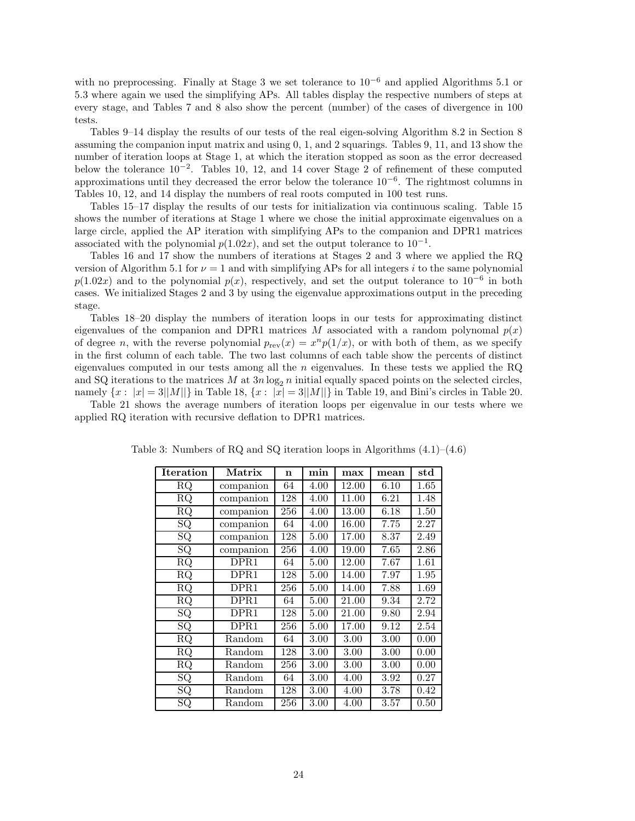with no preprocessing. Finally at Stage 3 we set tolerance to  $10^{-6}$  and applied Algorithms 5.1 or 5.3 where again we used the simplifying APs. All tables display the respective numbers of steps at every stage, and Tables 7 and 8 also show the percent (number) of the cases of divergence in 100 tests.

Tables 9–14 display the results of our tests of the real eigen-solving Algorithm 8.2 in Section 8 assuming the companion input matrix and using 0, 1, and 2 squarings. Tables 9, 11, and 13 show the number of iteration loops at Stage 1, at which the iteration stopped as soon as the error decreased below the tolerance  $10^{-2}$ . Tables 10, 12, and 14 cover Stage 2 of refinement of these computed approximations until they decreased the error below the tolerance  $10^{-6}$ . The rightmost columns in Tables 10, 12, and 14 display the numbers of real roots computed in 100 test runs.

Tables 15–17 display the results of our tests for initialization via continuous scaling. Table 15 shows the number of iterations at Stage 1 where we chose the initial approximate eigenvalues on a large circle, applied the AP iteration with simplifying APs to the companion and DPR1 matrices associated with the polynomial  $p(1.02x)$ , and set the output tolerance to  $10^{-1}$ .

Tables 16 and 17 show the numbers of iterations at Stages 2 and 3 where we applied the RQ version of Algorithm 5.1 for  $\nu = 1$  and with simplifying APs for all integers *i* to the same polynomial  $p(1.02x)$  and to the polynomial  $p(x)$ , respectively, and set the output tolerance to 10<sup>-6</sup> in both cases. We initialized Stages 2 and 3 by using the eigenvalue approximations output in the preceding stage.

Tables 18–20 display the numbers of iteration loops in our tests for approximating distinct eigenvalues of the companion and DPR1 matrices *M* associated with a random polynomal  $p(x)$ of degree *n*, with the reverse polynomial  $p_{rev}(x) = x^n p(1/x)$ , or with both of them, as we specify in the first column of each table. The two last columns of each table show the percents of distinct eigenvalues computed in our tests among all the *n* eigenvalues. In these tests we applied the RQ and SQ iterations to the matrices *M* at  $3n \log_2 n$  initial equally spaced points on the selected circles, namely  $\{x : |x| = 3||M||\}$  in Table 18,  $\{x : |x| = 3||M||\}$  in Table 19, and Bini's circles in Table 20.

Table 21 shows the average numbers of iteration loops per eigenvalue in our tests where we applied RQ iteration with recursive deflation to DPR1 matrices.

| <b>Iteration</b>       | Matrix             | n   | $_{\rm min}$ | max                | mean | $_{std}$ |
|------------------------|--------------------|-----|--------------|--------------------|------|----------|
| RQ                     | companion          | 64  | 4.00         | 12.00              | 6.10 | 1.65     |
| RQ                     | companion          | 128 | 4.00         | 11.00              | 6.21 | 1.48     |
| RQ                     | companion          | 256 | 4.00         | 13.00              | 6.18 | 1.50     |
| SQ                     | companion          | 64  | 4.00         | 16.00              | 7.75 | 2.27     |
| $\overline{\text{SQ}}$ | companion          | 128 | 5.00         | $\overline{17.00}$ | 8.37 | 2.49     |
| SQ                     | companion          | 256 | 4.00         | 19.00              | 7.65 | 2.86     |
| RQ                     | $\overline{D}$ PR1 | 64  | 5.00         | 12.00              | 7.67 | 1.61     |
| RQ                     | DPR1               | 128 | 5.00         | 14.00              | 7.97 | 1.95     |
| RQ                     | DPR1               | 256 | 5.00         | 14.00              | 7.88 | 1.69     |
| <b>RQ</b>              | DPR1               | 64  | 5.00         | 21.00              | 9.34 | 2.72     |
| SQ                     | DPR1               | 128 | 5.00         | 21.00              | 9.80 | 2.94     |
| SQ                     | DPR1               | 256 | 5.00         | 17.00              | 9.12 | 2.54     |
| <b>RQ</b>              | Random             | 64  | 3.00         | 3.00               | 3.00 | 0.00     |
| RQ                     | Random             | 128 | 3.00         | 3.00               | 3.00 | 0.00     |
| $\overline{\text{RQ}}$ | Random             | 256 | $3.00\,$     | 3.00               | 3.00 | 0.00     |
| SQ                     | Random             | 64  | $3.00\,$     | 4.00               | 3.92 | 0.27     |
| SQ                     | Random             | 128 | $3.00\,$     | 4.00               | 3.78 | $0.42\,$ |
| SQ                     | Random             | 256 | 3.00         | 4.00               | 3.57 | 0.50     |

Table 3: Numbers of RQ and SQ iteration loops in Algorithms (4.1)–(4.6)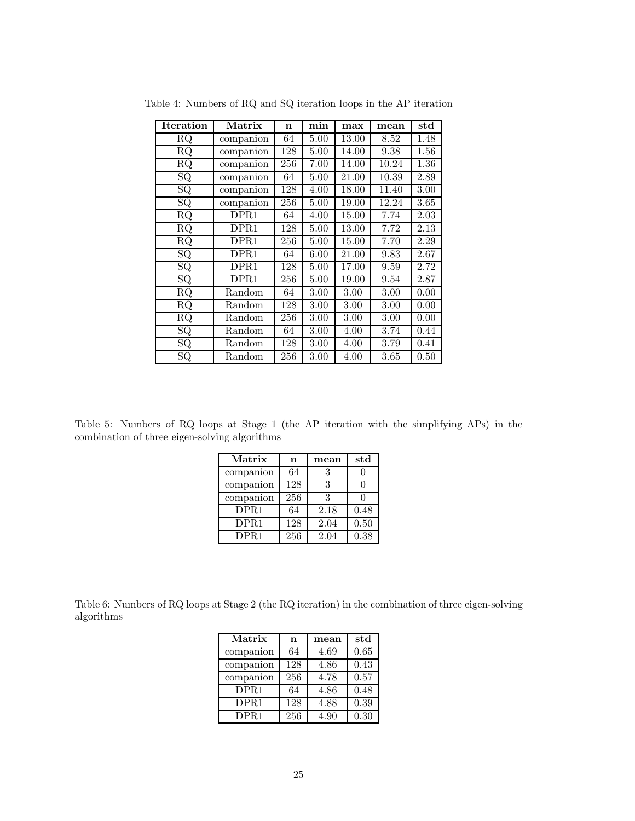| Iteration                     | Matrix                  | $\mathbf n$ | min      | max   | mean     | $_{\rm std}$ |
|-------------------------------|-------------------------|-------------|----------|-------|----------|--------------|
| $\rm RQ$                      | companion               | 64          | 5.00     | 13.00 | 8.52     | 1.48         |
| $\rm RQ$                      | companion               | 128         | 5.00     | 14.00 | 9.38     | 1.56         |
| $\rm RQ$                      | companion               | 256         | 7.00     | 14.00 | 10.24    | 1.36         |
| $\overline{S}Q$               | companion               | 64          | 5.00     | 21.00 | 10.39    | 2.89         |
| SQ                            | companion               | 128         | 4.00     | 18.00 | 11.40    | 3.00         |
| SQ                            | companion               | 256         | 5.00     | 19.00 | 12.24    | 3.65         |
| RQ                            | DPR1                    | 64          | 4.00     | 15.00 | 7.74     | 2.03         |
| $\overline{\text{R}}\text{Q}$ | DPR1                    | 128         | 5.00     | 13.00 | 7.72     | 2.13         |
| $\rm RQ$                      | DPR1                    | 256         | 5.00     | 15.00 | 7.70     | 2.29         |
| SQ                            | DPR1                    | 64          | 6.00     | 21.00 | 9.83     | 2.67         |
| SQ                            | $\overline{\rm DPR1}$   | 128         | 5.00     | 17.00 | 9.59     | 2.72         |
| SQ                            | DPR1                    | 256         | 5.00     | 19.00 | 9.54     | 2.87         |
| RQ                            | $\operatorname{Random}$ | 64          | $3.00\,$ | 3.00  | 3.00     | 0.00         |
| <b>RQ</b>                     | Random                  | 128         | 3.00     | 3.00  | 3.00     | 0.00         |
| RQ                            | Random                  | 256         | 3.00     | 3.00  | $3.00\,$ | 0.00         |
| SQ                            | Random                  | 64          | $3.00\,$ | 4.00  | 3.74     | 0.44         |
| SQ                            | Random                  | 128         | $3.00\,$ | 4.00  | 3.79     | 0.41         |
| SQ                            | Random                  | 256         | $3.00\,$ | 4.00  | 3.65     | 0.50         |

Table 4: Numbers of RQ and SQ iteration loops in the AP iteration

Table 5: Numbers of RQ loops at Stage 1 (the AP iteration with the simplifying APs) in the combination of three eigen-solving algorithms

| Matrix             | n   | mean | $_{std}$ |
|--------------------|-----|------|----------|
| companion          | 64  | 3    |          |
| companion          | 128 | 3    |          |
| companion          | 256 | 3    |          |
| $\overline{D}$ PR1 | 64  | 2.18 | 0.48     |
| DPR <sub>1</sub>   | 128 | 2.04 | 0.50     |
| DPR <sub>1</sub>   | 256 | 2.04 | 0.38     |

Table 6: Numbers of RQ loops at Stage 2 (the RQ iteration) in the combination of three eigen-solving algorithms

| Matrix            | n   | mean | std  |
|-------------------|-----|------|------|
| companion         | 64  | 4.69 | 0.65 |
| companion         | 128 | 4.86 | 0.43 |
| companion         | 256 | 4.78 | 0.57 |
| $\overline{DPR1}$ | 64  | 4.86 | 0.48 |
| DPR1              | 128 | 4.88 | 0.39 |
| DPR <sub>1</sub>  | 256 | 4.90 | 0.30 |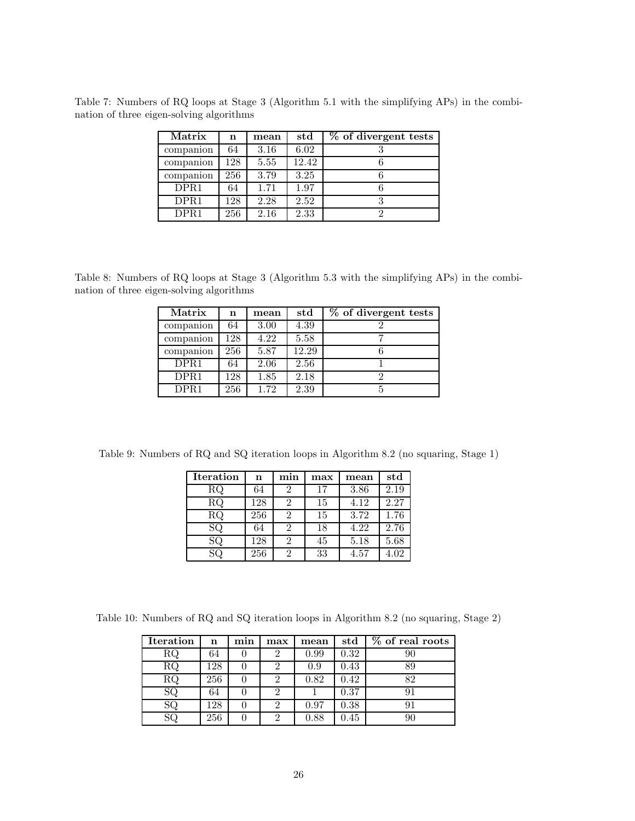Table 7: Numbers of RQ loops at Stage 3 (Algorithm 5.1 with the simplifying APs) in the combination of three eigen-solving algorithms

| Matrix           | n   | mean | std   | % of divergent tests |
|------------------|-----|------|-------|----------------------|
| companion        | 64  | 3.16 | 6.02  |                      |
| companion        | 128 | 5.55 | 12.42 |                      |
| companion        | 256 | 3.79 | 3.25  |                      |
| DPR1             | 64  | 1.71 | 1.97  |                      |
| DPR <sub>1</sub> | 128 | 2.28 | 2.52  |                      |
| DPR <sub>1</sub> | 256 | 2.16 | 2.33  |                      |

Table 8: Numbers of RQ loops at Stage 3 (Algorithm 5.3 with the simplifying APs) in the combination of three eigen-solving algorithms

| Matrix    | n   | mean | std   | $\overline{\%}$ of divergent tests |
|-----------|-----|------|-------|------------------------------------|
| companion | 64  | 3.00 | 4.39  |                                    |
| companion | 128 | 4.22 | 5.58  |                                    |
| companion | 256 | 5.87 | 12.29 |                                    |
| DPR1      | 64  | 2.06 | 2.56  |                                    |
| DPR1      | 128 | 1.85 | 2.18  |                                    |
| DPR1      | 256 | 1.72 | 2.39  |                                    |

Table 9: Numbers of RQ and SQ iteration loops in Algorithm 8.2 (no squaring, Stage 1)

| <b>Iteration</b> | n   | min | max | mean | $_{std}$ |
|------------------|-----|-----|-----|------|----------|
| RQ               | 64  |     | 17  | 3.86 | 2.19     |
| RQ               | 128 |     | 15  | 4.12 | 2.27     |
| RQ               | 256 |     | 15  | 3.72 | 1.76     |
| SQ               | 64  |     | 18  | 4.22 | 2.76     |
| SQ               | 128 |     | 45  | 5.18 | 5.68     |
|                  | 256 |     | 33  | 4.57 | 4.02     |

Table 10: Numbers of RQ and SQ iteration loops in Algorithm 8.2 (no squaring, Stage 2)

| <b>Iteration</b> | n   | min | max | mean | std  | $\overline{\%}$ of real roots |
|------------------|-----|-----|-----|------|------|-------------------------------|
| RQ               | 64  |     | 2   | 0.99 | 0.32 |                               |
| RQ               | 128 |     |     | 0.9  | 0.43 | 89                            |
| $\rm RQ$         | 256 |     | 2   | 0.82 | 0.42 | 82                            |
| SQ               | 64  |     |     |      | 0.37 |                               |
|                  | 128 |     | 2   | 0.97 | 0.38 |                               |
|                  | 256 |     | ິ   | 0.88 | 0.45 |                               |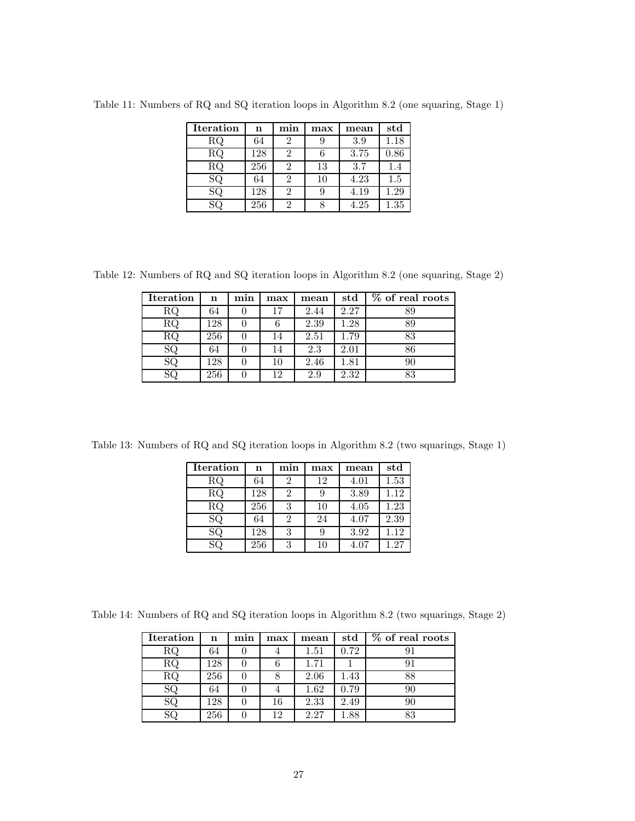| <b>Iteration</b> | n   | min | max | mean | std  |
|------------------|-----|-----|-----|------|------|
| RQ               | 64  | 2   |     | 3.9  | 1.18 |
| $\rm RQ$         | 128 | 2   |     | 3.75 | 0.86 |
| $\rm RQ$         | 256 | 2   | 13  | 3.7  | 1.4  |
| SQ               | 64  | 2   | 10  | 4.23 | 1.5  |
| SQ               | 128 | 2   |     | 4.19 | 1.29 |
|                  | 256 | 2   |     | 4.25 | 1.35 |

Table 11: Numbers of RQ and SQ iteration loops in Algorithm 8.2 (one squaring, Stage 1)

Table 12: Numbers of RQ and SQ iteration loops in Algorithm 8.2 (one squaring, Stage 2)

| <b>Iteration</b> | n   | min | max | mean | $_{\rm std}$ | $\overline{\%}$ of real roots |
|------------------|-----|-----|-----|------|--------------|-------------------------------|
| RQ               | 64  |     | 17  | 2.44 | 2.27         | 89                            |
| RQ               | 128 |     | n   | 2.39 | $1.28\,$     | 89                            |
| $\rm RQ$         | 256 |     | 14  | 2.51 | 1.79         | 83                            |
| SQ               | 64  |     | 14  | 2.3  | 2.01         | 86                            |
| SQ               | 128 |     | 10  | 2.46 | $_{1.81}$    | 90                            |
| SQ               | 256 |     | 12  | 2.9  | 2.32         | 83                            |

Table 13: Numbers of RQ and SQ iteration loops in Algorithm 8.2 (two squarings, Stage 1)

| <b>Iteration</b>       | n   | min | max | mean | $_{std}$ |
|------------------------|-----|-----|-----|------|----------|
| RQ                     | 64  |     | 12  | 4.01 | 1.53     |
| $\rm RQ$               | 128 |     | 9   | 3.89 | 1.12     |
| $\overline{\text{RQ}}$ | 256 |     | 10  | 4.05 | 1.23     |
| SQ                     | 64  |     | 24  | 4.07 | 2.39     |
| SQ                     | 128 |     | 9   | 3.92 | 1.12     |
|                        | 256 |     | 10  | 4.07 | 1.27     |

Table 14: Numbers of RQ and SQ iteration loops in Algorithm 8.2 (two squarings, Stage 2)

| <b>Iteration</b> | n   | min | max | mean | std  | $\overline{\%}$ of real roots |
|------------------|-----|-----|-----|------|------|-------------------------------|
| RQ               | 64  |     | о   | 1.51 | 0.72 |                               |
| RQ               | 128 |     | 6   | 1.71 |      |                               |
| RQ               | 256 |     |     | 2.06 | 1.43 | 88                            |
| SQ               | 64  |     |     | 1.62 | 0.79 | 90                            |
| SQ               | 128 |     | 16  | 2.33 | 2.49 | 90                            |
|                  | 256 |     | 19  | 2.27 | .88  | 83                            |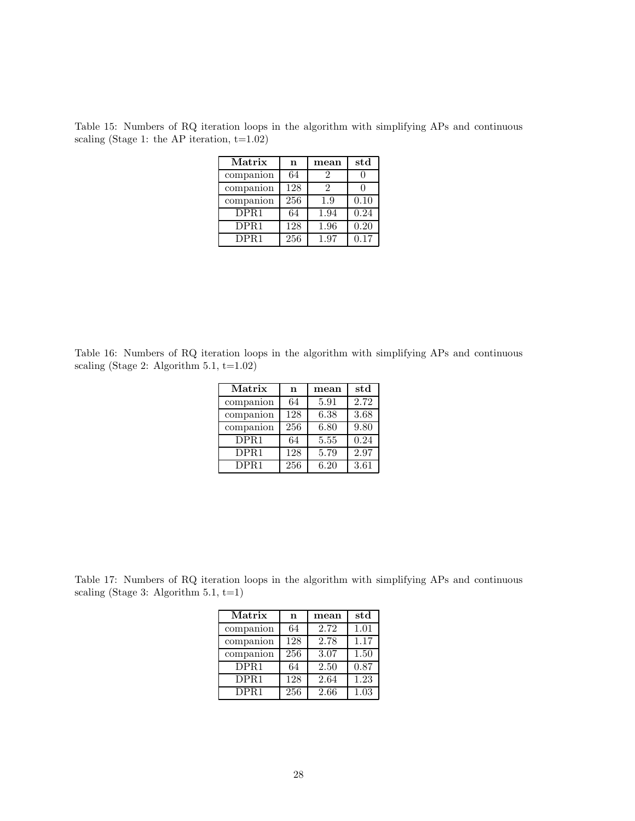Table 15: Numbers of RQ iteration loops in the algorithm with simplifying APs and continuous scaling (Stage 1: the AP iteration,  $t=1.02$ )

| Matrix           | n   | mean | std               |
|------------------|-----|------|-------------------|
| companion        | 64  | 2    |                   |
| companion        | 128 | 2    |                   |
| companion        | 256 | 1.9  | 0.10              |
| DPR <sub>1</sub> | 64  | 1.94 | $\overline{0.24}$ |
| DPR1             | 128 | 1.96 | 0.20              |
| DPR1             | 256 | 1.97 | 0.17              |

Table 16: Numbers of RQ iteration loops in the algorithm with simplifying APs and continuous scaling (Stage 2: Algorithm  $5.1, t=1.02$ )

| Matrix           | n   | mean | std  |
|------------------|-----|------|------|
| companion        | 64  | 5.91 | 2.72 |
| companion        | 128 | 6.38 | 3.68 |
| companion        | 256 | 6.80 | 9.80 |
| DPR <sub>1</sub> | 64  | 5.55 | 0.24 |
| DPR1             | 128 | 5.79 | 2.97 |
| DPR <sub>1</sub> | 256 | 6.20 | 3.61 |

Table 17: Numbers of RQ iteration loops in the algorithm with simplifying APs and continuous scaling (Stage 3: Algorithm 5.1,  $t=1$ )

| Matrix                         | n   | mean | std  |
|--------------------------------|-----|------|------|
| companion                      | 64  | 2.72 | 1.01 |
| companion                      | 128 | 2.78 | 1.17 |
| companion                      | 256 | 3.07 | 1.50 |
| $\overline{D}$ PR <sub>1</sub> | 64  | 2.50 | 0.87 |
| DPR <sub>1</sub>               | 128 | 2.64 | 1.23 |
| DPR <sub>1</sub>               | 256 | 2.66 | 1.03 |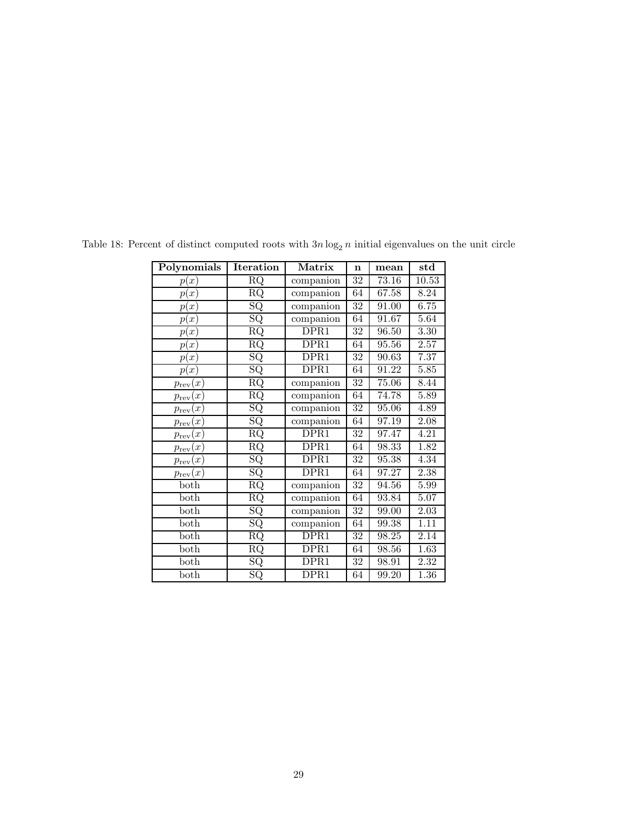| Polynomials                       | Iteration                | Matrix    | $\mathbf n$     | mean  | $_{\rm std}$      |
|-----------------------------------|--------------------------|-----------|-----------------|-------|-------------------|
| p(x)                              | RQ                       | companion | $\overline{32}$ | 73.16 | 10.53             |
| p(x)                              | $\rm RQ$                 | companion | 64              | 67.58 | 8.24              |
| p(x)                              | $\overline{\text{SQ}}$   | companion | $\overline{32}$ | 91.00 | 6.75              |
| p(x)                              | $\overline{\mathrm{SQ}}$ | companion | 64              | 91.67 | 5.64              |
| p(x)                              | $\overline{\text{RQ}}$   | DPR1      | $\overline{32}$ | 96.50 | 3.30              |
| p(x)                              | $\overline{\text{RQ}}$   | DPR1      | 64              | 95.56 | $2.57\,$          |
| p(x)                              | $_{\rm SQ}$              | DPR1      | $\overline{32}$ | 90.63 | 7.37              |
| p(x)                              | $\overline{\text{SQ}}$   | DPR1      | 64              | 91.22 | 5.85              |
| $p_{\text{rev}}(x)$               | $\overline{\text{RQ}}$   | companion | 32              | 75.06 | 8.44              |
| $\boldsymbol{x}$<br>$p_{\rm rev}$ | $\overline{\text{RQ}}$   | companion | 64              | 74.78 | 5.89              |
| $p_{\text{rev}}(x)$               | $\overline{\text{SQ}}$   | companion | $\overline{32}$ | 95.06 | 4.89              |
| x<br>$p_{\rm rev}$                | $\overline{\mathrm{SQ}}$ | companion | 64              | 97.19 | 2.08              |
| $p_{\text{rev}}(x)$               | $\overline{\text{RQ}}$   | DPR1      | 32              | 97.47 | 4.21              |
| x<br>$p_{\text{rev}}$             | $\overline{\text{RQ}}$   | DPR1      | 64              | 98.33 | 1.82              |
| $p_{\text{rev}}(x)$               | SQ                       | DPR1      | $\overline{32}$ | 95.38 | 4.34              |
| $p_{\rm rev}(x)$                  | $\overline{\text{SQ}}$   | DPR1      | 64              | 97.27 | 2.38              |
| both                              | $\overline{\text{RQ}}$   | companion | $\overline{32}$ | 94.56 | 5.99              |
| both                              | $\overline{\text{RQ}}$   | companion | 64              | 93.84 | 5.07              |
| both                              | $\overline{\text{SQ}}$   | companion | $\overline{32}$ | 99.00 | $\overline{2.03}$ |
| both                              | $\overline{\text{SQ}}$   | companion | 64              | 99.38 | 1.11              |
| both                              | $\overline{\text{RQ}}$   | DPR1      | 32              | 98.25 | 2.14              |
| $_{\text{both}}$                  | $\overline{\text{RQ}}$   | DPR1      | 64              | 98.56 | 1.63              |
| both                              | $\overline{\text{SQ}}$   | DPR1      | 32              | 98.91 | 2.32              |
| both                              | $\overline{\text{SQ}}$   | DPR1      | $\overline{6}4$ | 99.20 | 1.36              |

Table 18: Percent of distinct computed roots with  $3n \log_2 n$  initial eigenvalues on the unit circle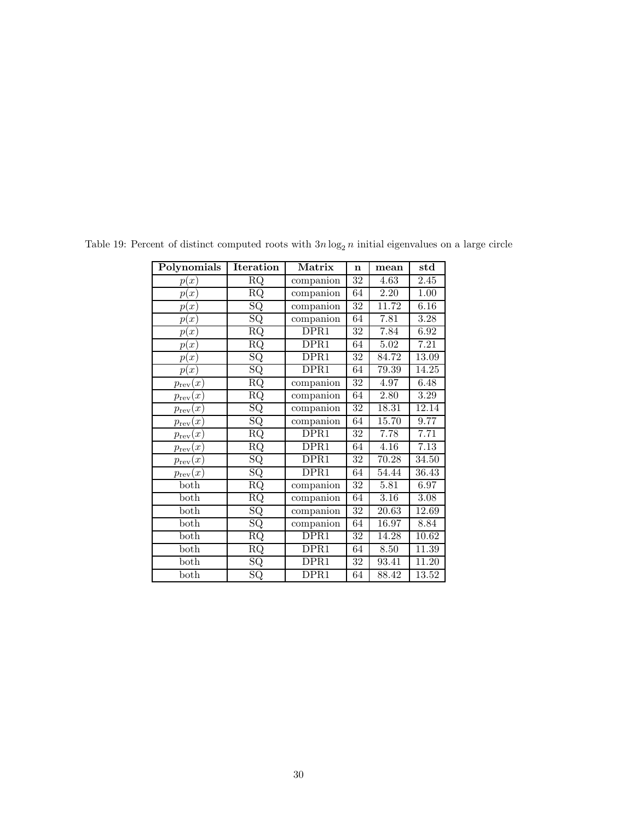| Polynomials                          | Iteration                | Matrix    | $\mathbf n$     | mean              | $_{\rm std}$      |
|--------------------------------------|--------------------------|-----------|-----------------|-------------------|-------------------|
| p(x)                                 | RQ                       | companion | 32              | $\overline{4.63}$ | $\overline{2.45}$ |
| p(x)                                 | RQ                       | companion | 64              | 2.20              | 1.00              |
| p(x)                                 | $\overline{\mathrm{SQ}}$ | companion | $\overline{32}$ | 11.72             | 6.16              |
| p(x)                                 | SQ                       | companion | 64              | 7.81              | $\overline{3.28}$ |
| p(x)                                 | $\overline{\text{RQ}}$   | DPR1      | $\overline{32}$ | 7.84              | 6.92              |
| p(x)                                 | $\overline{\text{RQ}}$   | DPR1      | 64              | 5.02              | 7.21              |
| p(x)                                 | $_{\rm SQ}$              | DPR1      | $\overline{32}$ | 84.72             | 13.09             |
| p(x)                                 | $\overline{\text{SQ}}$   | DPR1      | 64              | 79.39             | 14.25             |
| $p_{\text{rev}}(x)$                  | $\overline{\text{RQ}}$   | companion | 32              | 4.97              | 6.48              |
| $\boldsymbol{x}$<br>$p_{\rm rev}$    | $\overline{\text{RQ}}$   | companion | 64              | 2.80              | $\overline{3.29}$ |
| $p_{\text{rev}}(x)$                  | $\overline{\mathrm{SQ}}$ | companion | $\overline{32}$ | 18.31             | 12.14             |
| $\boldsymbol{x}$<br>$p_{\rm rev}$    | $\overline{\mathrm{SQ}}$ | companion | 64              | 15.70             | 9.77              |
| $p_{\text{rev}}(x)$                  | $\overline{\text{RQ}}$   | DPR1      | 32              | 7.78              | 7.71              |
| $\boldsymbol{x}$<br>$p_{\text{rev}}$ | $\overline{\text{RQ}}$   | DPR1      | 64              | 4.16              | 7.13              |
| $p_{\text{rev}}(x)$                  | $_{\rm SQ}$              | DPR1      | $\overline{32}$ | 70.28             | 34.50             |
| $p_{\rm rev}(x)$                     | $\overline{\text{SQ}}$   | DPR1      | 64              | 54.44             | 36.43             |
| both                                 | $\overline{\text{RQ}}$   | companion | $\overline{32}$ | 5.81              | 6.97              |
| both                                 | $\overline{\text{RQ}}$   | companion | 64              | $\overline{3.16}$ | $\overline{3.08}$ |
| both                                 | $\overline{\text{SQ}}$   | companion | $\overline{32}$ | 20.63             | 12.69             |
| both                                 | $\overline{\mathrm{SQ}}$ | companion | 64              | 16.97             | 8.84              |
| both                                 | $\overline{\text{RQ}}$   | DPR1      | 32              | 14.28             | 10.62             |
| $_{\text{both}}$                     | $\overline{\text{RQ}}$   | DPR1      | 64              | 8.50              | 11.39             |
| both                                 | $\overline{\text{SQ}}$   | DPR1      | 32              | 93.41             | 11.20             |
| both                                 | $\overline{\mathrm{SQ}}$ | DPR1      | 64              | 88.42             | 13.52             |

Table 19: Percent of distinct computed roots with  $3n \log_2 n$  initial eigenvalues on a large circle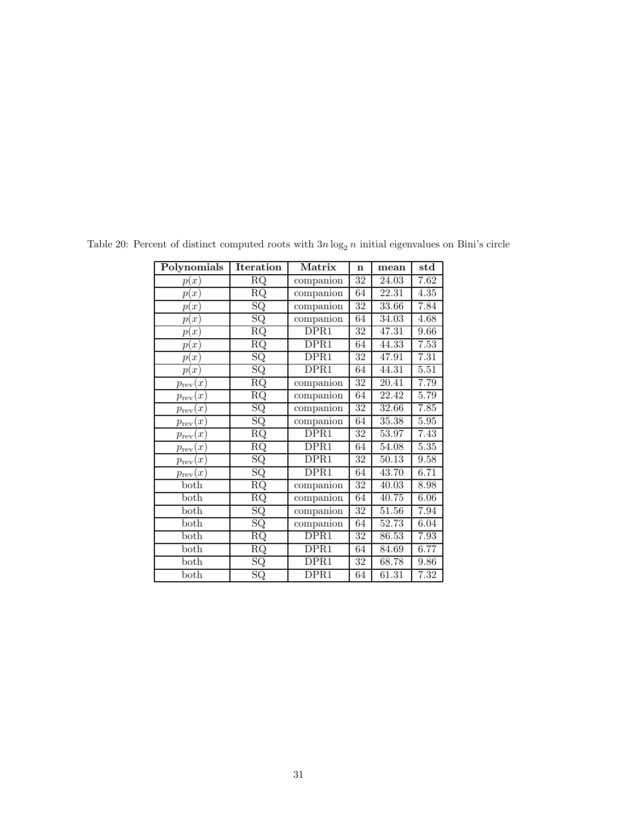| Polynomials             | <b>Iteration</b>         | $\operatorname{Matrix}$  | $\mathbf n$     | mean               | $_{\rm std}$      |
|-------------------------|--------------------------|--------------------------|-----------------|--------------------|-------------------|
| p(x)                    | <b>RQ</b>                | companion                | $\overline{32}$ | $\overline{24.03}$ | 7.62              |
| p(x)                    | $\overline{\text{RQ}}$   | companion                | 64              | 22.31              | 4.35              |
| p(x)                    | $\overline{\mathrm{SQ}}$ | companion                | $\overline{32}$ | 33.66              | 7.84              |
| p(x)                    | $\overline{\mathrm{SQ}}$ | companion                | 64              | 34.03              | 4.68              |
| p(x)                    | $\overline{\text{RQ}}$   | DPR1                     | 32              | 47.31              | 9.66              |
| p(x)                    | $\overline{\text{RQ}}$   | $\overline{D}$ PR1       | 64              | 44.33              | 7.53              |
| p(x)                    | $_{\rm SQ}$              | DPR1                     | 32              | 47.91              | 7.31              |
| p(x)                    | $_{\rm SQ}$              | $\overline{D}$ PR1       | 64              | 44.31              | 5.51              |
| $p_{\text{rev}}(x)$     | <b>RQ</b>                | companion                | $\overline{32}$ | 20.41              | 7.79              |
| (x)<br>$p_{\text{rev}}$ | $\overline{\text{RQ}}$   | companion                | 64              | 22.42              | 5.79              |
| $p_{\textrm{rev}}(x)$   | $\overline{\text{SQ}}$   | companion                | $\overline{32}$ | 32.66              | 7.85              |
| (x)<br>$p_{\text{rev}}$ | $\overline{\text{SQ}}$   | companion                | 64              | 35.38              | 5.95              |
| $p_{\text{rev}}(x)$     | $\overline{\text{RQ}}$   | DPR1                     | 32              | 53.97              | 7.43              |
| $p_{\text{rev}}(x)$     | $\overline{\text{RQ}}$   | DPR1                     | 64              | 54.08              | $\overline{5.35}$ |
| $p_{\text{rev}}(x)$     | $_{\rm SQ}$              | DPR1                     | $\overline{32}$ | 50.13              | 9.58              |
| $p_{\textrm{rev}}(x)$   | $_{\rm SQ}$              | DPR1                     | 64              | 43.70              | 6.71              |
| $_{\text{both}}$        | $\overline{\text{RQ}}$   | companion                | $\overline{32}$ | 40.03              | 8.98              |
| both                    | $\overline{\text{RQ}}$   | companion                | 64              | 40.75              | 6.06              |
| both                    | $\overline{\mathrm{SQ}}$ | companion                | $\overline{32}$ | 51.56              | 7.94              |
| $\mathrm{both}$         | $_{\rm SQ}$              | companion                | 64              | 52.73              | 6.04              |
| both                    | RQ                       | DPR1                     | 32              | 86.53              | 7.93              |
| both                    | $\overline{\text{RQ}}$   | $\overline{\text{DPR}}1$ | 64              | 84.69              | 6.77              |
| both                    | $\overline{\text{SQ}}$   | $\overline{D}$ PR1       | 32              | 68.78              | 9.86              |
| both                    | $_{\rm SQ}$              | $\overline{\text{DPR}}1$ | 64              | 61.31              | 7.32              |

Table 20: Percent of distinct computed roots with  $3n \log_2 n$  initial eigenvalues on Bini's circle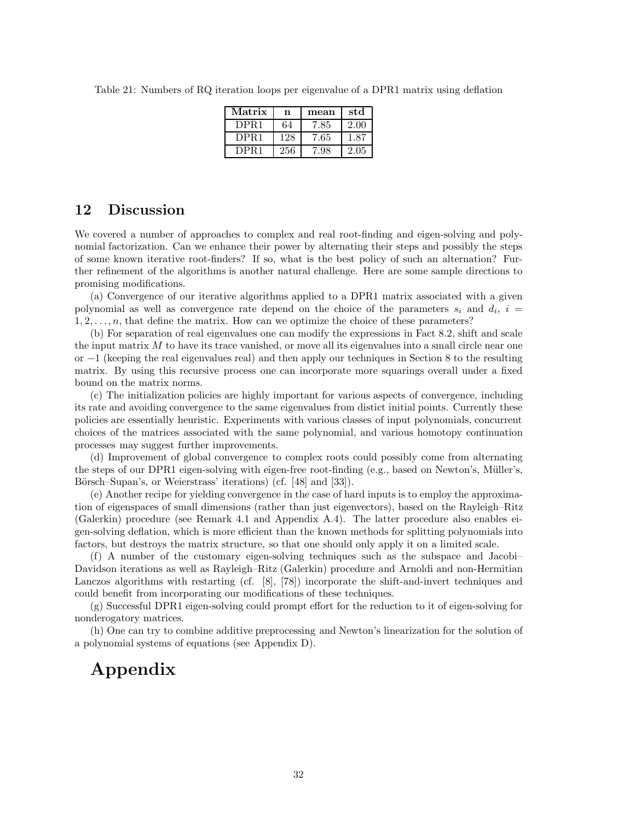Table 21: Numbers of RQ iteration loops per eigenvalue of a DPR1 matrix using deflation

| Matrix           | n   | mean | std  |
|------------------|-----|------|------|
| DPR <sub>1</sub> | 64  | 7.85 | 2.00 |
| DPR <sub>1</sub> | 128 | 7.65 | 1.87 |
| DPR1             | 256 | 7.98 | 2.05 |

## **12 Discussion**

We covered a number of approaches to complex and real root-finding and eigen-solving and polynomial factorization. Can we enhance their power by alternating their steps and possibly the steps of some known iterative root-finders? If so, what is the best policy of such an alternation? Further refinement of the algorithms is another natural challenge. Here are some sample directions to promising modifications.

(a) Convergence of our iterative algorithms applied to a DPR1 matrix associated with a given polynomial as well as convergence rate depend on the choice of the parameters  $s_i$  and  $d_i$ ,  $i =$ 1*,* 2*,...,n*, that define the matrix. How can we optimize the choice of these parameters?

(b) For separation of real eigenvalues one can modify the expressions in Fact 8.2, shift and scale the input matrix M to have its trace vanished, or move all its eigenvalues into a small circle near one or −1 (keeping the real eigenvalues real) and then apply our techniques in Section 8 to the resulting matrix. By using this recursive process one can incorporate more squarings overall under a fixed bound on the matrix norms.

(c) The initialization policies are highly important for various aspects of convergence, including its rate and avoiding convergence to the same eigenvalues from distict initial points. Currently these policies are essentially heuristic. Experiments with various classes of input polynomials, concurrent choices of the matrices associated with the same polynomial, and various homotopy continuation processes may suggest further improvements.

(d) Improvement of global convergence to complex roots could possibly come from alternating the steps of our DPR1 eigen-solving with eigen-free root-finding  $(e.g.,$  based on Newton's, Müller's, Börsch–Supan's, or Weierstrass' iterations) (cf. [48] and [33]).

(e) Another recipe for yielding convergence in the case of hard inputs is to employ the approximation of eigenspaces of small dimensions (rather than just eigenvectors), based on the Rayleigh–Ritz (Galerkin) procedure (see Remark 4.1 and Appendix A.4). The latter procedure also enables eigen-solving deflation, which is more efficient than the known methods for splitting polynomials into factors, but destroys the matrix structure, so that one should only apply it on a limited scale.

(f) A number of the customary eigen-solving techniques such as the subspace and Jacobi– Davidson iterations as well as Rayleigh–Ritz (Galerkin) procedure and Arnoldi and non-Hermitian Lanczos algorithms with restarting (cf. [8], [78]) incorporate the shift-and-invert techniques and could benefit from incorporating our modifications of these techniques.

(g) Successful DPR1 eigen-solving could prompt effort for the reduction to it of eigen-solving for nonderogatory matrices.

(h) One can try to combine additive preprocessing and Newton's linearization for the solution of a polynomial systems of equations (see Appendix D).

## **Appendix**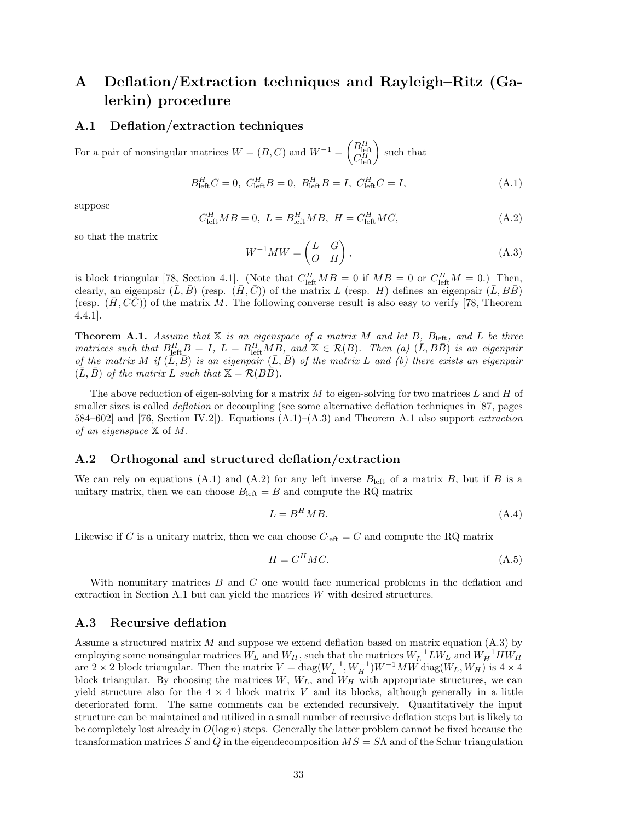## **A Deflation/Extraction techniques and Rayleigh–Ritz (Galerkin) procedure**

### **A.1 Deflation/extraction techniques**

For a pair of nonsingular matrices  $W = (B, C)$  and  $W^{-1} = \begin{pmatrix} B_{\text{left}}^H \\ C_{\text{left}}^H \end{pmatrix}$  such that

$$
B_{\text{left}}^H C = 0, \ C_{\text{left}}^H B = 0, \ B_{\text{left}}^H B = I, \ C_{\text{left}}^H C = I,
$$
\n(A.1)

suppose

$$
C_{\rm left}^H M B = 0, \ L = B_{\rm left}^H M B, \ H = C_{\rm left}^H M C,
$$
\n(A.2)

so that the matrix

$$
W^{-1}MW = \begin{pmatrix} L & G \\ O & H \end{pmatrix},\tag{A.3}
$$

is block triangular  $[78]$ , Section 4.1]. (Note that  $C_{\text{left}}^H MB = 0$  if  $MB = 0$  or  $C_{\text{left}}^H M = 0$ .) Then, clearly, an eigenpair  $(\bar{L}, \bar{B})$  (resp.  $(\bar{H}, \bar{C})$ ) of the matrix *L* (resp. *H*) defines an eigenpair  $(\bar{L}, B\bar{B})$ (resp.  $(H, CC)$ ) of the matrix M. The following converse result is also easy to verify [78, Theorem 4.4.1].

**Theorem A.1.** *Assume that* X *is an eigenspace of a matrix M and let B, B*left*, and L be three matrices such that*  $B_{\text{left}}^H P = I$ ,  $L = B_{\text{left}}^H M P$ , and  $\mathbb{X} \in \mathcal{R}(B)$ . Then (a)  $(\overline{L}, B\overline{B})$  *is an eigenpair of the matrix M if*  $(L, B)$  *is an eigenpair*  $(L, B)$  *of the matrix L and (b) there exists an eigenpair*  $(\bar{L}, \bar{B})$  *of the matrix L such that*  $\mathbb{X} = \mathcal{R}(B\bar{B})$ *.* 

The above reduction of eigen-solving for a matrix *M* to eigen-solving for two matrices *L* and *H* of smaller sizes is called *deflation* or decoupling (see some alternative deflation techniques in [87, pages 584–602] and [76, Section IV.2]). Equations (A.1)–(A.3) and Theorem A.1 also support *extraction of an eigenspace* X of *M*.

#### **A.2 Orthogonal and structured deflation/extraction**

We can rely on equations  $(A.1)$  and  $(A.2)$  for any left inverse  $B_{\text{left}}$  of a matrix  $B$ , but if  $B$  is a unitary matrix, then we can choose  $B_{\text{left}} = B$  and compute the RQ matrix

$$
L = B^H M B. \tag{A.4}
$$

Likewise if *C* is a unitary matrix, then we can choose  $C_{\text{left}} = C$  and compute the RQ matrix

$$
H = C^H M C. \tag{A.5}
$$

With nonunitary matrices *B* and *C* one would face numerical problems in the deflation and extraction in Section A.1 but can yield the matrices *W* with desired structures.

#### **A.3 Recursive deflation**

Assume a structured matrix *M* and suppose we extend deflation based on matrix equation (A.3) by employing some nonsingular matrices  $W_L$  and  $W_H$ , such that the matrices  $W_L^{-1}LW_L$  and  $W_H^{-1}HW_H$ are 2 × 2 block triangular. Then the matrix  $V = \text{diag}(W_L^{-1}, W_H^{-1})W^{-1}MW \text{diag}(W_L, W_H)$  is 4 × 4 block triangular. By choosing the matrices  $W, W_L$ , and  $W_H$  with appropriate structures, we can yield structure also for the  $4 \times 4$  block matrix *V* and its blocks, although generally in a little deteriorated form. The same comments can be extended recursively. Quantitatively the input structure can be maintained and utilized in a small number of recursive deflation steps but is likely to be completely lost already in  $O(\log n)$  steps. Generally the latter problem cannot be fixed because the transformation matrices *S* and *Q* in the eigendecomposition *MS* = *S*Λ and of the Schur triangulation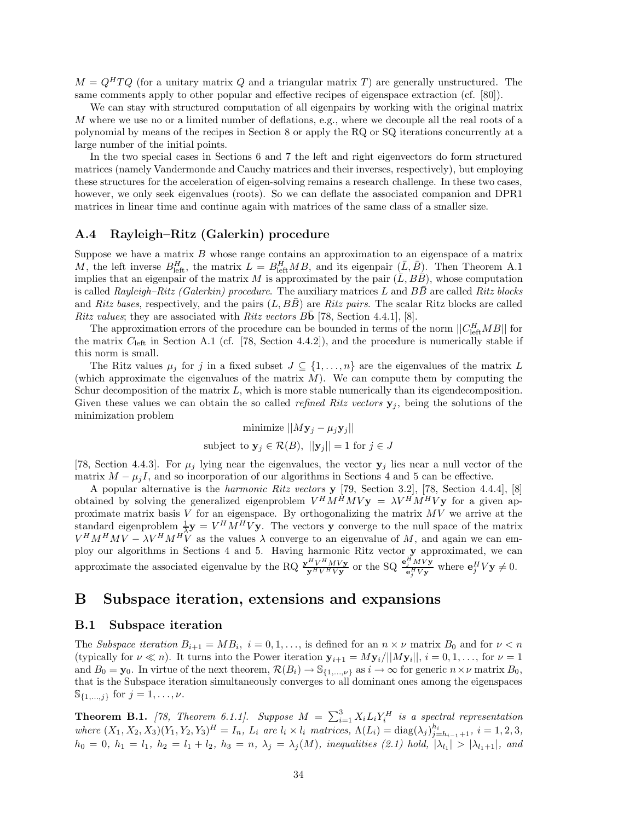$M = Q^H T Q$  (for a unitary matrix *Q* and a triangular matrix *T*) are generally unstructured. The same comments apply to other popular and effective recipes of eigenspace extraction (cf. [80]).

We can stay with structured computation of all eigenpairs by working with the original matrix *M* where we use no or a limited number of deflations, e.g., where we decouple all the real roots of a polynomial by means of the recipes in Section 8 or apply the RQ or SQ iterations concurrently at a large number of the initial points.

In the two special cases in Sections 6 and 7 the left and right eigenvectors do form structured matrices (namely Vandermonde and Cauchy matrices and their inverses, respectively), but employing these structures for the acceleration of eigen-solving remains a research challenge. In these two cases, however, we only seek eigenvalues (roots). So we can deflate the associated companion and DPR1 matrices in linear time and continue again with matrices of the same class of a smaller size.

#### **A.4 Rayleigh–Ritz (Galerkin) procedure**

Suppose we have a matrix *B* whose range contains an approximation to an eigenspace of a matrix *M*, the left inverse  $B_{\text{left}}^H$ , the matrix  $L = B_{\text{left}}^H M B$ , and its eigenpair  $(\bar{L}, \bar{B})$ . Then Theorem A.1 implies that an eigenpair of the matrix *M* is approximated by the pair  $(\bar{L}, B\bar{B})$ , whose computation is called *Rayleigh–Ritz (Galerkin) procedure*. The auxiliary matrices  $L$  and  $B\overline{B}$  are called *Ritz blocks* and *Ritz bases*, respectively, and the pairs  $(L, BB)$  are *Ritz pairs*. The scalar Ritz blocks are called *Ritz values*; they are associated with *Ritz vectors*  $B\mathbf{b}$  [78, Section 4.4.1], [8].

The approximation errors of the procedure can be bounded in terms of the norm  $||C_{\text{left}}^HMB||$  for the matrix *C*left in Section A.1 (cf. [78, Section 4.4.2]), and the procedure is numerically stable if this norm is small.

The Ritz values  $\mu_j$  for *j* in a fixed subset  $J \subseteq \{1, \ldots, n\}$  are the eigenvalues of the matrix *L* (which approximate the eigenvalues of the matrix *M*). We can compute them by computing the Schur decomposition of the matrix *L*, which is more stable numerically than its eigendecomposition. Given these values we can obtain the so called *refined Ritz vectors* **y***<sup>j</sup>* , being the solutions of the minimization problem

minimize 
$$
||M\mathbf{y}_j - \mu_j \mathbf{y}_j||
$$
  
subject to  $\mathbf{y}_j \in \mathcal{R}(B)$ ,  $||\mathbf{y}_j|| = 1$  for  $j \in J$ 

[78, Section 4.4.3]. For  $\mu_j$  lying near the eigenvalues, the vector  $\mathbf{y}_j$  lies near a null vector of the matrix  $M - \mu_j I$ , and so incorporation of our algorithms in Sections 4 and 5 can be effective.

A popular alternative is the *harmonic Ritz vectors* **y** [79, Section 3.2], [78, Section 4.4.4], [8] obtained by solving the generalized eigenproblem  $V^H M^H M V$ **y** =  $\lambda V^H M^H V$ **y** for a given approximate matrix basis *V* for an eigenspace. By orthogonalizing the matrix *MV* we arrive at the standard eigenproblem  $\frac{1}{\lambda}$ **y** =  $V^H M^H V$ **y**. The vectors **y** converge to the null space of the matrix  $V^H M^H M V - \lambda V^H M^H V$  as the values  $\lambda$  converge to an eigenvalue of *M*, and again we can employ our algorithms in Sections 4 and 5. Having harmonic Ritz vector **y** approximated, we can approximate the associated eigenvalue by the RQ  $\frac{\mathbf{y}^H V^H MV\mathbf{y}}{\mathbf{y}^H V^H V\mathbf{y}}$  or the SQ  $\frac{\mathbf{e}_j^H MV\mathbf{y}}{\mathbf{e}_j^H V\mathbf{y}}$  where  $\mathbf{e}_j^H V \mathbf{y} \neq 0$ .

### **B Subspace iteration, extensions and expansions**

#### **B.1 Subspace iteration**

The *Subspace iteration*  $B_{i+1} = MB_i$ ,  $i = 0, 1, \ldots$ , is defined for an  $n \times \nu$  matrix  $B_0$  and for  $\nu < n$ (typically for  $\nu \ll n$ ). It turns into the Power iteration  $\mathbf{y}_{i+1} = M\mathbf{y}_i/||M\mathbf{y}_i||, i = 0, 1, \ldots$ , for  $\nu = 1$ and  $B_0 = \mathbf{y}_0$ . In virtue of the next theorem,  $\mathcal{R}(B_i) \to \mathbb{S}_{\{1,\ldots,\nu\}}$  as  $i \to \infty$  for generic  $n \times \nu$  matrix  $B_0$ , that is the Subspace iteration simultaneously converges to all dominant ones among the eigenspaces  $\mathbb{S}_{\{1,\ldots,j\}}$  for  $j = 1, \ldots, \nu$ .

**Theorem B.1.** [78, Theorem 6.1.1]. Suppose  $M = \sum_{i=1}^{3} X_i L_i Y_i^H$  is a spectral representation where  $(X_1, X_2, X_3)(Y_1, Y_2, Y_3)^H = I_n$ ,  $L_i$  are  $l_i \times l_i$  matrices,  $\Lambda(L_i) = \text{diag}(\lambda_j)_{j=h_{i-1}+1}^{h_i}, i = 1, 2, 3,$  $h_0 = 0, h_1 = l_1, h_2 = l_1 + l_2, h_3 = n, \lambda_j = \lambda_j(M),$  inequalities (2.1) hold,  $|\lambda_{l_1}| > |\lambda_{l_1+1}|$ , and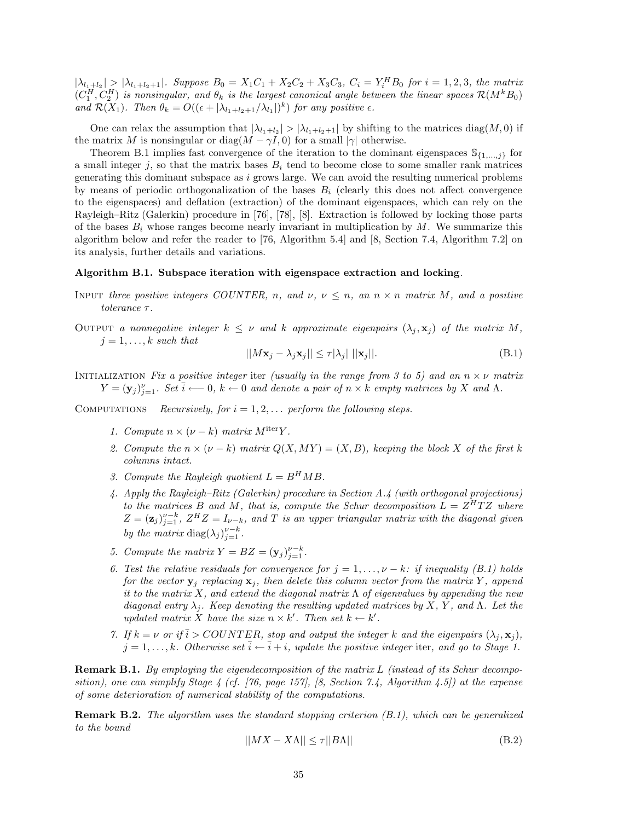$|\lambda_{l_1+l_2}| > |\lambda_{l_1+l_2+1}|$ . Suppose  $B_0 = X_1C_1 + X_2C_2 + X_3C_3$ ,  $C_i = Y_i^H B_0$  for  $i = 1, 2, 3$ , the matrix  $(C_1^H, C_2^H)$  is nonsingular, and  $\theta_k$  is the largest canonical angle between the linear spaces  $\mathcal{R}(M^kB_0)$ *and*  $\mathcal{R}(X_1)$ *. Then*  $\theta_k = O((\epsilon + |\lambda_{l_1+l_2+1}/\lambda_{l_1}|)^k)$  *for any positive*  $\epsilon$ *.* 

One can relax the assumption that  $|\lambda_{l_1+l_2}| > |\lambda_{l_1+l_2+1}|$  by shifting to the matrices diag(*M*, 0) if the matrix *M* is nonsingular or diag( $M - \gamma I$ , 0) for a small  $|\gamma|$  otherwise.

Theorem B.1 implies fast convergence of the iteration to the dominant eigenspaces  $\mathbb{S}_{\{1,\ldots,j\}}$  for a small integer  $j$ , so that the matrix bases  $B_i$  tend to become close to some smaller rank matrices generating this dominant subspace as *i* grows large. We can avoid the resulting numerical problems by means of periodic orthogonalization of the bases  $B_i$  (clearly this does not affect convergence to the eigenspaces) and deflation (extraction) of the dominant eigenspaces, which can rely on the Rayleigh–Ritz (Galerkin) procedure in [76], [78], [8]. Extraction is followed by locking those parts of the bases  $B_i$  whose ranges become nearly invariant in multiplication by  $M$ . We summarize this algorithm below and refer the reader to [76, Algorithm 5.4] and [8, Section 7.4, Algorithm 7.2] on its analysis, further details and variations.

#### **Algorithm B.1. Subspace iteration with eigenspace extraction and locking***.*

- INPUT *three positive integers COUNTER, n, and*  $\nu, \nu \leq n$ , an  $n \times n$  matrix M, and a positive *tolerance τ .*
- OUTPUT a nonnegative integer  $k \leq \nu$  and  $k$  approximate eigenpairs  $(\lambda_j, \mathbf{x}_j)$  of the matrix  $M$ ,  $j = 1, \ldots, k$  *such that*

$$
||M\mathbf{x}_j - \lambda_j \mathbf{x}_j|| \le \tau |\lambda_j| ||\mathbf{x}_j||. \tag{B.1}
$$

Initialization *Fix a positive integer* iter *(usually in the range from 3 to 5) and an n* × *ν matrix*  $Y = (\mathbf{y}_j)_{j=1}^{\nu}$ . Set  $\overline{i} \longleftarrow 0$ ,  $k \leftarrow 0$  and denote a pair of  $n \times k$  empty matrices by X and  $\Lambda$ .

COMPUTATIONS *Recursively, for*  $i = 1, 2, \ldots$  *perform the following steps.* 

- *1. Compute*  $n \times (\nu k)$  *matrix*  $M^{iter}Y$ .
- *2. Compute the*  $n \times (\nu k)$  *matrix*  $Q(X, MY) = (X, B)$ *, keeping the block X of the first k columns intact.*
- *3. Compute the Rayleigh quotient*  $L = B^H M B$ .
- *4. Apply the Rayleigh–Ritz (Galerkin) procedure in Section A.4 (with orthogonal projections) to the matrices B and M*, *that is, compute the Schur decomposition*  $L = Z^H T Z$  *where*  $Z = (\mathbf{z}_j)_{j=1}^{\nu-k}$ ,  $Z^H Z = I_{\nu-k}$ , and  $T$  is an upper triangular matrix with the diagonal given *by the matrix* diag $(\lambda_j)_{j=1}^{\nu-k}$ .
- *5. Compute the matrix*  $Y = BZ = (\mathbf{y}_j)_{j=1}^{\nu-k}$ .
- *6. Test the relative residuals for convergence for*  $j = 1, \ldots, \nu k$ *: if inequality (B.1) holds for the vector*  $\mathbf{y}_i$  *replacing*  $\mathbf{x}_i$ *, then delete this column vector from the matrix*  $Y$ *, append it to the matrix X, and extend the diagonal matrix* Λ *of eigenvalues by appending the new diagonal entry λj. Keep denoting the resulting updated matrices by X, Y , and* Λ*. Let the updated matrix X have the size*  $n \times k'$ *. Then set*  $k \leftarrow k'$ *.*
- *7.* If  $k = \nu$  or if  $\overline{i} > \text{COUNTER}$ , stop and output the integer k and the eigenpairs  $(\lambda_i, \mathbf{x}_i)$ ,  $j = 1, \ldots, k$ *. Otherwise set*  $\overline{i} \leftarrow \overline{i} + i$ *, update the positive integer* iter*, and go to Stage 1.*

**Remark B.1.** *By employing the eigendecomposition of the matrix L (instead of its Schur decomposition), one can simplify Stage 4 (cf. [76, page 157], [8, Section 7.4, Algorithm 4.5]) at the expense of some deterioration of numerical stability of the computations.*

**Remark B.2.** *The algorithm uses the standard stopping criterion (B.1), which can be generalized to the bound*

$$
||MX - X\Lambda|| \le \tau ||B\Lambda|| \tag{B.2}
$$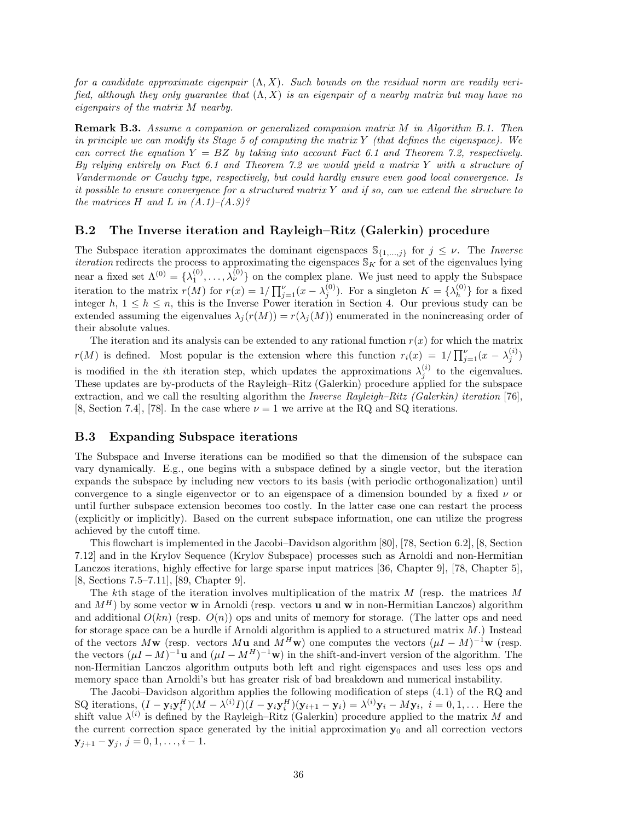*for a candidate approximate eigenpair* (Λ*, X*)*. Such bounds on the residual norm are readily verified, although they only guarantee that* (Λ*, X*) *is an eigenpair of a nearby matrix but may have no eigenpairs of the matrix M nearby.*

**Remark B.3.** *Assume a companion or generalized companion matrix M in Algorithm B.1. Then in principle we can modify its Stage 5 of computing the matrix Y (that defines the eigenspace). We can correct the equation Y* = *BZ by taking into account Fact 6.1 and Theorem 7.2, respectively. By relying entirely on Fact 6.1 and Theorem 7.2 we would yield a matrix Y with a structure of Vandermonde or Cauchy type, respectively, but could hardly ensure even good local convergence. Is it possible to ensure convergence for a structured matrix Y and if so, can we extend the structure to the matrices*  $H$  *and*  $L$  *in*  $(A.1)–(A.3)$ ?

#### **B.2 The Inverse iteration and Rayleigh–Ritz (Galerkin) procedure**

The Subspace iteration approximates the dominant eigenspaces  $\mathcal{S}_{\{1,\ldots,j\}}$  for  $j \leq \nu$ . The *Inverse iteration* redirects the process to approximating the eigenspaces  $\mathcal{S}_K$  for a set of the eigenvalues lying near a fixed set  $\Lambda^{(0)} = {\lambda_1^{(0)}, \ldots, \lambda_\nu^{(0)}}$  on the complex plane. We just need to apply the Subspace iteration to the matrix  $r(M)$  for  $r(x) = 1/\prod_{j=1}^{\nu} (x - \lambda_j^{(0)})$ . For a singleton  $K = {\lambda_h^{(0)}}$  for a fixed integer  $h, 1 \leq h \leq n$ , this is the Inverse Power iteration in Section 4. Our previous study can be extended assuming the eigenvalues  $\lambda_j(r(M)) = r(\lambda_j(M))$  enumerated in the nonincreasing order of their absolute values.

The iteration and its analysis can be extended to any rational function  $r(x)$  for which the matrix *r*(*M*) is defined. Most popular is the extension where this function  $r_i(x) = 1/\prod_{j=1}^{\nu} (x - \lambda_j^{(i)})$ is modified in the *i*th iteration step, which updates the approximations  $\lambda_j^{(i)}$  to the eigenvalues. These updates are by-products of the Rayleigh–Ritz (Galerkin) procedure applied for the subspace extraction, and we call the resulting algorithm the *Inverse Rayleigh–Ritz (Galerkin) iteration* [76], [8, Section 7.4], [78]. In the case where  $\nu = 1$  we arrive at the RQ and SQ iterations.

#### **B.3 Expanding Subspace iterations**

The Subspace and Inverse iterations can be modified so that the dimension of the subspace can vary dynamically. E.g., one begins with a subspace defined by a single vector, but the iteration expands the subspace by including new vectors to its basis (with periodic orthogonalization) until convergence to a single eigenvector or to an eigenspace of a dimension bounded by a fixed *ν* or until further subspace extension becomes too costly. In the latter case one can restart the process (explicitly or implicitly). Based on the current subspace information, one can utilize the progress achieved by the cutoff time.

This flowchart is implemented in the Jacobi–Davidson algorithm [80], [78, Section 6.2], [8, Section 7.12] and in the Krylov Sequence (Krylov Subspace) processes such as Arnoldi and non-Hermitian Lanczos iterations, highly effective for large sparse input matrices [36, Chapter 9], [78, Chapter 5], [8, Sections 7.5–7.11], [89, Chapter 9].

The *k*th stage of the iteration involves multiplication of the matrix *M* (resp. the matrices *M* and  $M^H$ ) by some vector **w** in Arnoldi (resp. vectors **u** and **w** in non-Hermitian Lanczos) algorithm and additional  $O(kn)$  (resp.  $O(n)$ ) ops and units of memory for storage. (The latter ops and need for storage space can be a hurdle if Arnoldi algorithm is applied to a structured matrix *M*.) Instead of the vectors  $M$ **w** (resp. vectors  $M$ **u** and  $M^H$ **w**) one computes the vectors  $(\mu I - M)^{-1}$ **w** (resp. the vectors  $(\mu I - M)^{-1}$ **u** and  $(\mu I - M^H)^{-1}$ **w**) in the shift-and-invert version of the algorithm. The non-Hermitian Lanczos algorithm outputs both left and right eigenspaces and uses less ops and memory space than Arnoldi's but has greater risk of bad breakdown and numerical instability.

The Jacobi–Davidson algorithm applies the following modification of steps (4.1) of the RQ and SQ iterations,  $(I - \mathbf{y}_i \mathbf{y}_i^H)(M - \lambda^{(i)}I)(I - \mathbf{y}_i \mathbf{y}_i^H)(\mathbf{y}_{i+1} - \mathbf{y}_i) = \lambda^{(i)}\mathbf{y}_i - M\mathbf{y}_i$ ,  $i = 0, 1, ...$  Here the shift value  $\lambda^{(i)}$  is defined by the Rayleigh–Ritz (Galerkin) procedure applied to the matrix *M* and the current correction space generated by the initial approximation  $y_0$  and all correction vectors  $\mathbf{y}_{j+1} - \mathbf{y}_j, j = 0, 1, \ldots, i-1.$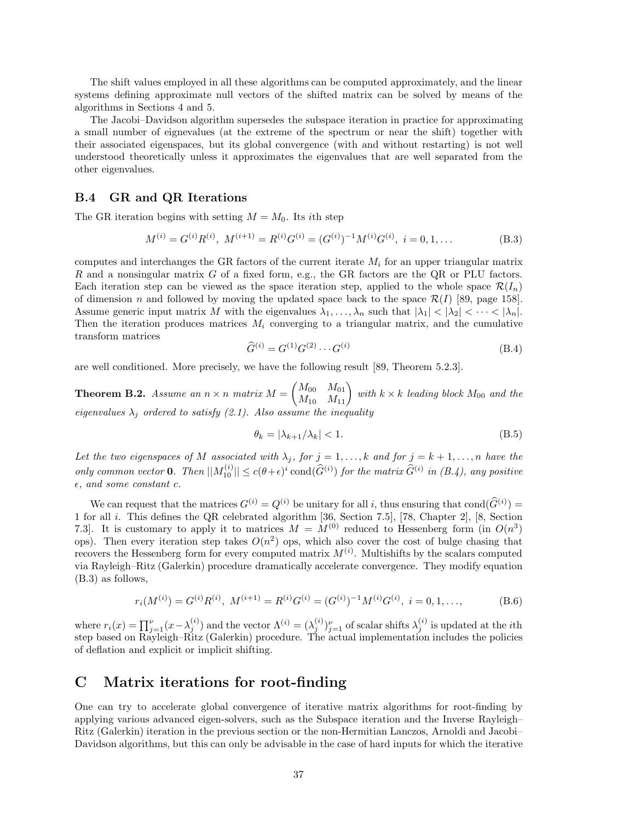The shift values employed in all these algorithms can be computed approximately, and the linear systems defining approximate null vectors of the shifted matrix can be solved by means of the algorithms in Sections 4 and 5.

The Jacobi–Davidson algorithm supersedes the subspace iteration in practice for approximating a small number of eignevalues (at the extreme of the spectrum or near the shift) together with their associated eigenspaces, but its global convergence (with and without restarting) is not well understood theoretically unless it approximates the eigenvalues that are well separated from the other eigenvalues.

#### **B.4 GR and QR Iterations**

The GR iteration begins with setting  $M = M_0$ . Its *i*th step

$$
M^{(i)} = G^{(i)}R^{(i)}, \ M^{(i+1)} = R^{(i)}G^{(i)} = (G^{(i)})^{-1}M^{(i)}G^{(i)}, \ i = 0, 1, \dots
$$
\n(B.3)

computes and interchanges the GR factors of the current iterate *M<sup>i</sup>* for an upper triangular matrix *R* and a nonsingular matrix *G* of a fixed form, e.g., the GR factors are the QR or PLU factors. Each iteration step can be viewed as the space iteration step, applied to the whole space  $\mathcal{R}(I_n)$ of dimension *n* and followed by moving the updated space back to the space  $\mathcal{R}(I)$  [89, page 158]. Assume generic input matrix *M* with the eigenvalues  $\lambda_1, \ldots, \lambda_n$  such that  $|\lambda_1| < |\lambda_2| < \cdots < |\lambda_n|$ . Then the iteration produces matrices  $M_i$  converging to a triangular matrix, and the cumulative transform matrices

$$
\widehat{G}^{(i)} = G^{(1)} G^{(2)} \cdots G^{(i)} \tag{B.4}
$$

are well conditioned. More precisely, we have the following result [89, Theorem 5.2.3].

**Theorem B.2.** Assume an  $n \times n$  matrix  $M = \begin{pmatrix} M_{00} & M_{01} \ M_{10} & M_{11} \end{pmatrix}$  with  $k \times k$  leading block  $M_{00}$  and the *eigenvalues*  $\lambda_j$  *ordered to satisfy (2.1). Also assume the inequality* 

$$
\theta_k = |\lambda_{k+1}/\lambda_k| < 1. \tag{B.5}
$$

Let the two eigenspaces of M associated with  $\lambda_j$ , for  $j = 1, \ldots, k$  and for  $j = k + 1, \ldots, n$  have the *only common vector* **0***. Then*  $||M_1^{(i)}|| \le c(\theta + \epsilon)^i$  cond $(\widehat{G}^{(i)})$  *for the matrix*  $\widehat{G}^{(i)}$  *in (B.4), any positive*  $\epsilon$ *, and some constant c.* 

We can request that the matrices  $G^{(i)} = Q^{(i)}$  be unitary for all *i*, thus ensuring that  $cond(\hat{G}^{(i)}) =$ 1 for all *i*. This defines the QR celebrated algorithm [36, Section 7.5], [78, Chapter 2], [8, Section 7.3. It is customary to apply it to matrices  $M = M^{(0)}$  reduced to Hessenberg form (in  $O(n^3)$ ) ops). Then every iteration step takes  $O(n^2)$  ops, which also cover the cost of bulge chasing that recovers the Hessenberg form for every computed matrix  $M^{(i)}$ . Multishifts by the scalars computed via Rayleigh–Ritz (Galerkin) procedure dramatically accelerate convergence. They modify equation (B.3) as follows,

$$
r_i(M^{(i)}) = G^{(i)}R^{(i)}, M^{(i+1)} = R^{(i)}G^{(i)} = (G^{(i)})^{-1}M^{(i)}G^{(i)}, i = 0, 1, ...,
$$
 (B.6)

where  $r_i(x) = \prod_{j=1}^{\nu} (x - \lambda_j^{(i)})$  and the vector  $\Lambda^{(i)} = (\lambda_j^{(i)})_{j=1}^{\nu}$  of scalar shifts  $\lambda_j^{(i)}$  is updated at the *i*th step based on Rayleigh–Ritz (Galerkin) procedure. The actual implementation includes the policies of deflation and explicit or implicit shifting.

## **C Matrix iterations for root-finding**

One can try to accelerate global convergence of iterative matrix algorithms for root-finding by applying various advanced eigen-solvers, such as the Subspace iteration and the Inverse Rayleigh– Ritz (Galerkin) iteration in the previous section or the non-Hermitian Lanczos, Arnoldi and Jacobi– Davidson algorithms, but this can only be advisable in the case of hard inputs for which the iterative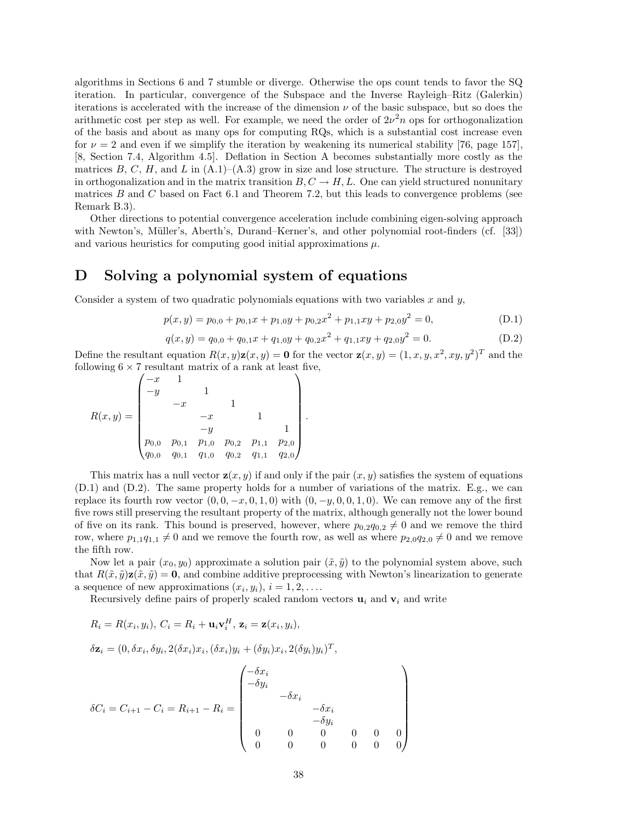algorithms in Sections 6 and 7 stumble or diverge. Otherwise the ops count tends to favor the SQ iteration. In particular, convergence of the Subspace and the Inverse Rayleigh–Ritz (Galerkin) iterations is accelerated with the increase of the dimension  $\nu$  of the basic subspace, but so does the arithmetic cost per step as well. For example, we need the order of  $2\nu^2 n$  ops for orthogonalization of the basis and about as many ops for computing RQs, which is a substantial cost increase even for  $\nu = 2$  and even if we simplify the iteration by weakening its numerical stability [76, page 157], [8, Section 7.4, Algorithm 4.5]. Deflation in Section A becomes substantially more costly as the matrices  $B, C, H$ , and  $L$  in  $(A.1)$ – $(A.3)$  grow in size and lose structure. The structure is destroyed in orthogonalization and in the matrix transition  $B, C \rightarrow H, L$ . One can yield structured nonunitary matrices *B* and *C* based on Fact 6.1 and Theorem 7.2, but this leads to convergence problems (see Remark B.3).

Other directions to potential convergence acceleration include combining eigen-solving approach with Newton's, Müller's, Aberth's, Durand–Kerner's, and other polynomial root-finders (cf. [33]) and various heuristics for computing good initial approximations  $\mu$ .

## **D Solving a polynomial system of equations**

Consider a system of two quadratic polynomials equations with two variables *x* and *y*,

$$
p(x,y) = p_{0,0} + p_{0,1}x + p_{1,0}y + p_{0,2}x^2 + p_{1,1}xy + p_{2,0}y^2 = 0,
$$
 (D.1)

$$
q(x,y) = q_{0,0} + q_{0,1}x + q_{1,0}y + q_{0,2}x^2 + q_{1,1}xy + q_{2,0}y^2 = 0.
$$
 (D.2)

Define the resultant equation  $R(x, y)z(x, y) = 0$  for the vector  $z(x, y) = (1, x, y, x^2, xy, y^2)^T$  and the following  $6\times 7$  resultant matrix of a rank at least five,

*.*

$$
R(x,y) = \begin{pmatrix} -x & 1 & & & & \\ -y & & 1 & & & \\ & -x & & 1 & & \\ & & -x & & 1 & \\ & & -y & & 1 & \\ & & & -y & & 1 \\ p_{0,0} & p_{0,1} & p_{1,0} & p_{0,2} & p_{1,1} & p_{2,0} \\ q_{0,0} & q_{0,1} & q_{1,0} & q_{0,2} & q_{1,1} & q_{2,0} \end{pmatrix}
$$

This matrix has a null vector  $\mathbf{z}(x, y)$  if and only if the pair  $(x, y)$  satisfies the system of equations (D.1) and (D.2). The same property holds for a number of variations of the matrix. E.g., we can replace its fourth row vector  $(0, 0, -x, 0, 1, 0)$  with  $(0, -y, 0, 0, 1, 0)$ . We can remove any of the first five rows still preserving the resultant property of the matrix, although generally not the lower bound of five on its rank. This bound is preserved, however, where  $p_{0,2}q_{0,2} \neq 0$  and we remove the third row, where  $p_{1,1}q_{1,1} \neq 0$  and we remove the fourth row, as well as where  $p_{2,0}q_{2,0} \neq 0$  and we remove the fifth row.

Now let a pair  $(x_0, y_0)$  approximate a solution pair  $(\tilde{x}, \tilde{y})$  to the polynomial system above, such that  $R(\tilde{x}, \tilde{y})\mathbf{z}(\tilde{x}, \tilde{y}) = \mathbf{0}$ , and combine additive preprocessing with Newton's linearization to generate a sequence of new approximations  $(x_i, y_i), i = 1, 2, \ldots$ .

Recursively define pairs of properly scaled random vectors  $\mathbf{u}_i$  and  $\mathbf{v}_i$  and write

$$
R_i = R(x_i, y_i), C_i = R_i + \mathbf{u}_i \mathbf{v}_i^H, \mathbf{z}_i = \mathbf{z}(x_i, y_i),
$$

 $\delta \mathbf{z}_i = (0, \delta x_i, \delta y_i, 2(\delta x_i)x_i, (\delta x_i)y_i + (\delta y_i)x_i, 2(\delta y_i)y_i)^T,$ 

$$
\delta C_i = C_{i+1} - C_i = R_{i+1} - R_i = \begin{pmatrix} -\delta x_i & & & & & \\ -\delta y_i & & & & & \\ & -\delta x_i & & & & \\ & & -\delta x_i & & \\ & & & -\delta y_i & & \\ & & & 0 & 0 & 0 & 0 \\ 0 & 0 & 0 & 0 & 0 & 0 \end{pmatrix}
$$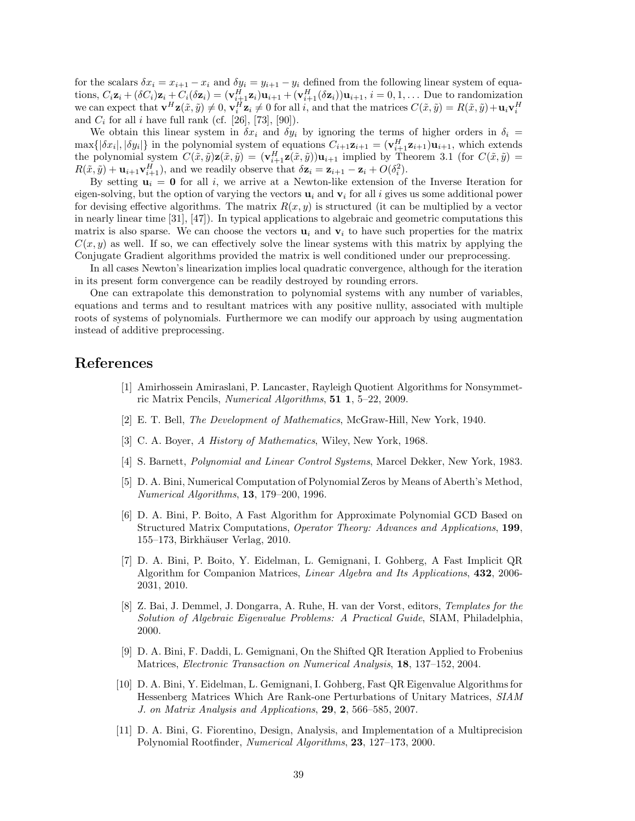for the scalars  $\delta x_i = x_{i+1} - x_i$  and  $\delta y_i = y_{i+1} - y_i$  defined from the following linear system of equations,  $C_i \mathbf{z}_i + (\delta C_i) \mathbf{z}_i + C_i (\delta \mathbf{z}_i) = (\mathbf{v}_{i+1}^H \mathbf{z}_i) \mathbf{u}_{i+1} + (\mathbf{v}_{i+1}^H (\delta \mathbf{z}_i)) \mathbf{u}_{i+1}, i = 0, 1, \dots$  Due to randomization we can expect that  $\mathbf{v}^H \mathbf{z}(\tilde{x}, \tilde{y}) \neq 0$ ,  $\mathbf{v}_i^H \mathbf{z}_i \neq 0$  for all i, and that the matrices  $C(\tilde{x}, \tilde{y}) = R(\tilde{x}, \tilde{y}) + \mathbf{u}_i \mathbf{v}_i^H$ and  $C_i$  for all *i* have full rank (cf. [26], [73], [90]).

We obtain this linear system in  $\delta x_i$  and  $\delta y_i$  by ignoring the terms of higher orders in  $\delta_i$  =  $\max\{|\delta x_i|, |\delta y_i|\}\$  in the polynomial system of equations  $C_{i+1}z_{i+1} = (\mathbf{v}_{i+1}^H \mathbf{z}_{i+1})\mathbf{u}_{i+1}$ , which extends the polynomial system  $C(\tilde{x}, \tilde{y})\mathbf{z}(\tilde{x}, \tilde{y}) = (\mathbf{v}_{i+1}^H \mathbf{z}(\tilde{x}, \tilde{y}))\mathbf{u}_{i+1}$  implied by Theorem 3.1 (for  $C(\tilde{x}, \tilde{y}) =$  $R(\tilde{x}, \tilde{y}) + \mathbf{u}_{i+1} \mathbf{v}_{i+1}^H$ , and we readily observe that  $\delta \mathbf{z}_i = \mathbf{z}_{i+1} - \mathbf{z}_i + O(\delta_i^2)$ .

By setting  $\mathbf{u}_i = \mathbf{0}$  for all *i*, we arrive at a Newton-like extension of the Inverse Iteration for eigen-solving, but the option of varying the vectors  $\mathbf{u}_i$  and  $\mathbf{v}_i$  for all *i* gives us some additional power for devising effective algorithms. The matrix  $R(x, y)$  is structured (it can be multiplied by a vector in nearly linear time [31], [47]). In typical applications to algebraic and geometric computations this matrix is also sparse. We can choose the vectors  $\mathbf{u}_i$  and  $\mathbf{v}_i$  to have such properties for the matrix  $C(x, y)$  as well. If so, we can effectively solve the linear systems with this matrix by applying the Conjugate Gradient algorithms provided the matrix is well conditioned under our preprocessing.

In all cases Newton's linearization implies local quadratic convergence, although for the iteration in its present form convergence can be readily destroyed by rounding errors.

One can extrapolate this demonstration to polynomial systems with any number of variables, equations and terms and to resultant matrices with any positive nullity, associated with multiple roots of systems of polynomials. Furthermore we can modify our approach by using augmentation instead of additive preprocessing.

## **References**

- [1] Amirhossein Amiraslani, P. Lancaster, Rayleigh Quotient Algorithms for Nonsymmetric Matrix Pencils, *Numerical Algorithms*, **51 1**, 5–22, 2009.
- [2] E. T. Bell, *The Development of Mathematics*, McGraw-Hill, New York, 1940.
- [3] C. A. Boyer, *A History of Mathematics*, Wiley, New York, 1968.
- [4] S. Barnett, *Polynomial and Linear Control Systems*, Marcel Dekker, New York, 1983.
- [5] D. A. Bini, Numerical Computation of Polynomial Zeros by Means of Aberth's Method, *Numerical Algorithms*, **13**, 179–200, 1996.
- [6] D. A. Bini, P. Boito, A Fast Algorithm for Approximate Polynomial GCD Based on Structured Matrix Computations, *Operator Theory: Advances and Applications*, **199**, 155–173, Birkhäuser Verlag, 2010.
- [7] D. A. Bini, P. Boito, Y. Eidelman, L. Gemignani, I. Gohberg, A Fast Implicit QR Algorithm for Companion Matrices, *Linear Algebra and Its Applications*, **432**, 2006- 2031, 2010.
- [8] Z. Bai, J. Demmel, J. Dongarra, A. Ruhe, H. van der Vorst, editors, *Templates for the Solution of Algebraic Eigenvalue Problems: A Practical Guide*, SIAM, Philadelphia, 2000.
- [9] D. A. Bini, F. Daddi, L. Gemignani, On the Shifted QR Iteration Applied to Frobenius Matrices, *Electronic Transaction on Numerical Analysis*, **18**, 137–152, 2004.
- [10] D. A. Bini, Y. Eidelman, L. Gemignani, I. Gohberg, Fast QR Eigenvalue Algorithms for Hessenberg Matrices Which Are Rank-one Perturbations of Unitary Matrices, *SIAM J. on Matrix Analysis and Applications*, **29**, **2**, 566–585, 2007.
- [11] D. A. Bini, G. Fiorentino, Design, Analysis, and Implementation of a Multiprecision Polynomial Rootfinder, *Numerical Algorithms*, **23**, 127–173, 2000.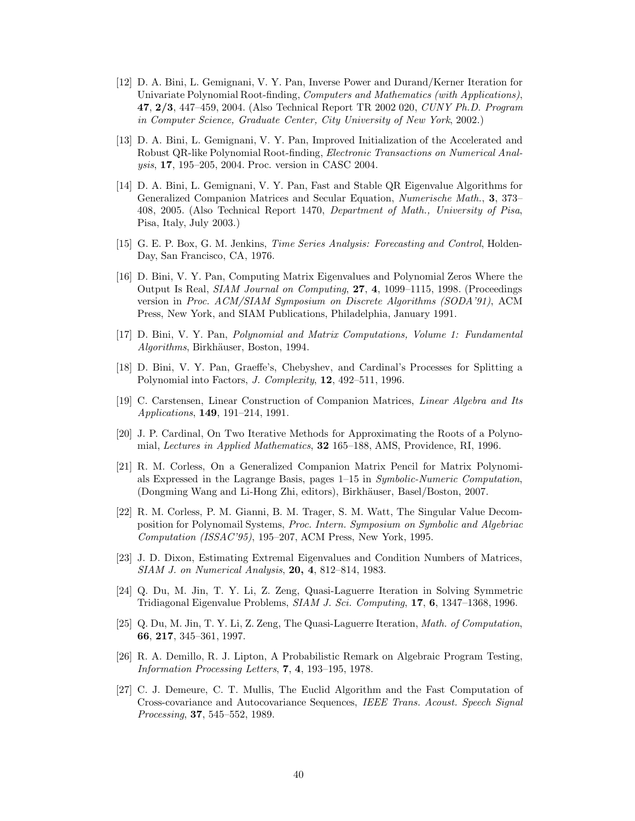- [12] D. A. Bini, L. Gemignani, V. Y. Pan, Inverse Power and Durand/Kerner Iteration for Univariate Polynomial Root-finding, *Computers and Mathematics (with Applications)*, **47**, **2/3**, 447–459, 2004. (Also Technical Report TR 2002 020, *CUNY Ph.D. Program in Computer Science, Graduate Center, City University of New York*, 2002.)
- [13] D. A. Bini, L. Gemignani, V. Y. Pan, Improved Initialization of the Accelerated and Robust QR-like Polynomial Root-finding, *Electronic Transactions on Numerical Analysis*, **17**, 195–205, 2004. Proc. version in CASC 2004.
- [14] D. A. Bini, L. Gemignani, V. Y. Pan, Fast and Stable QR Eigenvalue Algorithms for Generalized Companion Matrices and Secular Equation, *Numerische Math.*, **3**, 373– 408, 2005. (Also Technical Report 1470, *Department of Math., University of Pisa*, Pisa, Italy, July 2003.)
- [15] G. E. P. Box, G. M. Jenkins, *Time Series Analysis: Forecasting and Control*, Holden-Day, San Francisco, CA, 1976.
- [16] D. Bini, V. Y. Pan, Computing Matrix Eigenvalues and Polynomial Zeros Where the Output Is Real, *SIAM Journal on Computing*, **27**, **4**, 1099–1115, 1998. (Proceedings version in *Proc. ACM/SIAM Symposium on Discrete Algorithms (SODA'91)*, ACM Press, New York, and SIAM Publications, Philadelphia, January 1991.
- [17] D. Bini, V. Y. Pan, *Polynomial and Matrix Computations, Volume 1: Fundamental Algorithms*, Birkh¨auser, Boston, 1994.
- [18] D. Bini, V. Y. Pan, Graeffe's, Chebyshev, and Cardinal's Processes for Splitting a Polynomial into Factors, *J. Complexity*, **12**, 492–511, 1996.
- [19] C. Carstensen, Linear Construction of Companion Matrices, *Linear Algebra and Its Applications*, **149**, 191–214, 1991.
- [20] J. P. Cardinal, On Two Iterative Methods for Approximating the Roots of a Polynomial, *Lectures in Applied Mathematics*, **32** 165–188, AMS, Providence, RI, 1996.
- [21] R. M. Corless, On a Generalized Companion Matrix Pencil for Matrix Polynomials Expressed in the Lagrange Basis, pages 1–15 in *Symbolic-Numeric Computation*, (Dongming Wang and Li-Hong Zhi, editors), Birkh¨auser, Basel/Boston, 2007.
- [22] R. M. Corless, P. M. Gianni, B. M. Trager, S. M. Watt, The Singular Value Decomposition for Polynomail Systems, *Proc. Intern. Symposium on Symbolic and Algebriac Computation (ISSAC'95)*, 195–207, ACM Press, New York, 1995.
- [23] J. D. Dixon, Estimating Extremal Eigenvalues and Condition Numbers of Matrices, *SIAM J. on Numerical Analysis*, **20, 4**, 812–814, 1983.
- [24] Q. Du, M. Jin, T. Y. Li, Z. Zeng, Quasi-Laguerre Iteration in Solving Symmetric Tridiagonal Eigenvalue Problems, *SIAM J. Sci. Computing*, **17**, **6**, 1347–1368, 1996.
- [25] Q. Du, M. Jin, T. Y. Li, Z. Zeng, The Quasi-Laguerre Iteration, *Math. of Computation*, **66**, **217**, 345–361, 1997.
- [26] R. A. Demillo, R. J. Lipton, A Probabilistic Remark on Algebraic Program Testing, *Information Processing Letters*, **7**, **4**, 193–195, 1978.
- [27] C. J. Demeure, C. T. Mullis, The Euclid Algorithm and the Fast Computation of Cross-covariance and Autocovariance Sequences, *IEEE Trans. Acoust. Speech Signal Processing*, **37**, 545–552, 1989.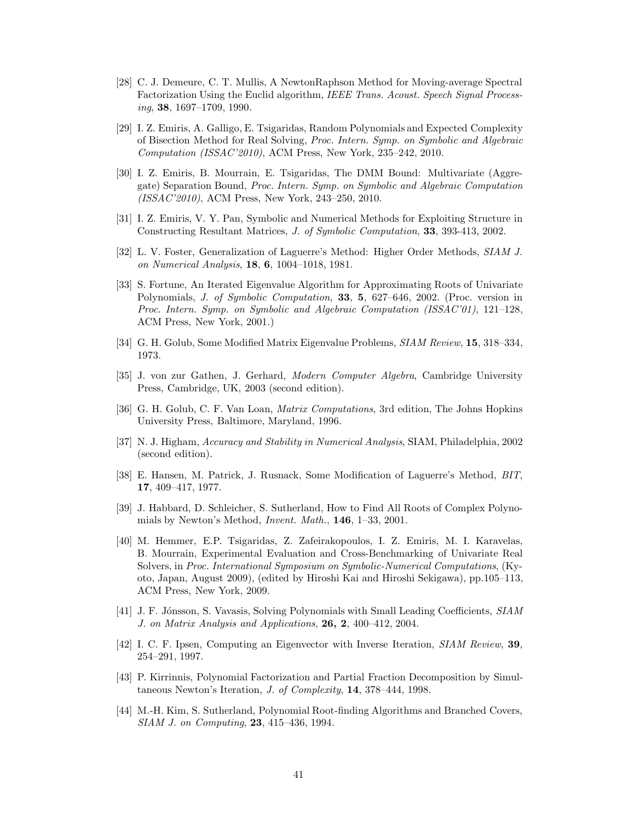- [28] C. J. Demeure, C. T. Mullis, A NewtonRaphson Method for Moving-average Spectral Factorization Using the Euclid algorithm, *IEEE Trans. Acoust. Speech Signal Processing*, **38**, 1697–1709, 1990.
- [29] I. Z. Emiris, A. Galligo, E. Tsigaridas, Random Polynomials and Expected Complexity of Bisection Method for Real Solving, *Proc. Intern. Symp. on Symbolic and Algebraic Computation (ISSAC'2010)*, ACM Press, New York, 235–242, 2010.
- [30] I. Z. Emiris, B. Mourrain, E. Tsigaridas, The DMM Bound: Multivariate (Aggregate) Separation Bound, *Proc. Intern. Symp. on Symbolic and Algebraic Computation (ISSAC'2010)*, ACM Press, New York, 243–250, 2010.
- [31] I. Z. Emiris, V. Y. Pan, Symbolic and Numerical Methods for Exploiting Structure in Constructing Resultant Matrices, *J. of Symbolic Computation*, **33**, 393-413, 2002.
- [32] L. V. Foster, Generalization of Laguerre's Method: Higher Order Methods, *SIAM J. on Numerical Analysis*, **18**, **6**, 1004–1018, 1981.
- [33] S. Fortune, An Iterated Eigenvalue Algorithm for Approximating Roots of Univariate Polynomials, *J. of Symbolic Computation*, **33**, **5**, 627–646, 2002. (Proc. version in *Proc. Intern. Symp. on Symbolic and Algebraic Computation (ISSAC'01)*, 121–128, ACM Press, New York, 2001.)
- [34] G. H. Golub, Some Modified Matrix Eigenvalue Problems, *SIAM Review*, **15**, 318–334, 1973.
- [35] J. von zur Gathen, J. Gerhard, *Modern Computer Algebra*, Cambridge University Press, Cambridge, UK, 2003 (second edition).
- [36] G. H. Golub, C. F. Van Loan, *Matrix Computations*, 3rd edition, The Johns Hopkins University Press, Baltimore, Maryland, 1996.
- [37] N. J. Higham, *Accuracy and Stability in Numerical Analysis*, SIAM, Philadelphia, 2002 (second edition).
- [38] E. Hansen, M. Patrick, J. Rusnack, Some Modification of Laguerre's Method, *BIT*, **17**, 409–417, 1977.
- [39] J. Habbard, D. Schleicher, S. Sutherland, How to Find All Roots of Complex Polynomials by Newton's Method, *Invent. Math.*, **146**, 1–33, 2001.
- [40] M. Hemmer, E.P. Tsigaridas, Z. Zafeirakopoulos, I. Z. Emiris, M. I. Karavelas, B. Mourrain, Experimental Evaluation and Cross-Benchmarking of Univariate Real Solvers, in *Proc. International Symposium on Symbolic-Numerical Computations*, (Kyoto, Japan, August 2009), (edited by Hiroshi Kai and Hiroshi Sekigawa), pp.105–113, ACM Press, New York, 2009.
- [41] J. F. Jónsson, S. Vavasis, Solving Polynomials with Small Leading Coefficients, *SIAM J. on Matrix Analysis and Applications*, **26, 2**, 400–412, 2004.
- [42] I. C. F. Ipsen, Computing an Eigenvector with Inverse Iteration, *SIAM Review*, **39**, 254–291, 1997.
- [43] P. Kirrinnis, Polynomial Factorization and Partial Fraction Decomposition by Simultaneous Newton's Iteration, *J. of Complexity*, **14**, 378–444, 1998.
- [44] M.-H. Kim, S. Sutherland, Polynomial Root-finding Algorithms and Branched Covers, *SIAM J. on Computing*, **23**, 415–436, 1994.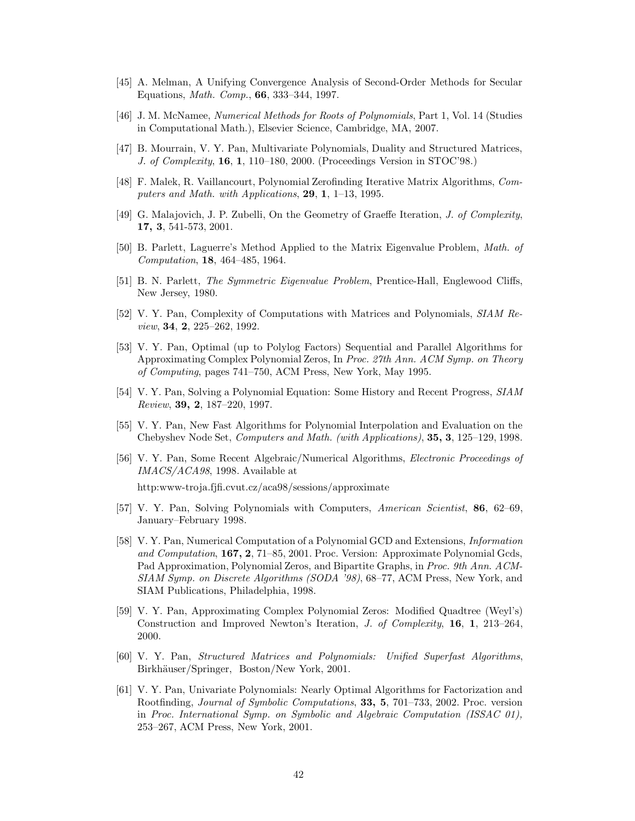- [45] A. Melman, A Unifying Convergence Analysis of Second-Order Methods for Secular Equations, *Math. Comp.*, **66**, 333–344, 1997.
- [46] J. M. McNamee, *Numerical Methods for Roots of Polynomials*, Part 1, Vol. 14 (Studies in Computational Math.), Elsevier Science, Cambridge, MA, 2007.
- [47] B. Mourrain, V. Y. Pan, Multivariate Polynomials, Duality and Structured Matrices, *J. of Complexity*, **16**, **1**, 110–180, 2000. (Proceedings Version in STOC'98.)
- [48] F. Malek, R. Vaillancourt, Polynomial Zerofinding Iterative Matrix Algorithms, *Computers and Math. with Applications*, **29**, **1**, 1–13, 1995.
- [49] G. Malajovich, J. P. Zubelli, On the Geometry of Graeffe Iteration, *J. of Complexity*, **17, 3**, 541-573, 2001.
- [50] B. Parlett, Laguerre's Method Applied to the Matrix Eigenvalue Problem, *Math. of Computation*, **18**, 464–485, 1964.
- [51] B. N. Parlett, *The Symmetric Eigenvalue Problem*, Prentice-Hall, Englewood Cliffs, New Jersey, 1980.
- [52] V. Y. Pan, Complexity of Computations with Matrices and Polynomials, *SIAM Review*, **34**, **2**, 225–262, 1992.
- [53] V. Y. Pan, Optimal (up to Polylog Factors) Sequential and Parallel Algorithms for Approximating Complex Polynomial Zeros, In *Proc. 27th Ann. ACM Symp. on Theory of Computing*, pages 741–750, ACM Press, New York, May 1995.
- [54] V. Y. Pan, Solving a Polynomial Equation: Some History and Recent Progress, *SIAM Review*, **39, 2**, 187–220, 1997.
- [55] V. Y. Pan, New Fast Algorithms for Polynomial Interpolation and Evaluation on the Chebyshev Node Set, *Computers and Math. (with Applications)*, **35, 3**, 125–129, 1998.
- [56] V. Y. Pan, Some Recent Algebraic/Numerical Algorithms, *Electronic Proceedings of IMACS/ACA98*, 1998. Available at

http:www-troja.fjfi.cvut.cz/aca98/sessions/approximate

- [57] V. Y. Pan, Solving Polynomials with Computers, *American Scientist*, **86**, 62–69, January–February 1998.
- [58] V. Y. Pan, Numerical Computation of a Polynomial GCD and Extensions, *Information and Computation*, **167, 2**, 71–85, 2001. Proc. Version: Approximate Polynomial Gcds, Pad Approximation, Polynomial Zeros, and Bipartite Graphs, in *Proc. 9th Ann. ACM-SIAM Symp. on Discrete Algorithms (SODA '98)*, 68–77, ACM Press, New York, and SIAM Publications, Philadelphia, 1998.
- [59] V. Y. Pan, Approximating Complex Polynomial Zeros: Modified Quadtree (Weyl's) Construction and Improved Newton's Iteration, *J. of Complexity*, **16**, **1**, 213–264, 2000.
- [60] V. Y. Pan, *Structured Matrices and Polynomials: Unified Superfast Algorithms*, Birkhäuser/Springer, Boston/New York, 2001.
- [61] V. Y. Pan, Univariate Polynomials: Nearly Optimal Algorithms for Factorization and Rootfinding, *Journal of Symbolic Computations*, **33, 5**, 701–733, 2002. Proc. version in *Proc. International Symp. on Symbolic and Algebraic Computation (ISSAC 01),* 253–267, ACM Press, New York, 2001.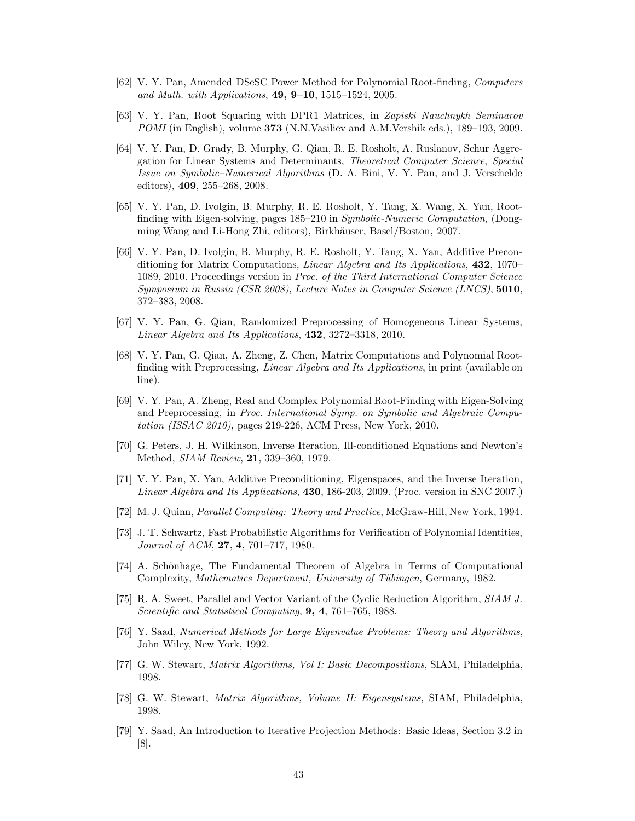- [62] V. Y. Pan, Amended DSeSC Power Method for Polynomial Root-finding, *Computers and Math. with Applications*, **49, 9–10**, 1515–1524, 2005.
- [63] V. Y. Pan, Root Squaring with DPR1 Matrices, in *Zapiski Nauchnykh Seminarov POMI* (in English), volume **373** (N.N.Vasiliev and A.M.Vershik eds.), 189–193, 2009.
- [64] V. Y. Pan, D. Grady, B. Murphy, G. Qian, R. E. Rosholt, A. Ruslanov, Schur Aggregation for Linear Systems and Determinants, *Theoretical Computer Science*, *Special Issue on Symbolic–Numerical Algorithms* (D. A. Bini, V. Y. Pan, and J. Verschelde editors), **409**, 255–268, 2008.
- [65] V. Y. Pan, D. Ivolgin, B. Murphy, R. E. Rosholt, Y. Tang, X. Wang, X. Yan, Rootfinding with Eigen-solving, pages 185–210 in *Symbolic-Numeric Computation*, (Dongming Wang and Li-Hong Zhi, editors), Birkhäuser, Basel/Boston, 2007.
- [66] V. Y. Pan, D. Ivolgin, B. Murphy, R. E. Rosholt, Y. Tang, X. Yan, Additive Preconditioning for Matrix Computations, *Linear Algebra and Its Applications*, **432**, 1070– 1089, 2010. Proceedings version in *Proc. of the Third International Computer Science Symposium in Russia (CSR 2008)*, *Lecture Notes in Computer Science (LNCS)*, **5010**, 372–383, 2008.
- [67] V. Y. Pan, G. Qian, Randomized Preprocessing of Homogeneous Linear Systems, *Linear Algebra and Its Applications*, **432**, 3272–3318, 2010.
- [68] V. Y. Pan, G. Qian, A. Zheng, Z. Chen, Matrix Computations and Polynomial Rootfinding with Preprocessing, *Linear Algebra and Its Applications*, in print (available on line).
- [69] V. Y. Pan, A. Zheng, Real and Complex Polynomial Root-Finding with Eigen-Solving and Preprocessing, in *Proc. International Symp. on Symbolic and Algebraic Computation (ISSAC 2010)*, pages 219-226, ACM Press, New York, 2010.
- [70] G. Peters, J. H. Wilkinson, Inverse Iteration, Ill-conditioned Equations and Newton's Method, *SIAM Review*, **21**, 339–360, 1979.
- [71] V. Y. Pan, X. Yan, Additive Preconditioning, Eigenspaces, and the Inverse Iteration, *Linear Algebra and Its Applications*, **430**, 186-203, 2009. (Proc. version in SNC 2007.)
- [72] M. J. Quinn, *Parallel Computing: Theory and Practice*, McGraw-Hill, New York, 1994.
- [73] J. T. Schwartz, Fast Probabilistic Algorithms for Verification of Polynomial Identities, *Journal of ACM*, **27**, **4**, 701–717, 1980.
- [74] A. Schönhage, The Fundamental Theorem of Algebra in Terms of Computational Complexity, *Mathematics Department, University of T¨ubingen*, Germany, 1982.
- [75] R. A. Sweet, Parallel and Vector Variant of the Cyclic Reduction Algorithm, *SIAM J. Scientific and Statistical Computing*, **9, 4**, 761–765, 1988.
- [76] Y. Saad, *Numerical Methods for Large Eigenvalue Problems: Theory and Algorithms*, John Wiley, New York, 1992.
- [77] G. W. Stewart, *Matrix Algorithms, Vol I: Basic Decompositions*, SIAM, Philadelphia, 1998.
- [78] G. W. Stewart, *Matrix Algorithms, Volume II: Eigensystems*, SIAM, Philadelphia, 1998.
- [79] Y. Saad, An Introduction to Iterative Projection Methods: Basic Ideas, Section 3.2 in [8].